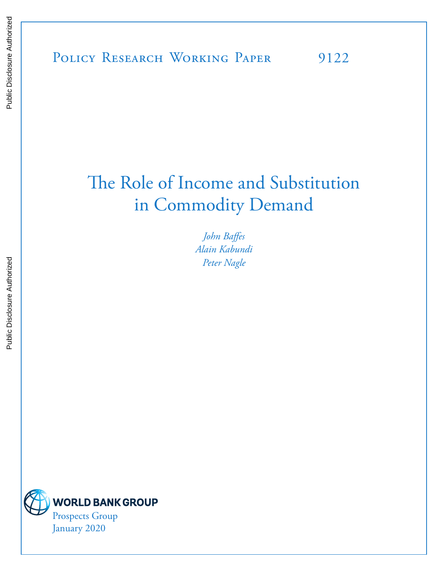# The Role of Income and Substitution in Commodity Demand

*John Baffes Alain Kabundi Peter Nagle*

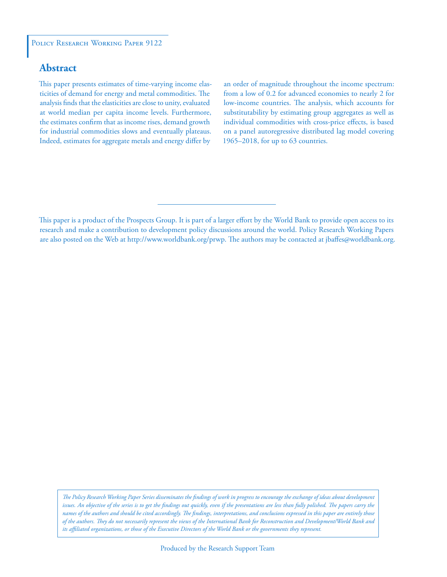### **Abstract**

This paper presents estimates of time-varying income elasticities of demand for energy and metal commodities. The analysis finds that the elasticities are close to unity, evaluated at world median per capita income levels. Furthermore, the estimates confirm that as income rises, demand growth for industrial commodities slows and eventually plateaus. Indeed, estimates for aggregate metals and energy differ by

an order of magnitude throughout the income spectrum: from a low of 0.2 for advanced economies to nearly 2 for low-income countries. The analysis, which accounts for substitutability by estimating group aggregates as well as individual commodities with cross-price effects, is based on a panel autoregressive distributed lag model covering 1965–2018, for up to 63 countries.

*The Policy Research Working Paper Series disseminates the findings of work in progress to encourage the exchange of ideas about development*  issues. An objective of the series is to get the findings out quickly, even if the presentations are less than fully polished. The papers carry the *names of the authors and should be cited accordingly. The findings, interpretations, and conclusions expressed in this paper are entirely those of the authors. They do not necessarily represent the views of the International Bank for Reconstruction and Development/World Bank and its affiliated organizations, or those of the Executive Directors of the World Bank or the governments they represent.*

This paper is a product of the Prospects Group. It is part of a larger effort by the World Bank to provide open access to its research and make a contribution to development policy discussions around the world. Policy Research Working Papers are also posted on the Web at http://www.worldbank.org/prwp. The authors may be contacted at jbaffes@worldbank.org.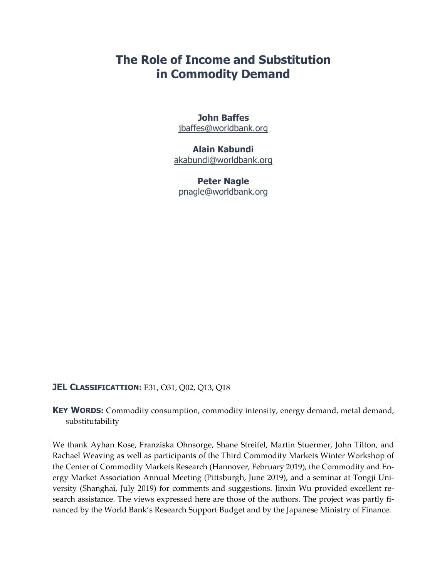# **The Role of Income and Substitution in Commodity Demand**

### **John Baffes**  jbaffes@worldbank.org

### **Alain Kabundi**  akabundi@worldbank.org

**Peter Nagle**  pnagle@worldbank.org

### **JEL CLASSIFICATTION: E31, O31, Q02, Q13, Q18**

**KEY WORDS:** Commodity consumption, commodity intensity, energy demand, metal demand, substitutability

We thank Ayhan Kose, Franziska Ohnsorge, Shane Streifel, Martin Stuermer, John Tilton, and Rachael Weaving as well as participants of the Third Commodity Markets Winter Workshop of the Center of Commodity Markets Research (Hannover, February 2019), the Commodity and En‐ ergy Market Association Annual Meeting (Pittsburgh, June 2019), and a seminar at Tongji Uni‐ versity (Shanghai, July 2019) for comments and suggestions. Jinxin Wu provided excellent re‐ search assistance. The views expressed here are those of the authors. The project was partly financed by the World Bank's Research Support Budget and by the Japanese Ministry of Finance.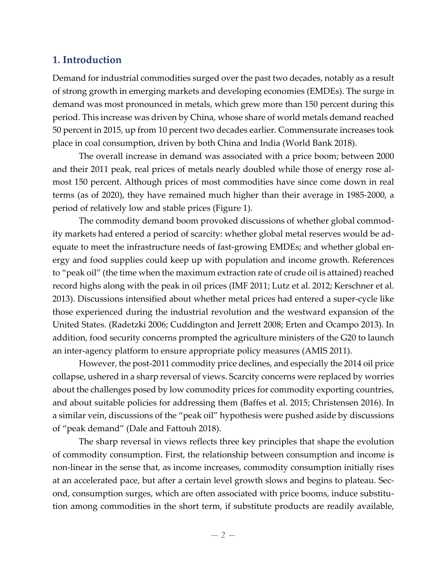# **1. Introduction**

Demand for industrial commodities surged over the past two decades, notably as a result of strong growth in emerging markets and developing economies (EMDEs). The surge in demand was most pronounced in metals, which grew more than 150 percent during this period. This increase was driven by China, whose share of world metals demand reached 50 percent in 2015, up from 10 percent two decades earlier. Commensurate increases took place in coal consumption, driven by both China and India (World Bank 2018).

The overall increase in demand was associated with a price boom; between 2000 and their 2011 peak, real prices of metals nearly doubled while those of energy rose almost 150 percent. Although prices of most commodities have since come down in real terms (as of 2020), they have remained much higher than their average in 1985‐2000, a period of relatively low and stable prices (Figure 1).

The commodity demand boom provoked discussions of whether global commod‐ ity markets had entered a period of scarcity: whether global metal reserves would be ad‐ equate to meet the infrastructure needs of fast‐growing EMDEs; and whether global en‐ ergy and food supplies could keep up with population and income growth. References to "peak oil" (the time when the maximum extraction rate of crude oil is attained) reached record highs along with the peak in oil prices (IMF 2011; Lutz et al. 2012; Kerschner et al. 2013). Discussions intensified about whether metal prices had entered a super‐cycle like those experienced during the industrial revolution and the westward expansion of the United States. (Radetzki 2006; Cuddington and Jerrett 2008; Erten and Ocampo 2013). In addition, food security concerns prompted the agriculture ministers of the G20 to launch an inter‐agency platform to ensure appropriate policy measures (AMIS 2011).

However, the post‐2011 commodity price declines, and especially the 2014 oil price collapse, ushered in a sharp reversal of views. Scarcity concerns were replaced by worries about the challenges posed by low commodity prices for commodity exporting countries, and about suitable policies for addressing them (Baffes et al. 2015; Christensen 2016). In a similar vein, discussions of the "peak oil" hypothesis were pushed aside by discussions of "peak demand" (Dale and Fattouh 2018).

The sharp reversal in views reflects three key principles that shape the evolution of commodity consumption. First, the relationship between consumption and income is non-linear in the sense that, as income increases, commodity consumption initially rises at an accelerated pace, but after a certain level growth slows and begins to plateau. Sec‐ ond, consumption surges, which are often associated with price booms, induce substitution among commodities in the short term, if substitute products are readily available,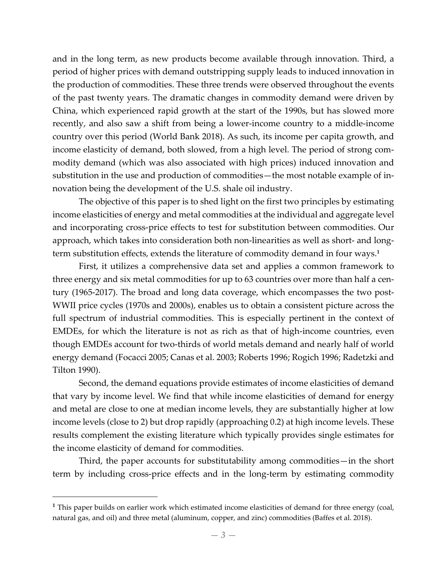and in the long term, as new products become available through innovation. Third, a period of higher prices with demand outstripping supply leads to induced innovation in the production of commodities. These three trends were observed throughout the events of the past twenty years. The dramatic changes in commodity demand were driven by China, which experienced rapid growth at the start of the 1990s, but has slowed more recently, and also saw a shift from being a lower-income country to a middle-income country over this period (World Bank 2018). As such, its income per capita growth, and income elasticity of demand, both slowed, from a high level. The period of strong commodity demand (which was also associated with high prices) induced innovation and substitution in the use and production of commodities—the most notable example of in‐ novation being the development of the U.S. shale oil industry.

The objective of this paper is to shed light on the first two principles by estimating income elasticities of energy and metal commodities at the individual and aggregate level and incorporating cross‐price effects to test for substitution between commodities. Our approach, which takes into consideration both non-linearities as well as short- and longterm substitution effects, extends the literature of commodity demand in four ways.**<sup>1</sup>**

First, it utilizes a comprehensive data set and applies a common framework to three energy and six metal commodities for up to 63 countries over more than half a century (1965‐2017). The broad and long data coverage, which encompasses the two post‐ WWII price cycles (1970s and 2000s), enables us to obtain a consistent picture across the full spectrum of industrial commodities. This is especially pertinent in the context of EMDEs, for which the literature is not as rich as that of high‐income countries, even though EMDEs account for two‐thirds of world metals demand and nearly half of world energy demand (Focacci 2005; Canas et al. 2003; Roberts 1996; Rogich 1996; Radetzki and Tilton 1990).

Second, the demand equations provide estimates of income elasticities of demand that vary by income level. We find that while income elasticities of demand for energy and metal are close to one at median income levels, they are substantially higher at low income levels (close to 2) but drop rapidly (approaching 0.2) at high income levels. These results complement the existing literature which typically provides single estimates for the income elasticity of demand for commodities.

Third, the paper accounts for substitutability among commodities—in the short term by including cross-price effects and in the long-term by estimating commodity

 $\overline{a}$ 

**<sup>1</sup>** This paper builds on earlier work which estimated income elasticities of demand for three energy (coal, natural gas, and oil) and three metal (aluminum, copper, and zinc) commodities (Baffes et al. 2018).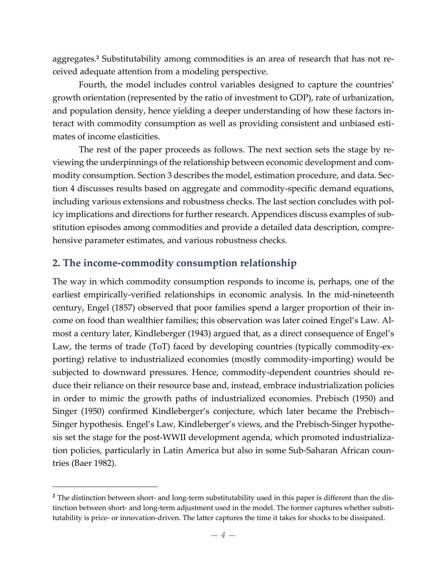aggregates.**<sup>2</sup>** Substitutability among commodities is an area of research that has not re‐ ceived adequate attention from a modeling perspective.

Fourth, the model includes control variables designed to capture the countries' growth orientation (represented by the ratio of investment to GDP), rate of urbanization, and population density, hence yielding a deeper understanding of how these factors in‐ teract with commodity consumption as well as providing consistent and unbiased estimates of income elasticities.

The rest of the paper proceeds as follows. The next section sets the stage by reviewing the underpinnings of the relationship between economic development and com‐ modity consumption. Section 3 describes the model, estimation procedure, and data. Section 4 discusses results based on aggregate and commodity‐specific demand equations, including various extensions and robustness checks. The last section concludes with policy implications and directions for further research. Appendices discuss examples of substitution episodes among commodities and provide a detailed data description, compre‐ hensive parameter estimates, and various robustness checks.

### **2. The income‐commodity consumption relationship**

<u>.</u>

The way in which commodity consumption responds to income is, perhaps, one of the earliest empirically-verified relationships in economic analysis. In the mid-nineteenth century, Engel (1857) observed that poor families spend a larger proportion of their in‐ come on food than wealthier families; this observation was later coined Engel's Law. Al‐ most a century later, Kindleberger (1943) argued that, as a direct consequence of Engel's Law, the terms of trade (ToT) faced by developing countries (typically commodity-exporting) relative to industrialized economies (mostly commodity‐importing) would be subjected to downward pressures. Hence, commodity-dependent countries should reduce their reliance on their resource base and, instead, embrace industrialization policies in order to mimic the growth paths of industrialized economies. Prebisch (1950) and Singer (1950) confirmed Kindleberger's conjecture, which later became the Prebisch– Singer hypothesis. Engel's Law, Kindleberger's views, and the Prebisch‐Singer hypothe‐ sis set the stage for the post‐WWII development agenda, which promoted industrializa‐ tion policies, particularly in Latin America but also in some Sub‐Saharan African coun‐ tries (Baer 1982).

**<sup>2</sup>** The distinction between short‐ and long‐term substitutability used in this paper is different than the dis‐ tinction between short- and long-term adjustment used in the model. The former captures whether substitutability is price‐ or innovation‐driven. The latter captures the time it takes for shocks to be dissipated.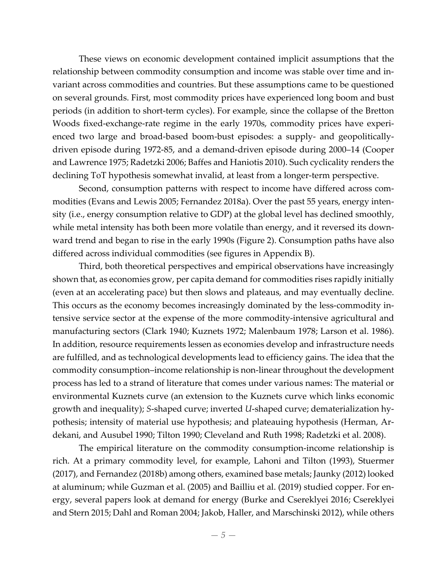These views on economic development contained implicit assumptions that the relationship between commodity consumption and income was stable over time and in‐ variant across commodities and countries. But these assumptions came to be questioned on several grounds. First, most commodity prices have experienced long boom and bust periods (in addition to short‐term cycles). For example, since the collapse of the Bretton Woods fixed-exchange-rate regime in the early 1970s, commodity prices have experienced two large and broad-based boom-bust episodes: a supply- and geopoliticallydriven episode during 1972‐85, and a demand‐driven episode during 2000–14 (Cooper and Lawrence 1975; Radetzki 2006; Baffes and Haniotis 2010). Such cyclicality renders the declining ToT hypothesis somewhat invalid, at least from a longer‐term perspective.

Second, consumption patterns with respect to income have differed across commodities (Evans and Lewis 2005; Fernandez 2018a). Over the past 55 years, energy inten‐ sity (i.e., energy consumption relative to GDP) at the global level has declined smoothly, while metal intensity has both been more volatile than energy, and it reversed its downward trend and began to rise in the early 1990s (Figure 2). Consumption paths have also differed across individual commodities (see figures in Appendix B).

Third, both theoretical perspectives and empirical observations have increasingly shown that, as economies grow, per capita demand for commodities rises rapidly initially (even at an accelerating pace) but then slows and plateaus, and may eventually decline. This occurs as the economy becomes increasingly dominated by the less-commodity intensive service sector at the expense of the more commodity-intensive agricultural and manufacturing sectors (Clark 1940; Kuznets 1972; Malenbaum 1978; Larson et al. 1986). In addition, resource requirements lessen as economies develop and infrastructure needs are fulfilled, and as technological developments lead to efficiency gains. The idea that the commodity consumption–income relationship is non‐linear throughout the development process has led to a strand of literature that comes under various names: The material or environmental Kuznets curve (an extension to the Kuznets curve which links economic growth and inequality); *S*‐shaped curve; inverted *U*‐shaped curve; dematerialization hy‐ pothesis; intensity of material use hypothesis; and plateauing hypothesis (Herman, Ar‐ dekani, and Ausubel 1990; Tilton 1990; Cleveland and Ruth 1998; Radetzki et al. 2008).

The empirical literature on the commodity consumption‐income relationship is rich. At a primary commodity level, for example, Lahoni and Tilton (1993), Stuermer (2017), and Fernandez (2018b) among others, examined base metals; Jaunky (2012) looked at aluminum; while Guzman et al. (2005) and Bailliu et al. (2019) studied copper. For en‐ ergy, several papers look at demand for energy (Burke and Csereklyei 2016; Csereklyei and Stern 2015; Dahl and Roman 2004; Jakob, Haller, and Marschinski 2012), while others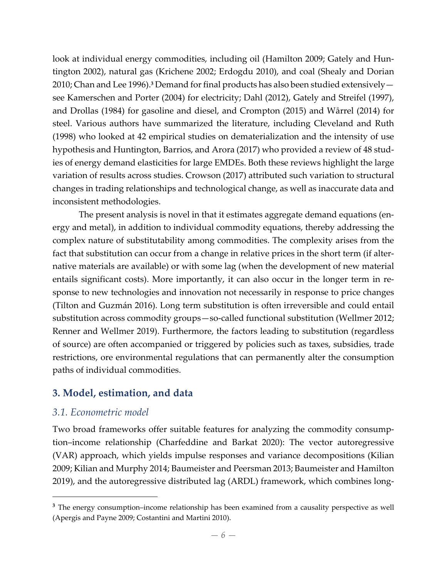look at individual energy commodities, including oil (Hamilton 2009; Gately and Hun‐ tington 2002), natural gas (Krichene 2002; Erdogdu 2010), and coal (Shealy and Dorian 2010; Chan and Lee 1996).**<sup>3</sup>** Demand forfinal products has also been studied extensively see Kamerschen and Porter (2004) for electricity; Dahl (2012), Gately and Streifel (1997), and Drollas (1984) for gasoline and diesel, and Crompton (2015) and Wårrel (2014) for steel. Various authors have summarized the literature, including Cleveland and Ruth (1998) who looked at 42 empirical studies on dematerialization and the intensity of use hypothesis and Huntington, Barrios, and Arora (2017) who provided a review of 48 stud‐ ies of energy demand elasticities for large EMDEs. Both these reviews highlight the large variation of results across studies. Crowson (2017) attributed such variation to structural changes in trading relationships and technological change, as well as inaccurate data and inconsistent methodologies.

The present analysis is novel in that it estimates aggregate demand equations (en‐ ergy and metal), in addition to individual commodity equations, thereby addressing the complex nature of substitutability among commodities. The complexity arises from the fact that substitution can occur from a change in relative prices in the short term (if alternative materials are available) or with some lag (when the development of new material entails significant costs). More importantly, it can also occur in the longer term in response to new technologies and innovation not necessarily in response to price changes (Tilton and Guzmán 2016). Long term substitution is often irreversible and could entail substitution across commodity groups—so‐called functional substitution (Wellmer 2012; Renner and Wellmer 2019). Furthermore, the factors leading to substitution (regardless of source) are often accompanied or triggered by policies such as taxes, subsidies, trade restrictions, ore environmental regulations that can permanently alter the consumption paths of individual commodities.

# **3. Model, estimation, and data**

# *3.1. Econometric model*

 $\overline{a}$ 

Two broad frameworks offer suitable features for analyzing the commodity consumption–income relationship (Charfeddine and Barkat 2020): The vector autoregressive (VAR) approach, which yields impulse responses and variance decompositions (Kilian 2009; Kilian and Murphy 2014; Baumeister and Peersman 2013; Baumeister and Hamilton 2019), and the autoregressive distributed lag (ARDL) framework, which combines long‐

**<sup>3</sup>** The energy consumption–income relationship has been examined from a causality perspective as well (Apergis and Payne 2009; Costantini and Martini 2010).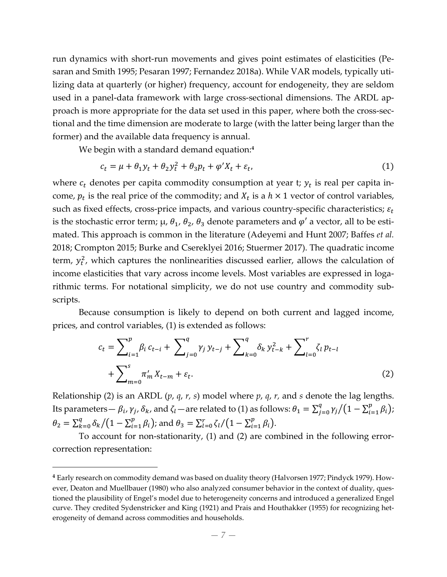run dynamics with short-run movements and gives point estimates of elasticities (Pesaran and Smith 1995; Pesaran 1997; Fernandez 2018a). While VAR models, typically uti‐ lizing data at quarterly (or higher) frequency, account for endogeneity, they are seldom used in a panel-data framework with large cross-sectional dimensions. The ARDL approach is more appropriate for the data set used in this paper, where both the cross-sectional and the time dimension are moderate to large (with the latter being larger than the former) and the available data frequency is annual.

We begin with a standard demand equation:**<sup>4</sup>**

$$
c_t = \mu + \theta_1 y_t + \theta_2 y_t^2 + \theta_3 p_t + \varphi' X_t + \varepsilon_t, \tag{1}
$$

where  $c_t$  denotes per capita commodity consumption at year t;  $y_t$  is real per capita income,  $p_t$  is the real price of the commodity; and  $X_t$  is a  $h \times 1$  vector of control variables, such as fixed effects, cross-price impacts, and various country-specific characteristics;  $\varepsilon_t$ is the stochastic error term;  $\mu$ ,  $\theta_1$ ,  $\theta_2$ ,  $\theta_3$  denote parameters and  $\varphi'$  a vector, all to be estimated. This approach is common in the literature (Adeyemi and Hunt 2007; Baffes *et al.* 2018; Crompton 2015; Burke and Csereklyei 2016; Stuermer 2017). The quadratic income term,  $y_t^2$ , which captures the nonlinearities discussed earlier, allows the calculation of income elasticities that vary across income levels. Most variables are expressed in logarithmic terms. For notational simplicity, we do not use country and commodity sub‐ scripts.

Because consumption is likely to depend on both current and lagged income, prices, and control variables, (1) is extended as follows:

$$
c_{t} = \sum_{i=1}^{p} \beta_{i} c_{t-i} + \sum_{j=0}^{q} \gamma_{j} y_{t-j} + \sum_{k=0}^{q} \delta_{k} y_{t-k}^{2} + \sum_{l=0}^{r} \zeta_{l} p_{t-l} + \sum_{m=0}^{s} \pi_{m}^{\prime} X_{t-m} + \varepsilon_{t}.
$$
\n(2)

Relationship (2) is an ARDL (*p*, *q*, *r, s*) model where *p*, *q*, *r,* and *s* denote the lag lengths. Its parameters—  $\beta_i$ ,  $\gamma_j$ ,  $\delta_k$ , and  $\zeta_l$ —are related to (1) as follows:  $\theta_1=\sum_{j=0}^q\gamma_j/(1-\sum_{i=1}^p\beta_i);$  $\theta_2 = \sum_{k=0}^{q} \delta_k / (1 - \sum_{i=1}^{p} \beta_i)$ ; and  $\theta_3 = \sum_{l=0}^{r} \zeta_l / (1 - \sum_{i=1}^{p} \beta_i)$ .

To account for non-stationarity, (1) and (2) are combined in the following errorcorrection representation:

 $\overline{a}$ 

**<sup>4</sup>** Early research on commodity demand was based on duality theory (Halvorsen 1977; Pindyck 1979). How‐ ever, Deaton and Muellbauer (1980) who also analyzed consumer behavior in the context of duality, questioned the plausibility of Engel's model due to heterogeneity concerns and introduced a generalized Engel curve. They credited Sydenstricker and King (1921) and Prais and Houthakker (1955) for recognizing het‐ erogeneity of demand across commodities and households.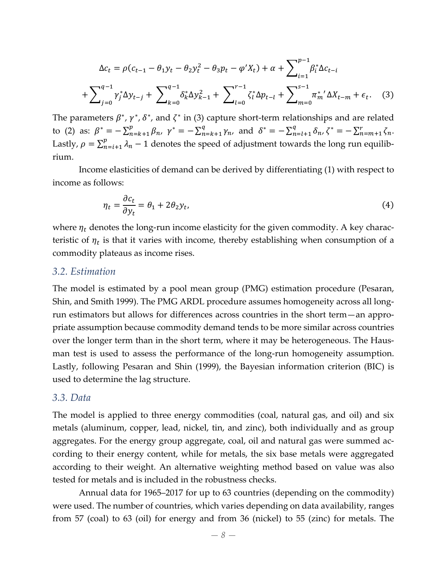$$
\Delta c_t = \rho (c_{t-1} - \theta_1 y_t - \theta_2 y_t^2 - \theta_3 p_t - \varphi' X_t) + \alpha + \sum_{i=1}^{p-1} \beta_i^* \Delta c_{t-i}
$$

$$
+ \sum_{j=0}^{q-1} \gamma_j^* \Delta y_{t-j} + \sum_{k=0}^{q-1} \delta_k^* \Delta y_{k-1}^2 + \sum_{l=0}^{r-1} \zeta_l^* \Delta p_{t-l} + \sum_{m=0}^{s-1} \pi_m^{*'} \Delta X_{t-m} + \epsilon_t. \quad (3)
$$

The parameters  $\beta^*$ ,  $\gamma^*$ ,  $\delta^*$ , and  $\zeta^*$  in (3) capture short-term relationships and are related to (2) as:  $\beta^* = -\sum_{n=k+1}^p \beta_n$ ,  $\gamma^* = -\sum_{n=k+1}^q \gamma_n$ , and  $\delta^* = -\sum_{n=l+1}^q \delta_n$ ,  $\zeta^* = -\sum_{n=m+1}^r \zeta_n$ . Lastly,  $\rho = \sum_{n=i+1}^{p} \lambda_n - 1$  denotes the speed of adjustment towards the long run equilibrium.

Income elasticities of demand can be derived by differentiating (1) with respect to income as follows:

$$
\eta_t = \frac{\partial c_t}{\partial y_t} = \theta_1 + 2\theta_2 y_t,\tag{4}
$$

where  $\eta_t$  denotes the long-run income elasticity for the given commodity. A key characteristic of  $\eta_t$  is that it varies with income, thereby establishing when consumption of a commodity plateaus as income rises.

#### *3.2. Estimation*

The model is estimated by a pool mean group (PMG) estimation procedure (Pesaran, Shin, and Smith 1999). The PMG ARDL procedure assumes homogeneity across all long‐ run estimators but allows for differences across countries in the short term—an appro‐ priate assumption because commodity demand tends to be more similar across countries over the longer term than in the short term, where it may be heterogeneous. The Hausman test is used to assess the performance of the long-run homogeneity assumption. Lastly, following Pesaran and Shin (1999), the Bayesian information criterion (BIC) is used to determine the lag structure.

#### *3.3. Data*

The model is applied to three energy commodities (coal, natural gas, and oil) and six metals (aluminum, copper, lead, nickel, tin, and zinc), both individually and as group aggregates. For the energy group aggregate, coal, oil and natural gas were summed ac‐ cording to their energy content, while for metals, the six base metals were aggregated according to their weight. An alternative weighting method based on value was also tested for metals and is included in the robustness checks.

Annual data for 1965–2017 for up to 63 countries (depending on the commodity) were used. The number of countries, which varies depending on data availability, ranges from 57 (coal) to 63 (oil) for energy and from 36 (nickel) to 55 (zinc) for metals. The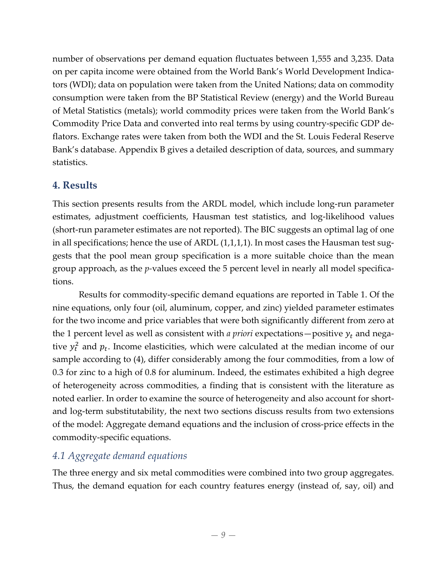number of observations per demand equation fluctuates between 1,555 and 3,235. Data on per capita income were obtained from the World Bank's World Development Indica‐ tors (WDI); data on population were taken from the United Nations; data on commodity consumption were taken from the BP Statistical Review (energy) and the World Bureau of Metal Statistics (metals); world commodity prices were taken from the World Bank's Commodity Price Data and converted into real terms by using country‐specific GDP de‐ flators. Exchange rates were taken from both the WDI and the St. Louis Federal Reserve Bank's database. Appendix B gives a detailed description of data, sources, and summary statistics.

# **4. Results**

This section presents results from the ARDL model, which include long‐run parameter estimates, adjustment coefficients, Hausman test statistics, and log‐likelihood values (short-run parameter estimates are not reported). The BIC suggests an optimal lag of one in all specifications; hence the use of ARDL  $(1,1,1,1)$ . In most cases the Hausman test suggests that the pool mean group specification is a more suitable choice than the mean group approach, as the *p*-values exceed the 5 percent level in nearly all model specifications.

Results for commodity‐specific demand equations are reported in Table 1. Of the nine equations, only four (oil, aluminum, copper, and zinc) yielded parameter estimates for the two income and price variables that were both significantly different from zero at the 1 percent level as well as consistent with *a priori* expectations—positive  $y_t$  and negative  $y_t^2$  and  $p_t$ . Income elasticities, which were calculated at the median income of our sample according to (4), differ considerably among the four commodities, from a low of 0.3 for zinc to a high of 0.8 for aluminum. Indeed, the estimates exhibited a high degree of heterogeneity across commodities, a finding that is consistent with the literature as noted earlier. In order to examine the source of heterogeneity and also account for shortand log-term substitutability, the next two sections discuss results from two extensions of the model: Aggregate demand equations and the inclusion of cross‐price effects in the commodity‐specific equations.

# *4.1 Aggregate demand equations*

The three energy and six metal commodities were combined into two group aggregates. Thus, the demand equation for each country features energy (instead of, say, oil) and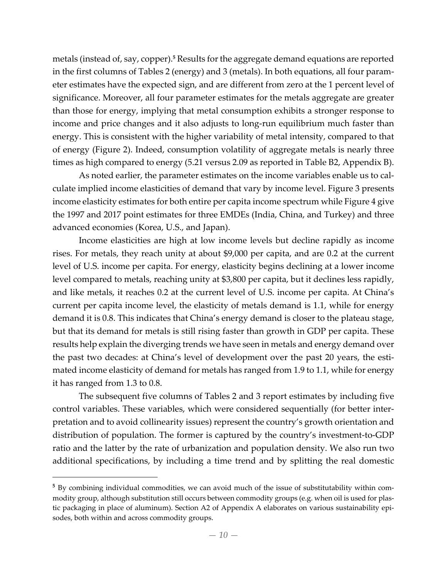metals (instead of, say, copper).**<sup>5</sup>** Results forthe aggregate demand equations are reported in the first columns of Tables 2 (energy) and 3 (metals). In both equations, all four param‐ eter estimates have the expected sign, and are different from zero at the 1 percent level of significance. Moreover, all four parameter estimates for the metals aggregate are greater than those for energy, implying that metal consumption exhibits a stronger response to income and price changes and it also adjusts to long-run equilibrium much faster than energy. This is consistent with the higher variability of metal intensity, compared to that of energy (Figure 2). Indeed, consumption volatility of aggregate metals is nearly three times as high compared to energy (5.21 versus 2.09 as reported in Table B2, Appendix B).

As noted earlier, the parameter estimates on the income variables enable us to cal‐ culate implied income elasticities of demand that vary by income level. Figure 3 presents income elasticity estimates for both entire per capita income spectrum while Figure 4 give the 1997 and 2017 point estimates for three EMDEs (India, China, and Turkey) and three advanced economies (Korea, U.S., and Japan).

Income elasticities are high at low income levels but decline rapidly as income rises. For metals, they reach unity at about \$9,000 per capita, and are 0.2 at the current level of U.S. income per capita. For energy, elasticity begins declining at a lower income level compared to metals, reaching unity at \$3,800 per capita, but it declines less rapidly, and like metals, it reaches 0.2 at the current level of U.S. income per capita. At China's current per capita income level, the elasticity of metals demand is 1.1, while for energy demand it is 0.8. This indicates that China's energy demand is closer to the plateau stage, but that its demand for metals is still rising faster than growth in GDP per capita. These results help explain the diverging trends we have seen in metals and energy demand over the past two decades: at China's level of development over the past 20 years, the estimated income elasticity of demand for metals has ranged from 1.9 to 1.1, while for energy it has ranged from 1.3 to 0.8.

The subsequent five columns of Tables 2 and 3 report estimates by including five control variables. These variables, which were considered sequentially (for better interpretation and to avoid collinearity issues) represent the country's growth orientation and distribution of population. The former is captured by the country's investment‐to‐GDP ratio and the latter by the rate of urbanization and population density. We also run two additional specifications, by including a time trend and by splitting the real domestic

 $\overline{a}$ 

**<sup>5</sup>** By combining individual commodities, we can avoid much of the issue of substitutability within com‐ modity group, although substitution still occurs between commodity groups (e.g. when oil is used for plas‐ tic packaging in place of aluminum). Section A2 of Appendix A elaborates on various sustainability episodes, both within and across commodity groups.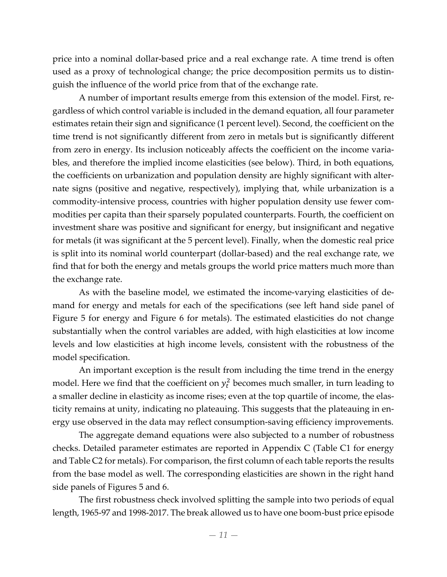price into a nominal dollar‐based price and a real exchange rate. A time trend is often used as a proxy of technological change; the price decomposition permits us to distin‐ guish the influence of the world price from that of the exchange rate.

A number of important results emerge from this extension of the model. First, re‐ gardless of which control variable is included in the demand equation, all four parameter estimates retain their sign and significance (1 percent level). Second, the coefficient on the time trend is not significantly different from zero in metals but is significantly different from zero in energy. Its inclusion noticeably affects the coefficient on the income variables, and therefore the implied income elasticities (see below). Third, in both equations, the coefficients on urbanization and population density are highly significant with alter‐ nate signs (positive and negative, respectively), implying that, while urbanization is a commodity-intensive process, countries with higher population density use fewer commodities per capita than their sparsely populated counterparts. Fourth, the coefficient on investment share was positive and significant for energy, but insignificant and negative for metals (it was significant at the 5 percent level). Finally, when the domestic real price is split into its nominal world counterpart (dollar‐based) and the real exchange rate, we find that for both the energy and metals groups the world price matters much more than the exchange rate.

As with the baseline model, we estimated the income‐varying elasticities of de‐ mand for energy and metals for each of the specifications (see left hand side panel of Figure 5 for energy and Figure 6 for metals). The estimated elasticities do not change substantially when the control variables are added, with high elasticities at low income levels and low elasticities at high income levels, consistent with the robustness of the model specification.

An important exception is the result from including the time trend in the energy model. Here we find that the coefficient on  $y_t^2$  becomes much smaller, in turn leading to a smaller decline in elasticity as income rises; even at the top quartile of income, the elasticity remains at unity, indicating no plateauing. This suggests that the plateauing in en‐ ergy use observed in the data may reflect consumption‐saving efficiency improvements.

The aggregate demand equations were also subjected to a number of robustness checks. Detailed parameter estimates are reported in Appendix C (Table C1 for energy and Table C2 for metals). For comparison, the first column of each table reports the results from the base model as well. The corresponding elasticities are shown in the right hand side panels of Figures 5 and 6.

The first robustness check involved splitting the sample into two periods of equal length, 1965‐97 and 1998‐2017. The break allowed us to have one boom‐bust price episode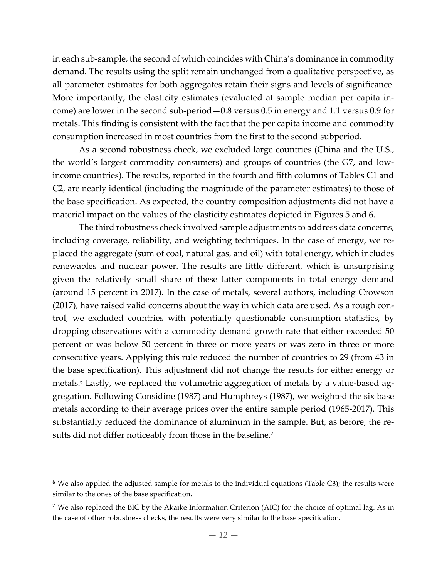in each sub-sample, the second of which coincides with China's dominance in commodity demand. The results using the split remain unchanged from a qualitative perspective, as all parameter estimates for both aggregates retain their signs and levels of significance. More importantly, the elasticity estimates (evaluated at sample median per capita income) are lower in the second sub‐period—0.8 versus 0.5 in energy and 1.1 versus 0.9 for metals. This finding is consistent with the fact that the per capita income and commodity consumption increased in most countries from the first to the second subperiod.

As a second robustness check, we excluded large countries (China and the U.S., the world's largest commodity consumers) and groups of countries (the G7, and low‐ income countries). The results, reported in the fourth and fifth columns of Tables C1 and C2, are nearly identical (including the magnitude of the parameter estimates) to those of the base specification. As expected, the country composition adjustments did not have a material impact on the values of the elasticity estimates depicted in Figures 5 and 6.

The third robustness check involved sample adjustments to address data concerns, including coverage, reliability, and weighting techniques. In the case of energy, we replaced the aggregate (sum of coal, natural gas, and oil) with total energy, which includes renewables and nuclear power. The results are little different, which is unsurprising given the relatively small share of these latter components in total energy demand (around 15 percent in 2017). In the case of metals, several authors, including Crowson (2017), have raised valid concerns about the way in which data are used. As a rough con‐ trol, we excluded countries with potentially questionable consumption statistics, by dropping observations with a commodity demand growth rate that either exceeded 50 percent or was below 50 percent in three or more years or was zero in three or more consecutive years. Applying this rule reduced the number of countries to 29 (from 43 in the base specification). This adjustment did not change the results for either energy or metals.<sup>6</sup> Lastly, we replaced the volumetric aggregation of metals by a value-based aggregation. Following Considine (1987) and Humphreys (1987), we weighted the six base metals according to their average prices over the entire sample period (1965‐2017). This substantially reduced the dominance of aluminum in the sample. But, as before, the re‐ sults did not differ noticeably from those in the baseline.**<sup>7</sup>**

<u>.</u>

**<sup>6</sup>** We also applied the adjusted sample for metals to the individual equations (Table C3); the results were similar to the ones of the base specification.

**<sup>7</sup>** We also replaced the BIC by the Akaike Information Criterion (AIC) for the choice of optimal lag. As in the case of other robustness checks, the results were very similar to the base specification.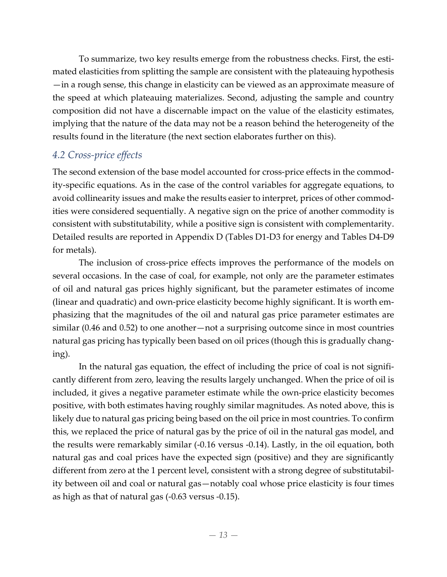To summarize, two key results emerge from the robustness checks. First, the esti‐ mated elasticities from splitting the sample are consistent with the plateauing hypothesis —in a rough sense, this change in elasticity can be viewed as an approximate measure of the speed at which plateauing materializes. Second, adjusting the sample and country composition did not have a discernable impact on the value of the elasticity estimates, implying that the nature of the data may not be a reason behind the heterogeneity of the results found in the literature (the next section elaborates further on this).

# *4.2 Cross‐price effects*

The second extension of the base model accounted for cross-price effects in the commodity‐specific equations. As in the case of the control variables for aggregate equations, to avoid collinearity issues and make the results easier to interpret, prices of other commod‐ ities were considered sequentially. A negative sign on the price of another commodity is consistent with substitutability, while a positive sign is consistent with complementarity. Detailed results are reported in Appendix D (Tables D1‐D3 for energy and Tables D4‐D9 for metals).

The inclusion of cross-price effects improves the performance of the models on several occasions. In the case of coal, for example, not only are the parameter estimates of oil and natural gas prices highly significant, but the parameter estimates of income (linear and quadratic) and own‐price elasticity become highly significant. It is worth em‐ phasizing that the magnitudes of the oil and natural gas price parameter estimates are similar (0.46 and 0.52) to one another—not a surprising outcome since in most countries natural gas pricing has typically been based on oil prices (though this is gradually chang‐ ing).

In the natural gas equation, the effect of including the price of coal is not significantly different from zero, leaving the results largely unchanged. When the price of oil is included, it gives a negative parameter estimate while the own‐price elasticity becomes positive, with both estimates having roughly similar magnitudes. As noted above, this is likely due to natural gas pricing being based on the oil price in most countries. To confirm this, we replaced the price of natural gas by the price of oil in the natural gas model, and the results were remarkably similar (‐0.16 versus ‐0.14). Lastly, in the oil equation, both natural gas and coal prices have the expected sign (positive) and they are significantly different from zero at the 1 percent level, consistent with a strong degree of substitutability between oil and coal or natural gas—notably coal whose price elasticity is four times as high as that of natural gas (‐0.63 versus ‐0.15).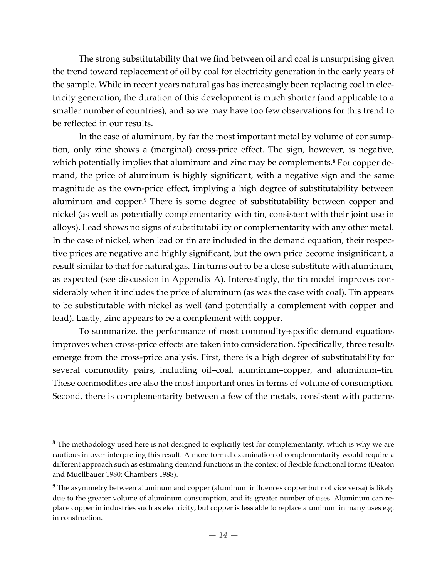The strong substitutability that we find between oil and coal is unsurprising given the trend toward replacement of oil by coal for electricity generation in the early years of the sample. While in recent years natural gas has increasingly been replacing coal in elec‐ tricity generation, the duration of this development is much shorter (and applicable to a smaller number of countries), and so we may have too few observations for this trend to be reflected in our results.

In the case of aluminum, by far the most important metal by volume of consumption, only zinc shows a (marginal) cross‐price effect. The sign, however, is negative, which potentially implies that aluminum and zinc may be complements.<sup>8</sup> For copper demand, the price of aluminum is highly significant, with a negative sign and the same magnitude as the own‐price effect, implying a high degree of substitutability between aluminum and copper.**<sup>9</sup>** There is some degree of substitutability between copper and nickel (as well as potentially complementarity with tin, consistent with their joint use in alloys). Lead shows no signs of substitutability or complementarity with any other metal. In the case of nickel, when lead or tin are included in the demand equation, their respec‐ tive prices are negative and highly significant, but the own price become insignificant, a result similar to that for natural gas. Tin turns out to be a close substitute with aluminum, as expected (see discussion in Appendix A). Interestingly, the tin model improves con‐ siderably when it includes the price of aluminum (as was the case with coal). Tin appears to be substitutable with nickel as well (and potentially a complement with copper and lead). Lastly, zinc appears to be a complement with copper.

To summarize, the performance of most commodity‐specific demand equations improves when cross-price effects are taken into consideration. Specifically, three results emerge from the cross-price analysis. First, there is a high degree of substitutability for several commodity pairs, including oil–coal, aluminum–copper, and aluminum–tin. These commodities are also the most important ones in terms of volume of consumption. Second, there is complementarity between a few of the metals, consistent with patterns

 $\overline{a}$ 

**<sup>8</sup>** The methodology used here is not designed to explicitly test for complementarity, which is why we are cautious in over‐interpreting this result. A more formal examination of complementarity would require a different approach such as estimating demand functions in the context of flexible functional forms (Deaton and Muellbauer 1980; Chambers 1988).

**<sup>9</sup>** The asymmetry between aluminum and copper (aluminum influences copper but not vice versa) is likely due to the greater volume of aluminum consumption, and its greater number of uses. Aluminum can replace copper in industries such as electricity, but copper is less able to replace aluminum in many uses e.g. in construction.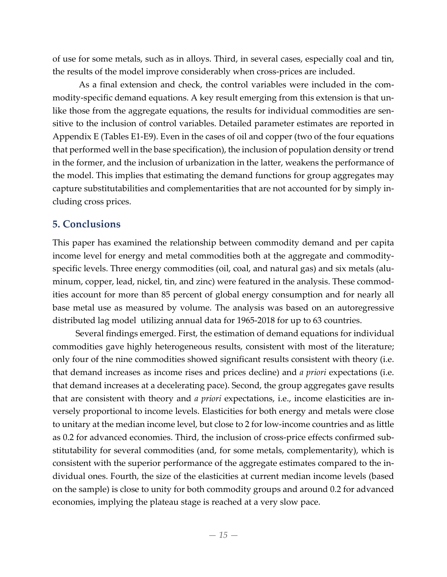of use for some metals, such as in alloys. Third, in several cases, especially coal and tin, the results of the model improve considerably when cross‐prices are included.

As a final extension and check, the control variables were included in the com‐ modity-specific demand equations. A key result emerging from this extension is that unlike those from the aggregate equations, the results for individual commodities are sensitive to the inclusion of control variables. Detailed parameter estimates are reported in Appendix E (Tables E1‐E9). Even in the cases of oil and copper (two of the four equations that performed well in the base specification), the inclusion of population density or trend in the former, and the inclusion of urbanization in the latter, weakens the performance of the model. This implies that estimating the demand functions for group aggregates may capture substitutabilities and complementarities that are not accounted for by simply in‐ cluding cross prices.

### **5. Conclusions**

This paper has examined the relationship between commodity demand and per capita income level for energy and metal commodities both at the aggregate and commodity‐ specific levels. Three energy commodities (oil, coal, and natural gas) and six metals (aluminum, copper, lead, nickel, tin, and zinc) were featured in the analysis. These commodities account for more than 85 percent of global energy consumption and for nearly all base metal use as measured by volume. The analysis was based on an autoregressive distributed lag model utilizing annual data for 1965‐2018 for up to 63 countries.

Several findings emerged. First, the estimation of demand equations for individual commodities gave highly heterogeneous results, consistent with most of the literature; only four of the nine commodities showed significant results consistent with theory (i.e. that demand increases as income rises and prices decline) and *a priori* expectations (i.e. that demand increases at a decelerating pace). Second, the group aggregates gave results that are consistent with theory and *a priori* expectations, i.e., income elasticities are in‐ versely proportional to income levels. Elasticities for both energy and metals were close to unitary at the median income level, but close to 2 for low‐income countries and as little as 0.2 for advanced economies. Third, the inclusion of cross‐price effects confirmed sub‐ stitutability for several commodities (and, for some metals, complementarity), which is consistent with the superior performance of the aggregate estimates compared to the in‐ dividual ones. Fourth, the size of the elasticities at current median income levels (based on the sample) is close to unity for both commodity groups and around 0.2 for advanced economies, implying the plateau stage is reached at a very slow pace.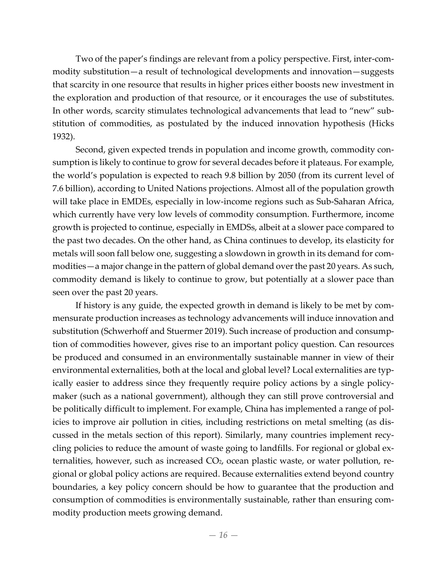Two of the paper's findings are relevant from a policy perspective. First, inter‐com‐ modity substitution—a result of technological developments and innovation—suggests that scarcity in one resource that results in higher prices either boosts new investment in the exploration and production of that resource, or it encourages the use of substitutes. In other words, scarcity stimulates technological advancements that lead to "new" substitution of commodities, as postulated by the induced innovation hypothesis (Hicks 1932).

Second, given expected trends in population and income growth, commodity consumption is likely to continue to grow for several decades before it plateaus. For example, the world's population is expected to reach 9.8 billion by 2050 (from its current level of 7.6 billion), according to United Nations projections. Almost all of the population growth will take place in EMDEs, especially in low-income regions such as Sub-Saharan Africa, which currently have very low levels of commodity consumption. Furthermore, income growth is projected to continue, especially in EMDSs, albeit at a slower pace compared to the past two decades. On the other hand, as China continues to develop, its elasticity for metals will soon fall below one, suggesting a slowdown in growth in its demand for com‐ modities—a major change in the pattern of global demand overthe past 20 years. As such, commodity demand is likely to continue to grow, but potentially at a slower pace than seen over the past 20 years.

If history is any guide, the expected growth in demand is likely to be met by com‐ mensurate production increases as technology advancements will induce innovation and substitution (Schwerhoff and Stuermer 2019). Such increase of production and consump‐ tion of commodities however, gives rise to an important policy question. Can resources be produced and consumed in an environmentally sustainable manner in view of their environmental externalities, both at the local and global level? Local externalities are typically easier to address since they frequently require policy actions by a single policy‐ maker (such as a national government), although they can still prove controversial and be politically difficult to implement. For example, China has implemented a range of policies to improve air pollution in cities, including restrictions on metal smelting (as dis‐ cussed in the metals section of this report). Similarly, many countries implement recy‐ cling policies to reduce the amount of waste going to landfills. For regional or global ex‐ ternalities, however, such as increased CO<sub>2</sub>, ocean plastic waste, or water pollution, regional or global policy actions are required. Because externalities extend beyond country boundaries, a key policy concern should be how to guarantee that the production and consumption of commodities is environmentally sustainable, rather than ensuring com‐ modity production meets growing demand.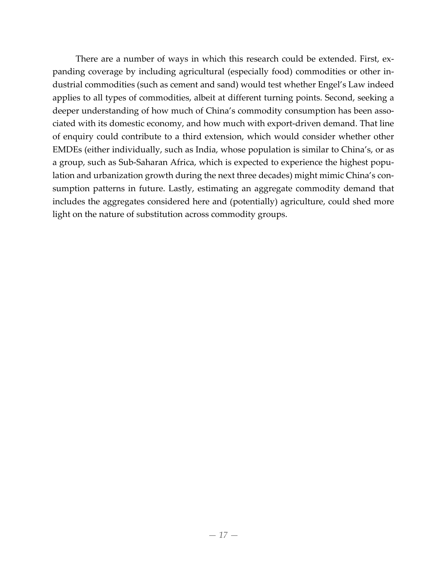There are a number of ways in which this research could be extended. First, expanding coverage by including agricultural (especially food) commodities or other in‐ dustrial commodities (such as cement and sand) would test whether Engel's Law indeed applies to all types of commodities, albeit at different turning points. Second, seeking a deeper understanding of how much of China's commodity consumption has been associated with its domestic economy, and how much with export‐driven demand. That line of enquiry could contribute to a third extension, which would consider whether other EMDEs (either individually, such as India, whose population is similar to China's, or as a group, such as Sub‐Saharan Africa, which is expected to experience the highest popu‐ lation and urbanization growth during the next three decades) might mimic China's consumption patterns in future. Lastly, estimating an aggregate commodity demand that includes the aggregates considered here and (potentially) agriculture, could shed more light on the nature of substitution across commodity groups.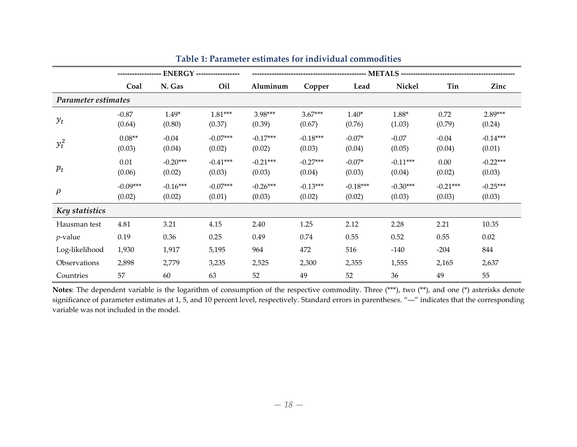|                     | <b>ENERGY</b> ------------------ |                      |                      |                      |                      |                      |                      |                      |                      |
|---------------------|----------------------------------|----------------------|----------------------|----------------------|----------------------|----------------------|----------------------|----------------------|----------------------|
|                     | Coal                             | N. Gas               | Oil                  | Aluminum             | Copper               | Lead                 | Nickel               | Tin                  | Zinc                 |
| Parameter estimates |                                  |                      |                      |                      |                      |                      |                      |                      |                      |
| $y_t$               | $-0.87$<br>(0.64)                | $1.49*$<br>(0.80)    | $1.81***$<br>(0.37)  | 3.98***<br>(0.39)    | $3.67***$<br>(0.67)  | $1.40*$<br>(0.76)    | $1.88*$<br>(1.03)    | 0.72<br>(0.79)       | $2.89***$<br>(0.24)  |
| $y_t^2$             | $0.08**$<br>(0.03)               | $-0.04$<br>(0.04)    | $-0.07***$<br>(0.02) | $-0.17***$<br>(0.02) | $-0.18***$<br>(0.03) | $-0.07*$<br>(0.04)   | $-0.07$<br>(0.05)    | $-0.04$<br>(0.04)    | $-0.14***$<br>(0.01) |
| $p_t$               | 0.01<br>(0.06)                   | $-0.20***$<br>(0.02) | $-0.41***$<br>(0.03) | $-0.21***$<br>(0.03) | $-0.27***$<br>(0.04) | $-0.07*$<br>(0.03)   | $-0.11***$<br>(0.04) | 0.00<br>(0.02)       | $-0.22***$<br>(0.03) |
| $\rho$              | $-0.09***$<br>(0.02)             | $-0.16***$<br>(0.02) | $-0.07***$<br>(0.01) | $-0.26***$<br>(0.03) | $-0.13***$<br>(0.02) | $-0.18***$<br>(0.02) | $-0.30***$<br>(0.03) | $-0.21***$<br>(0.03) | $-0.25***$<br>(0.03) |
| Key statistics      |                                  |                      |                      |                      |                      |                      |                      |                      |                      |
| Hausman test        | 4.81                             | 3.21                 | 4.15                 | 2.40                 | 1.25                 | 2.12                 | 2.28                 | 2.21                 | 10.35                |
| $p$ -value          | 0.19                             | 0.36                 | 0.25                 | 0.49                 | 0.74                 | 0.55                 | 0.52                 | 0.55                 | 0.02                 |
| Log-likelihood      | 1,930                            | 1,917                | 5,195                | 964                  | 472                  | 516                  | $-140$               | $-204$               | 844                  |
| Observations        | 2,898                            | 2,779                | 3,235                | 2,525                | 2,300                | 2,355                | 1,555                | 2,165                | 2,637                |
| Countries           | 57                               | 60                   | 63                   | 52                   | 49                   | 52                   | 36                   | 49                   | 55                   |

**Table 1: Parameter estimates for individual commodities**

**Notes**: The dependent variable is the logarithm of consumption of the respective commodity. Three (\*\*\*), two (\*\*), and one (\*) asterisks denote significance of parameter estimates at 1, 5, and 10 percen<sup>t</sup> level, respectively. Standard errors in parentheses. "―" indicates that the corresponding variable was not included in the model.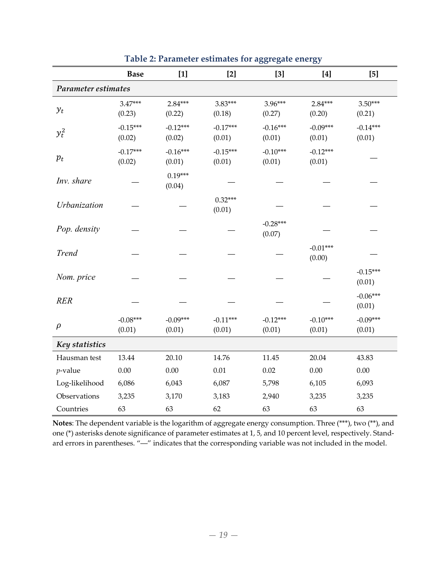|                     | <b>Base</b>          | $[1]$                | $[2]$                | $[3]$                | $[4]$                | [5]                  |  |
|---------------------|----------------------|----------------------|----------------------|----------------------|----------------------|----------------------|--|
| Parameter estimates |                      |                      |                      |                      |                      |                      |  |
| $y_t$               | $3.47***$<br>(0.23)  | 2.84***<br>(0.22)    | $3.83***$<br>(0.18)  | 3.96***<br>(0.27)    | 2.84***<br>(0.20)    | $3.50***$<br>(0.21)  |  |
| $y_t^2$             | $-0.15***$<br>(0.02) | $-0.12***$<br>(0.02) | $-0.17***$<br>(0.01) | $-0.16***$<br>(0.01) | $-0.09***$<br>(0.01) | $-0.14***$<br>(0.01) |  |
| $p_t$               | $-0.17***$<br>(0.02) | $-0.16***$<br>(0.01) | $-0.15***$<br>(0.01) | $-0.10***$<br>(0.01) | $-0.12***$<br>(0.01) |                      |  |
| Inv. share          |                      | $0.19***$<br>(0.04)  |                      |                      |                      |                      |  |
| Urbanization        |                      |                      | $0.32***$<br>(0.01)  |                      |                      |                      |  |
| Pop. density        |                      |                      |                      | $-0.28***$<br>(0.07) |                      |                      |  |
| <b>Trend</b>        |                      |                      |                      |                      | $-0.01***$<br>(0.00) |                      |  |
| Nom. price          |                      |                      |                      |                      |                      | $-0.15***$<br>(0.01) |  |
| <b>RER</b>          |                      |                      |                      |                      |                      | $-0.06***$<br>(0.01) |  |
| $\rho$              | $-0.08***$<br>(0.01) | $-0.09***$<br>(0.01) | $-0.11***$<br>(0.01) | $-0.12***$<br>(0.01) | $-0.10***$<br>(0.01) | $-0.09***$<br>(0.01) |  |
| Key statistics      |                      |                      |                      |                      |                      |                      |  |
| Hausman test        | 13.44                | 20.10                | 14.76                | 11.45                | 20.04                | 43.83                |  |
| $p$ -value          | 0.00                 | 0.00                 | $0.01\,$             | 0.02                 | 0.00                 | 0.00                 |  |
| Log-likelihood      | 6,086                | 6,043                | 6,087                | 5,798                | 6,105                | 6,093                |  |
| Observations        | 3,235                | 3,170                | 3,183                | 2,940                | 3,235                | 3,235                |  |
| Countries           | 63                   | 63                   | 62                   | 63                   | 63                   | 63                   |  |

**Table 2: Parameter estimates for aggregate energy**

**Notes**: The dependent variable is the logarithm of aggregate energy consumption. Three (\*\*\*), two (\*\*), and one (\*) asterisks denote significance of parameter estimates at 1, 5, and 10 percent level, respectively. Stand‐ ard errors in parentheses. "―" indicates that the corresponding variable was not included in the model.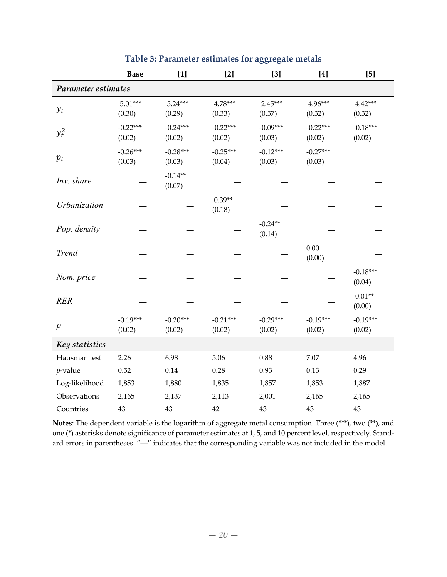|                     | <b>Base</b>          | $[1]$                | $[2]$                | $[3]$                | $[4]$                | $[5]$                |  |
|---------------------|----------------------|----------------------|----------------------|----------------------|----------------------|----------------------|--|
| Parameter estimates |                      |                      |                      |                      |                      |                      |  |
| $y_t$               | $5.01***$<br>(0.30)  | $5.24***$<br>(0.29)  | 4.78***<br>(0.33)    | $2.45***$<br>(0.57)  | 4.96***<br>(0.32)    | 4.42***<br>(0.32)    |  |
| $y_t^2$             | $-0.22***$<br>(0.02) | $-0.24***$<br>(0.02) | $-0.22***$<br>(0.02) | $-0.09***$<br>(0.03) | $-0.22***$<br>(0.02) | $-0.18***$<br>(0.02) |  |
| $p_t$               | $-0.26***$<br>(0.03) | $-0.28***$<br>(0.03) | $-0.25***$<br>(0.04) | $-0.12***$<br>(0.03) | $-0.27***$<br>(0.03) |                      |  |
| Inv. share          |                      | $-0.14**$<br>(0.07)  |                      |                      |                      |                      |  |
| Urbanization        |                      |                      | $0.39**$<br>(0.18)   |                      |                      |                      |  |
| Pop. density        |                      |                      |                      | $-0.24**$<br>(0.14)  |                      |                      |  |
| <b>Trend</b>        |                      |                      |                      |                      | 0.00<br>(0.00)       |                      |  |
| Nom. price          |                      |                      |                      |                      |                      | $-0.18***$<br>(0.04) |  |
| <b>RER</b>          |                      |                      |                      |                      |                      | $0.01**$<br>(0.00)   |  |
| $\rho$              | $-0.19***$<br>(0.02) | $-0.20***$<br>(0.02) | $-0.21***$<br>(0.02) | $-0.29***$<br>(0.02) | $-0.19***$<br>(0.02) | $-0.19***$<br>(0.02) |  |
| Key statistics      |                      |                      |                      |                      |                      |                      |  |
| Hausman test        | 2.26                 | 6.98                 | 5.06                 | 0.88                 | 7.07                 | 4.96                 |  |
| $p$ -value          | 0.52                 | $0.14\,$             | 0.28                 | 0.93                 | 0.13                 | 0.29                 |  |
| Log-likelihood      | 1,853                | 1,880                | 1,835                | 1,857                | 1,853                | 1,887                |  |
| Observations        | 2,165                | 2,137                | 2,113                | 2,001                | 2,165                | 2,165                |  |
| Countries           | 43                   | 43                   | 42                   | 43                   | 43                   | 43                   |  |

**Table 3: Parameter estimates for aggregate metals**

**Notes**: The dependent variable is the logarithm of aggregate metal consumption. Three (\*\*\*), two (\*\*), and one (\*) asterisks denote significance of parameter estimates at 1, 5, and 10 percent level, respectively. Stand‐ ard errors in parentheses. "―" indicates that the corresponding variable was not included in the model.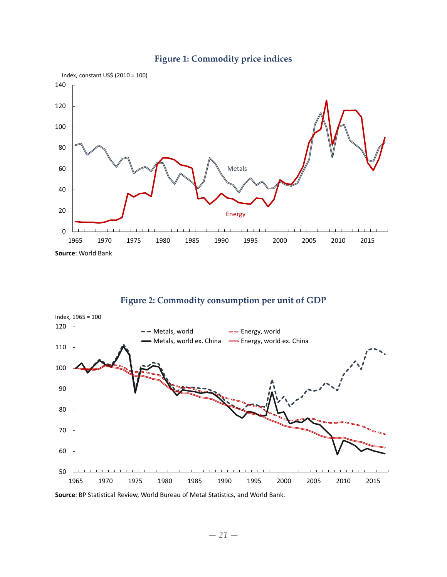

### **Figure 1: Commodity price indices**

### **Figure 2: Commodity consumption per unit of GDP**



**Source**: BP Statistical Review, World Bureau of Metal Statistics, and World Bank.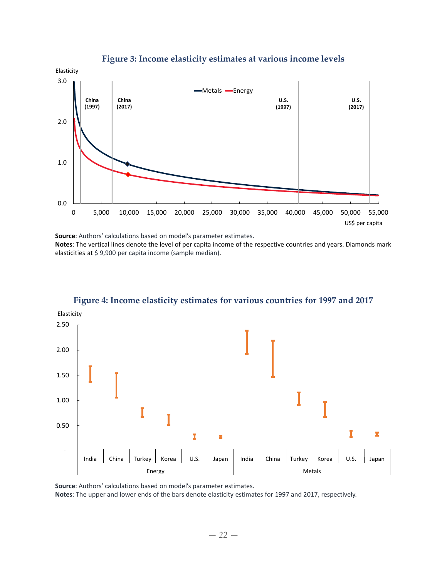

**Figure 3: Income elasticity estimates at various income levels**

**Source**: Authors' calculations based on model's parameter estimates.

**Notes**: The vertical lines denote the level of per capita income of the respective countries and years. Diamonds mark elasticities at \$ 9,900 per capita income (sample median).



**Figure 4: Income elasticity estimates for various countries for 1997 and 2017**

**Source**: Authors' calculations based on model's parameter estimates. **Notes**: The upper and lower ends of the bars denote elasticity estimates for 1997 and 2017, respectively.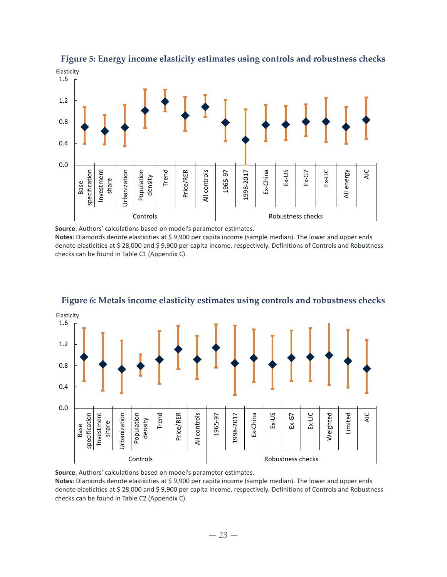

**Figure 5: Energy income elasticity estimates using controls and robustness checks**

**Source**: Authors' calculations based on model's parameter estimates.

**Notes**: Diamonds denote elasticities at \$ 9,900 per capita income (sample median). The lower and upper ends denote elasticities at \$ 28,000 and \$ 9,900 per capita income, respectively. Definitions of Controls and Robustness checks can be found in Table C1 (Appendix C).



**Figure 6: Metals income elasticity estimates using controls and robustness checks**

**Source**: Authors' calculations based on model's parameter estimates. **Notes**: Diamonds denote elasticities at \$ 9,900 per capita income (sample median). The lower and upper ends denote elasticities at \$ 28,000 and \$ 9,900 per capita income, respectively. Definitions of Controls and Robustness checks can be found in Table C2 (Appendix C).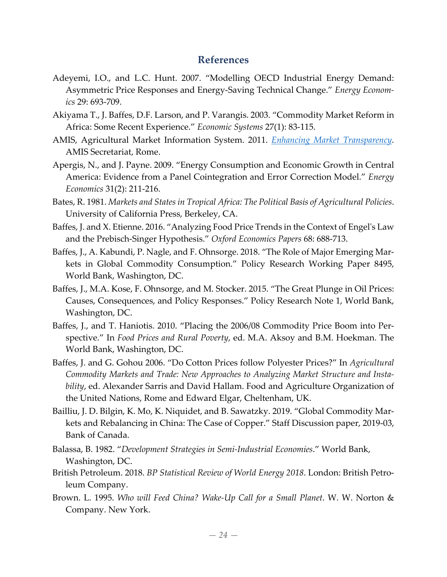# **References**

- Adeyemi, I.O., and L.C. Hunt. 2007. "Modelling OECD Industrial Energy Demand: Asymmetric Price Responses and Energy‐Saving Technical Change." *Energy Econom‐ ics* 29: 693‐709.
- Akiyama T., J. Baffes, D.F. Larson, and P. Varangis. 2003. "Commodity Market Reform in Africa: Some Recent Experience." *Economic Systems* 27(1): 83‐115.
- AMIS, Agricultural Market Information System. 2011. *Enhancing Market Transparency*. AMIS Secretariat, Rome.
- Apergis, N., and J. Payne. 2009. "Energy Consumption and Economic Growth in Central America: Evidence from a Panel Cointegration and Error Correction Model." *Energy Economics* 31(2): 211‐216.
- Bates, R. 1981. *Markets and States in Tropical Africa: The Political Basis of Agricultural Policies*. University of California Press, Berkeley, CA.
- Baffes, J. and X. Etienne. 2016. "Analyzing Food Price Trends in the Context of Engel's Law and the Prebisch‐Singer Hypothesis." *Oxford Economics Papers* 68: 688‐713.
- Baffes, J., A. Kabundi, P. Nagle, and F. Ohnsorge. 2018. "The Role of Major Emerging Markets in Global Commodity Consumption." Policy Research Working Paper 8495, World Bank, Washington, DC.
- Baffes, J., M.A. Kose, F. Ohnsorge, and M. Stocker. 2015. "The Great Plunge in Oil Prices: Causes, Consequences, and Policy Responses." Policy Research Note 1, World Bank, Washington, DC.
- Baffes, J., and T. Haniotis. 2010. "Placing the 2006/08 Commodity Price Boom into Per‐ spective." In *Food Prices and Rural Poverty*, ed. M.A. Aksoy and B.M. Hoekman. The World Bank, Washington, DC.
- Baffes, J. and G. Gohou 2006. "Do Cotton Prices follow Polyester Prices?" In *Agricultural Commodity Markets and Trade: New Approaches to Analyzing Market Structure and Insta‐ bility*, ed. Alexander Sarris and David Hallam. Food and Agriculture Organization of the United Nations, Rome and Edward Elgar, Cheltenham, UK.
- Bailliu, J. D. Bilgin, K. Mo, K. Niquidet, and B. Sawatzky. 2019. "Global Commodity Markets and Rebalancing in China: The Case of Copper." Staff Discussion paper, 2019‐03, Bank of Canada.
- Balassa, B. 1982. "*Development Strategies in Semi‐Industrial Economies*." World Bank, Washington, DC.
- British Petroleum. 2018. *BP Statistical Review of World Energy 2018*. London: British Petro‐ leum Company.
- Brown. L. 1995. *Who will Feed China? Wake‐Up Call for a Small Planet*. W. W. Norton & Company. New York.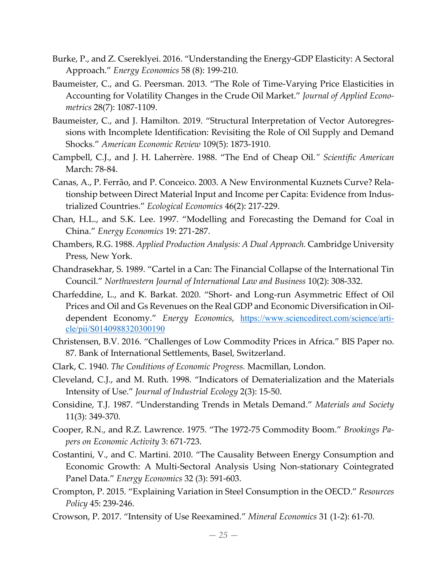- Burke, P., and Z. Csereklyei. 2016. "Understanding the Energy‐GDP Elasticity: A Sectoral Approach." *Energy Economics* 58 (8): 199‐210.
- Baumeister, C., and G. Peersman. 2013. "The Role of Time-Varying Price Elasticities in Accounting for Volatility Changes in the Crude Oil Market." *Journal of Applied Econo‐ metrics* 28(7): 1087‐1109.
- Baumeister, C., and J. Hamilton. 2019. "Structural Interpretation of Vector Autoregressions with Incomplete Identification: Revisiting the Role of Oil Supply and Demand Shocks." *American Economic Review* 109(5): 1873‐1910.
- Campbell, C.J., and J. H. Laherrère. 1988. "The End of Cheap Oil*." Scientific American* March: 78‐84.
- Canas, A., P. Ferrão, and P. Conceico. 2003. A New Environmental Kuznets Curve? Rela‐ tionship between Direct Material Input and Income per Capita: Evidence from Indus‐ trialized Countries." *Ecological Economics* 46(2): 217‐229.
- Chan, H.L., and S.K. Lee. 1997. "Modelling and Forecasting the Demand for Coal in China." *Energy Economics* 19: 271‐287.
- Chambers, R.G. 1988. *Applied Production Analysis: A Dual Approach.* Cambridge University Press, New York.
- Chandrasekhar, S. 1989. "Cartel in a Can: The Financial Collapse of the International Tin Council." *Northwestern Journal of International Law and Business* 10(2): 308‐332.
- Charfeddine, L., and K. Barkat. 2020. "Short‐ and Long‐run Asymmetric Effect of Oil Prices and Oil and Gs Revenues on the Real GDP and Economic Diversification in Oil‐ dependent Economy." *Energy Economics*, https://www.sciencedirect.com/science/article/pii/S0140988320300190
- Christensen, B.V. 2016. "Challenges of Low Commodity Prices in Africa." BIS Paper no. 87. Bank of International Settlements, Basel, Switzerland.
- Clark, C. 1940. *The Conditions of Economic Progress.* Macmillan, London.
- Cleveland, C.J., and M. Ruth. 1998. "Indicators of Dematerialization and the Materials Intensity of Use." *Journal of Industrial Ecology* 2(3): 15‐50.
- Considine, T.J. 1987. "Understanding Trends in Metals Demand." *Materials and Society* 11(3): 349‐370.
- Cooper, R.N., and R.Z. Lawrence. 1975. "The 1972‐75 Commodity Boom." *Brookings Pa‐ pers on Economic Activity* 3: 671‐723.
- Costantini, V., and C. Martini. 2010. "The Causality Between Energy Consumption and Economic Growth: A Multi‐Sectoral Analysis Using Non‐stationary Cointegrated Panel Data." *Energy Economics* 32 (3): 591‐603.
- Crompton, P. 2015. "Explaining Variation in Steel Consumption in the OECD." *Resources Policy* 45: 239‐246.
- Crowson, P. 2017. "Intensity of Use Reexamined." *Mineral Economics* 31 (1‐2): 61‐70.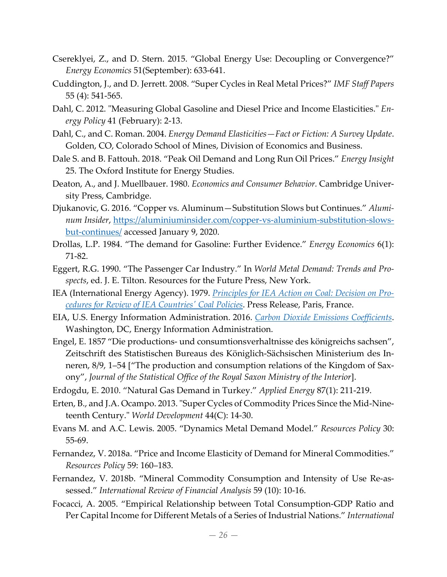- Csereklyei, Z., and D. Stern. 2015. "Global Energy Use: Decoupling or Convergence?" *Energy Economics* 51(September): 633‐641.
- Cuddington, J., and D. Jerrett. 2008. "Super Cycles in Real Metal Prices?" *IMF Staff Papers* 55 (4): 541‐565.
- Dahl, C. 2012. "Measuring Global Gasoline and Diesel Price and Income Elasticities." *Energy Policy* 41 (February): 2‐13.
- Dahl, C., and C. Roman. 2004. *Energy Demand Elasticities—Fact or Fiction: A Survey Update*. Golden, CO, Colorado School of Mines, Division of Economics and Business.
- Dale S. and B. Fattouh. 2018. "Peak Oil Demand and Long Run Oil Prices." *Energy Insight* 25. The Oxford Institute for Energy Studies.
- Deaton, A., and J. Muellbauer. 1980. *Economics and Consumer Behavior.* Cambridge Univer‐ sity Press, Cambridge.
- Djukanovic, G. 2016. "Copper vs. Aluminum—Substitution Slows but Continues." *Alumi‐ num Insider*, https://aluminiuminsider.com/copper‐vs‐aluminium‐substitution‐slows‐ but-continues/ accessed January 9, 2020.
- Drollas, L.P. 1984. "The demand for Gasoline: Further Evidence." *Energy Economics* 6(1): 71‐82.
- Eggert, R.G. 1990. "The Passenger Car Industry." In *World Metal Demand: Trends and Pro‐ spects*, ed. J. E. Tilton. Resources for the Future Press, New York.
- IEA (International Energy Agency). 1979. *Principles for IEA Action on Coal: Decision on Pro‐ cedures for Review of IEA Countriesʹ Coal Policies*. Press Release, Paris, France.
- EIA, U.S. Energy Information Administration. 2016. *Carbon Dioxide Emissions Coefficients*. Washington, DC, Energy Information Administration.
- Engel, E. 1857 "Die productions‐ und consumtionsverhaltnisse des königreichs sachsen", Zeitschrift des Statistischen Bureaus des Königlich‐Sächsischen Ministerium des In‐ neren, 8/9, 1–54 ["The production and consumption relations of the Kingdom of Sax‐ ony", *Journal of the Statistical Office of the Royal Saxon Ministry of the Interior*].
- Erdogdu, E. 2010. "Natural Gas Demand in Turkey." *Applied Energy* 87(1): 211‐219.
- Erten, B., and J.A. Ocampo. 2013. "Super Cycles of Commodity Prices Since the Mid-Nineteenth Century.ʺ *World Development* 44(C): 14‐30.
- Evans M. and A.C. Lewis. 2005. "Dynamics Metal Demand Model." *Resources Policy* 30: 55‐69.
- Fernandez, V. 2018a. "Price and Income Elasticity of Demand for Mineral Commodities." *Resources Policy* 59: 160–183.
- Fernandez, V. 2018b. "Mineral Commodity Consumption and Intensity of Use Re‐as‐ sessed." *International Review of Financial Analysis* 59 (10): 10‐16.
- Focacci, A. 2005. "Empirical Relationship between Total Consumption‐GDP Ratio and Per Capital Income for Different Metals of a Series of Industrial Nations." *International*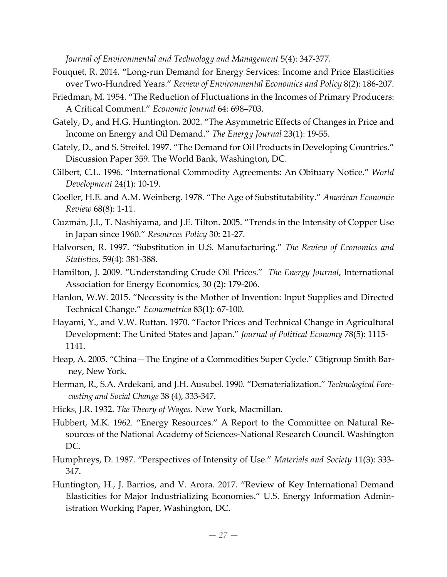*Journal of Environmental and Technology and Management* 5(4): 347‐377.

- Fouquet, R. 2014. "Long‐run Demand for Energy Services: Income and Price Elasticities over Two‐Hundred Years." *Review of Environmental Economics and Policy* 8(2): 186‐207.
- Friedman, M. 1954. "The Reduction of Fluctuations in the Incomes of Primary Producers: A Critical Comment." *Economic Journal* 64: 698–703.
- Gately, D., and H.G. Huntington. 2002. "The Asymmetric Effects of Changes in Price and Income on Energy and Oil Demand." *The Energy Journal* 23(1): 19‐55.
- Gately, D., and S. Streifel. 1997. "The Demand for Oil Products in Developing Countries." Discussion Paper 359. The World Bank, Washington, DC.
- Gilbert, C.L. 1996. "International Commodity Agreements: An Obituary Notice." *World Development* 24(1): 10‐19.
- Goeller, H.E. and A.M. Weinberg. 1978. "The Age of Substitutability." *American Economic Review* 68(8): 1‐11.
- Guzmán, J.I., T. Nashiyama, and J.E. Tilton. 2005. "Trends in the Intensity of Copper Use in Japan since 1960." *Resources Policy* 30: 21‐27.
- Halvorsen, R. 1997. "Substitution in U.S. Manufacturing." *The Review of Economics and Statistics,* 59(4): 381‐388.
- Hamilton, J. 2009. "Understanding Crude Oil Prices." *The Energy Journal*, International Association for Energy Economics, 30 (2): 179‐206.
- Hanlon, W.W. 2015. "Necessity is the Mother of Invention: Input Supplies and Directed Technical Change." *Econometrica* 83(1): 67‐100.
- Hayami, Y., and V.W. Ruttan. 1970. "Factor Prices and Technical Change in Agricultural Development: The United States and Japan." *Journal of Political Economy* 78(5): 1115‐ 1141.
- Heap, A. 2005. "China—The Engine of a Commodities Super Cycle." Citigroup Smith Bar‐ ney, New York.
- Herman, R., S.A. Ardekani, and J.H. Ausubel. 1990. "Dematerialization." *Technological Fore‐ casting and Social Change* 38 (4), 333‐347.
- Hicks, J.R. 1932. *The Theory of Wages*. New York, Macmillan.
- Hubbert, M.K. 1962. "Energy Resources." A Report to the Committee on Natural Re‐ sources of the National Academy of Sciences‐National Research Council. Washington DC.
- Humphreys, D. 1987. "Perspectives of Intensity of Use." *Materials and Society* 11(3): 333‐ 347.
- Huntington, H., J. Barrios, and V. Arora. 2017. "Review of Key International Demand Elasticities for Major Industrializing Economies." U.S. Energy Information Admin‐ istration Working Paper, Washington, DC.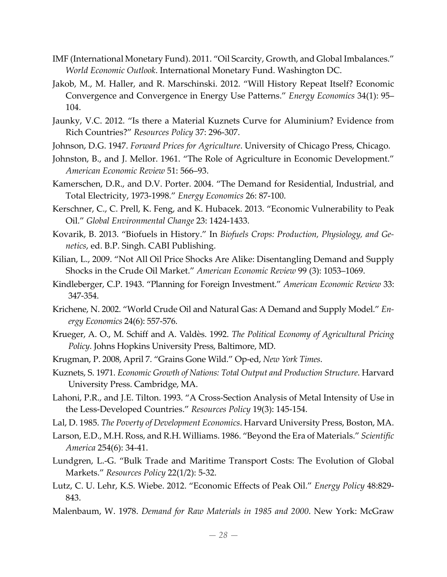- IMF (International Monetary Fund). 2011. "Oil Scarcity, Growth, and Global Imbalances." *World Economic Outlook*. International Monetary Fund. Washington DC.
- Jakob, M., M. Haller, and R. Marschinski. 2012. "Will History Repeat Itself? Economic Convergence and Convergence in Energy Use Patterns." *Energy Economics* 34(1): 95– 104.
- Jaunky, V.C. 2012. "Is there a Material Kuznets Curve for Aluminium? Evidence from Rich Countries?" *Resources Policy* 37: 296‐307.
- Johnson, D.G. 1947. *Forward Prices for Agriculture*. University of Chicago Press, Chicago.
- Johnston, B., and J. Mellor. 1961. "The Role of Agriculture in Economic Development." *American Economic Review* 51: 566–93.
- Kamerschen, D.R., and D.V. Porter. 2004. "The Demand for Residential, Industrial, and Total Electricity, 1973‐1998." *Energy Economics* 26: 87‐100.
- Kerschner, C., C. Prell, K. Feng, and K. Hubacek. 2013. "Economic Vulnerability to Peak Oil." *Global Environmental Change* 23: 1424‐1433.
- Kovarik, B. 2013. "Biofuels in History." In *Biofuels Crops: Production, Physiology, and Ge‐ netics*, ed. B.P. Singh. CABI Publishing.
- Kilian, L., 2009. "Not All Oil Price Shocks Are Alike: Disentangling Demand and Supply Shocks in the Crude Oil Market." *American Economic Review* 99 (3): 1053–1069.
- Kindleberger, C.P. 1943. "Planning for Foreign Investment." *American Economic Review* 33: 347‐354.
- Krichene, N. 2002. "World Crude Oil and Natural Gas: A Demand and Supply Model." *En‐ ergy Economics* 24(6): 557‐576.
- Krueger, A. O., M. Schiff and A. Valdès. 1992. *The Political Economy of Agricultural Pricing Policy*. Johns Hopkins University Press, Baltimore, MD.
- Krugman, P. 2008, April 7. "Grains Gone Wild." Op‐ed, *New York Times*.
- Kuznets, S. 1971. *Economic Growth of Nations: Total Output and Production Structure*. Harvard University Press. Cambridge, MA.
- Lahoni, P.R., and J.E. Tilton. 1993. "A Cross‐Section Analysis of Metal Intensity of Use in the Less‐Developed Countries." *Resources Policy* 19(3): 145‐154.
- Lal, D. 1985. *The Poverty of Development Economics*. Harvard University Press, Boston, MA.
- Larson, E.D., M.H. Ross, and R.H. Williams. 1986. "Beyond the Era of Materials." *Scientific America* 254(6): 34‐41.
- Lundgren, L.‐G. "Bulk Trade and Maritime Transport Costs: The Evolution of Global Markets." *Resources Policy* 22(1/2): 5‐32.
- Lutz, C. U. Lehr, K.S. Wiebe. 2012. "Economic Effects of Peak Oil." *Energy Policy* 48:829‐ 843.
- Malenbaum, W. 1978. *Demand for Raw Materials in 1985 and 2000*. New York: McGraw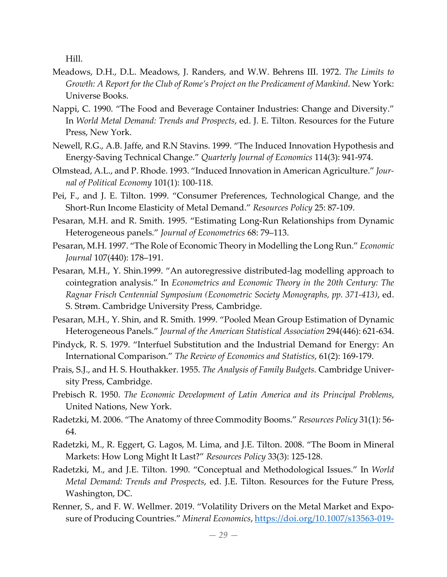Hill.

- Meadows, D.H., D.L. Meadows, J. Randers, and W.W. Behrens III. 1972. *The Limits to Growth: A Report for the Club of Rome's Project on the Predicament of Mankind*. New York: Universe Books.
- Nappi, C. 1990. "The Food and Beverage Container Industries: Change and Diversity." In *World Metal Demand: Trends and Prospects*, ed. J. E. Tilton. Resources for the Future Press, New York.
- Newell, R.G., A.B. Jaffe, and R.N Stavins. 1999. "The Induced Innovation Hypothesis and Energy‐Saving Technical Change." *Quarterly Journal of Economics* 114(3): 941‐974.
- Olmstead, A.L., and P. Rhode. 1993. "Induced Innovation in American Agriculture." *Jour‐ nal of Political Economy* 101(1): 100‐118.
- Pei, F., and J. E. Tilton. 1999. "Consumer Preferences, Technological Change, and the Short‐Run Income Elasticity of Metal Demand." *Resources Policy* 25: 87‐109.
- Pesaran, M.H. and R. Smith. 1995. "Estimating Long‐Run Relationships from Dynamic Heterogeneous panels." *Journal of Econometrics* 68: 79–113.
- Pesaran, M.H. 1997. "The Role of Economic Theory in Modelling the Long Run." *Economic Journal* 107(440): 178–191.
- Pesaran, M.H., Y. Shin.1999. "An autoregressive distributed‐lag modelling approach to cointegration analysis." In *Econometrics and Economic Theory in the 20th Century: The Ragnar Frisch Centennial Symposium (Econometric Society Monographs, pp. 371‐413)*, ed. S. Strøm. Cambridge University Press, Cambridge.
- Pesaran, M.H., Y. Shin, and R. Smith. 1999. "Pooled Mean Group Estimation of Dynamic Heterogeneous Panels." *Journal of the American Statistical Association* 294(446): 621‐634.
- Pindyck, R. S. 1979. "Interfuel Substitution and the Industrial Demand for Energy: An International Comparison." *The Review of Economics and Statistics*, 61(2): 169‐179.
- Prais, S.J., and H. S. Houthakker. 1955. *The Analysis of Family Budgets.* Cambridge Univer‐ sity Press, Cambridge.
- Prebisch R. 1950. *The Economic Development of Latin America and its Principal Problems*, United Nations, New York.
- Radetzki, M. 2006. "The Anatomy of three Commodity Booms." *Resources Policy* 31(1): 56‐ 64.
- Radetzki, M., R. Eggert, G. Lagos, M. Lima, and J.E. Tilton. 2008. "The Boom in Mineral Markets: How Long Might It Last?" *Resources Policy* 33(3): 125‐128.
- Radetzki, M., and J.E. Tilton. 1990. "Conceptual and Methodological Issues." In *World Metal Demand: Trends and Prospects*, ed. J.E. Tilton. Resources for the Future Press, Washington, DC.
- Renner, S., and F. W. Wellmer. 2019. "Volatility Drivers on the Metal Market and Exposure of Producing Countries." *Mineral Economics*, https://doi.org/10.1007/s13563‐019‐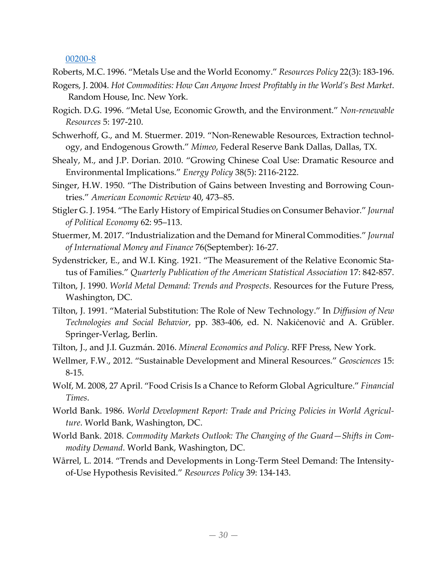#### 00200‐8

Roberts, M.C. 1996. "Metals Use and the World Economy." *Resources Policy* 22(3): 183‐196.

- Rogers, J. 2004. *Hot Commodities: How Can Anyone Invest Profitably in the World's Best Market*. Random House, Inc. New York.
- Rogich. D.G. 1996. "Metal Use, Economic Growth, and the Environment." *Non‐renewable Resources* 5: 197‐210.
- Schwerhoff, G., and M. Stuermer. 2019. "Non-Renewable Resources, Extraction technology, and Endogenous Growth." *Mimeo*, Federal Reserve Bank Dallas, Dallas, TX.
- Shealy, M., and J.P. Dorian. 2010. "Growing Chinese Coal Use: Dramatic Resource and Environmental Implications." *Energy Policy* 38(5): 2116‐2122.
- Singer, H.W. 1950. "The Distribution of Gains between Investing and Borrowing Coun‐ tries." *American Economic Review* 40, 473–85.
- Stigler G. J. 1954. "The Early History of Empirical Studies on Consumer Behavior." *Journal of Political Economy* 62: 95–113.
- Stuermer, M. 2017. "Industrialization and the Demand for Mineral Commodities." *Journal of International Money and Finance* 76(September): 16‐27.
- Sydenstricker, E., and W.I. King. 1921. "The Measurement of the Relative Economic Sta‐ tus of Families." *Quarterly Publication of the American Statistical Association* 17: 842‐857.
- Tilton, J. 1990. *World Metal Demand: Trends and Prospects*. Resources for the Future Press, Washington, DC.
- Tilton, J. 1991. "Material Substitution: The Role of New Technology." In *Diffusion of New Technologies and Social Behavior*, pp. 383‐406, ed. N. Nakiċenoviċ and A. Grübler. Springer‐Verlag, Berlin.
- Tilton, J., and J.I. Guzmán. 2016. *Mineral Economics and Policy*. RFF Press, New York.
- Wellmer, F.W., 2012. "Sustainable Development and Mineral Resources." *Geosciences* 15: 8‐15.
- Wolf, M. 2008, 27 April. "Food Crisis Is a Chance to Reform Global Agriculture." *Financial Times*.
- World Bank. 1986. *World Development Report: Trade and Pricing Policies in World Agricul‐ ture*. World Bank, Washington, DC.
- World Bank. 2018. *Commodity Markets Outlook: The Changing of the Guard—Shifts in Com‐ modity Demand*. World Bank, Washington, DC.
- Wårrel, L. 2014. "Trends and Developments in Long-Term Steel Demand: The Intensityof‐Use Hypothesis Revisited." *Resources Policy* 39: 134‐143.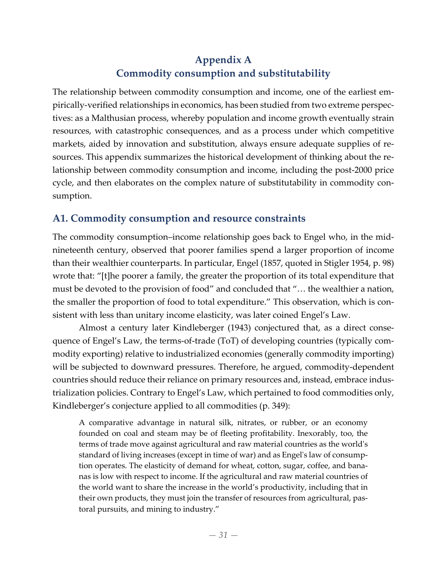# **Appendix A Commodity consumption and substitutability**

The relationship between commodity consumption and income, one of the earliest em‐ pirically-verified relationships in economics, has been studied from two extreme perspectives: as a Malthusian process, whereby population and income growth eventually strain resources, with catastrophic consequences, and as a process under which competitive markets, aided by innovation and substitution, always ensure adequate supplies of re‐ sources. This appendix summarizes the historical development of thinking about the relationship between commodity consumption and income, including the post‐2000 price cycle, and then elaborates on the complex nature of substitutability in commodity consumption.

# **A1. Commodity consumption and resource constraints**

The commodity consumption–income relationship goes back to Engel who, in the mid‐ nineteenth century, observed that poorer families spend a larger proportion of income than their wealthier counterparts. In particular, Engel (1857, quoted in Stigler 1954, p. 98) wrote that: "[t]he poorer a family, the greater the proportion of its total expenditure that must be devoted to the provision of food" and concluded that "… the wealthier a nation, the smaller the proportion of food to total expenditure." This observation, which is consistent with less than unitary income elasticity, was later coined Engel's Law.

Almost a century later Kindleberger (1943) conjectured that, as a direct conse‐ quence of Engel's Law, the terms‐of‐trade (ToT) of developing countries (typically com‐ modity exporting) relative to industrialized economies (generally commodity importing) will be subjected to downward pressures. Therefore, he argued, commodity-dependent countries should reduce their reliance on primary resources and, instead, embrace industrialization policies. Contrary to Engel's Law, which pertained to food commodities only, Kindleberger's conjecture applied to all commodities (p. 349):

A comparative advantage in natural silk, nitrates, or rubber, or an economy founded on coal and steam may be of fleeting profitability. Inexorably, too, the terms of trade move against agricultural and raw material countries as the worldʹs standard of living increases (except in time of war) and as Engelʹs law of consump‐ tion operates. The elasticity of demand for wheat, cotton, sugar, coffee, and bana‐ nas is low with respect to income. If the agricultural and raw material countries of the world want to share the increase in the world's productivity, including that in their own products, they must join the transfer of resources from agricultural, pas‐ toral pursuits, and mining to industry."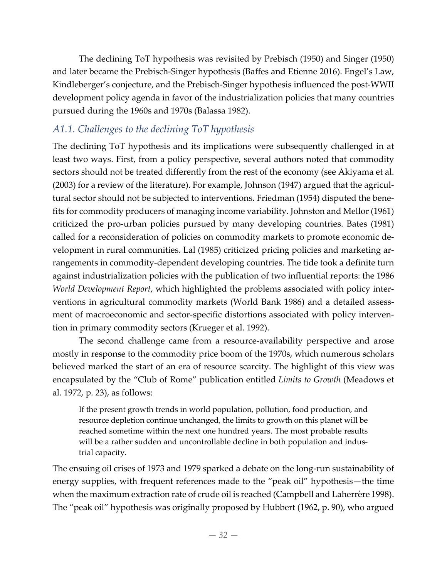The declining ToT hypothesis was revisited by Prebisch (1950) and Singer (1950) and later became the Prebisch‐Singer hypothesis (Baffes and Etienne 2016). Engel's Law, Kindleberger's conjecture, and the Prebisch‐Singer hypothesis influenced the post‐WWII development policy agenda in favor of the industrialization policies that many countries pursued during the 1960s and 1970s (Balassa 1982).

# *A1.1. Challenges to the declining ToT hypothesis*

The declining ToT hypothesis and its implications were subsequently challenged in at least two ways. First, from a policy perspective, several authors noted that commodity sectors should not be treated differently from the rest of the economy (see Akiyama et al. (2003) for a review of the literature). For example, Johnson (1947) argued that the agricul‐ tural sector should not be subjected to interventions. Friedman (1954) disputed the bene‐ fits for commodity producers of managing income variability. Johnston and Mellor (1961) criticized the pro‐urban policies pursued by many developing countries. Bates (1981) called for a reconsideration of policies on commodity markets to promote economic de‐ velopment in rural communities. Lal (1985) criticized pricing policies and marketing ar‐ rangements in commodity‐dependent developing countries. The tide took a definite turn against industrialization policies with the publication of two influential reports: the 1986 *World Development Report*, which highlighted the problems associated with policy inter‐ ventions in agricultural commodity markets (World Bank 1986) and a detailed assess‐ ment of macroeconomic and sector-specific distortions associated with policy intervention in primary commodity sectors (Krueger et al. 1992).

The second challenge came from a resource-availability perspective and arose mostly in response to the commodity price boom of the 1970s, which numerous scholars believed marked the start of an era of resource scarcity. The highlight of this view was encapsulated by the "Club of Rome" publication entitled *Limits to Growth* (Meadows et al. 1972, p. 23), as follows:

If the present growth trends in world population, pollution, food production, and resource depletion continue unchanged, the limits to growth on this planet will be reached sometime within the next one hundred years. The most probable results will be a rather sudden and uncontrollable decline in both population and industrial capacity.

The ensuing oil crises of 1973 and 1979 sparked a debate on the long‐run sustainability of energy supplies, with frequent references made to the "peak oil" hypothesis—the time when the maximum extraction rate of crude oil is reached (Campbell and Laherrère 1998). The "peak oil" hypothesis was originally proposed by Hubbert (1962, p. 90), who argued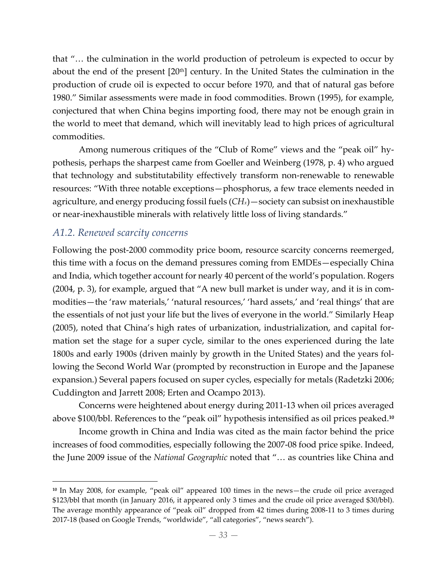that "… the culmination in the world production of petroleum is expected to occur by about the end of the present  $[20<sup>th</sup>]$  century. In the United States the culmination in the production of crude oil is expected to occur before 1970, and that of natural gas before 1980." Similar assessments were made in food commodities. Brown (1995), for example, conjectured that when China begins importing food, there may not be enough grain in the world to meet that demand, which will inevitably lead to high prices of agricultural commodities.

Among numerous critiques of the "Club of Rome" views and the "peak oil" hy‐ pothesis, perhaps the sharpest came from Goeller and Weinberg (1978, p. 4) who argued that technology and substitutability effectively transform non‐renewable to renewable resources: "With three notable exceptions—phosphorus, a few trace elements needed in agriculture, and energy producing fossil fuels (*CHx*)—society can subsist on inexhaustible or near-inexhaustible minerals with relatively little loss of living standards."

## *A1.2. Renewed scarcity concerns*

 $\overline{a}$ 

Following the post-2000 commodity price boom, resource scarcity concerns reemerged, this time with a focus on the demand pressures coming from EMDEs—especially China and India, which together account for nearly 40 percent of the world's population. Rogers (2004, p. 3), for example, argued that "A new bull market is under way, and it is in com‐ modities—the 'raw materials,' 'natural resources,' 'hard assets,' and 'real things' that are the essentials of not just your life but the lives of everyone in the world." Similarly Heap (2005), noted that China's high rates of urbanization, industrialization, and capital for‐ mation set the stage for a super cycle, similar to the ones experienced during the late 1800s and early 1900s (driven mainly by growth in the United States) and the years fol‐ lowing the Second World War (prompted by reconstruction in Europe and the Japanese expansion.) Several papers focused on super cycles, especially for metals (Radetzki 2006; Cuddington and Jarrett 2008; Erten and Ocampo 2013).

Concerns were heightened about energy during 2011‐13 when oil prices averaged above \$100/bbl. References to the "peak oil" hypothesis intensified as oil prices peaked.**<sup>10</sup>**

Income growth in China and India was cited as the main factor behind the price increases of food commodities, especially following the 2007‐08 food price spike. Indeed, the June 2009 issue of the *National Geographic* noted that "… as countries like China and

**<sup>10</sup>** In May 2008, for example, "peak oil" appeared 100 times in the news—the crude oil price averaged \$123/bbl that month (in January 2016, it appeared only 3 times and the crude oil price averaged \$30/bbl). The average monthly appearance of "peak oil" dropped from 42 times during 2008‐11 to 3 times during 2017-18 (based on Google Trends, "worldwide", "all categories", "news search").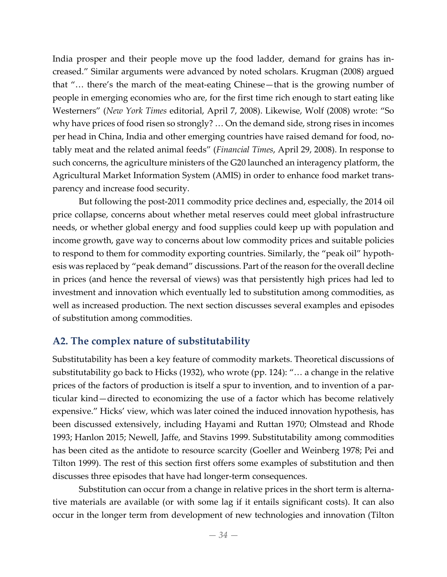India prosper and their people move up the food ladder, demand for grains has in‐ creased." Similar arguments were advanced by noted scholars. Krugman (2008) argued that "… there's the march of the meat‐eating Chinese—that is the growing number of people in emerging economies who are, for the first time rich enough to start eating like Westerners" (*New York Times* editorial, April 7, 2008). Likewise, Wolf (2008) wrote: "So why have prices of food risen so strongly? … On the demand side, strong rises in incomes per head in China, India and other emerging countries have raised demand for food, notably meat and the related animal feeds" (*Financial Times*, April 29, 2008). In response to such concerns, the agriculture ministers of the G20 launched an interagency platform, the Agricultural Market Information System (AMIS) in order to enhance food market trans‐ parency and increase food security.

But following the post‐2011 commodity price declines and, especially, the 2014 oil price collapse, concerns about whether metal reserves could meet global infrastructure needs, or whether global energy and food supplies could keep up with population and income growth, gave way to concerns about low commodity prices and suitable policies to respond to them for commodity exporting countries. Similarly, the "peak oil" hypoth‐ esis was replaced by "peak demand" discussions. Part of the reason for the overall decline in prices (and hence the reversal of views) was that persistently high prices had led to investment and innovation which eventually led to substitution among commodities, as well as increased production. The next section discusses several examples and episodes of substitution among commodities.

# **A2. The complex nature of substitutability**

Substitutability has been a key feature of commodity markets. Theoretical discussions of substitutability go back to Hicks (1932), who wrote (pp. 124): "… a change in the relative prices of the factors of production is itself a spur to invention, and to invention of a particular kind—directed to economizing the use of a factor which has become relatively expensive." Hicks' view, which was later coined the induced innovation hypothesis, has been discussed extensively, including Hayami and Ruttan 1970; Olmstead and Rhode 1993; Hanlon 2015; Newell, Jaffe, and Stavins 1999. Substitutability among commodities has been cited as the antidote to resource scarcity (Goeller and Weinberg 1978; Pei and Tilton 1999). The rest of this section first offers some examples of substitution and then discusses three episodes that have had longer‐term consequences.

Substitution can occur from a change in relative prices in the short term is alterna‐ tive materials are available (or with some lag if it entails significant costs). It can also occur in the longer term from development of new technologies and innovation (Tilton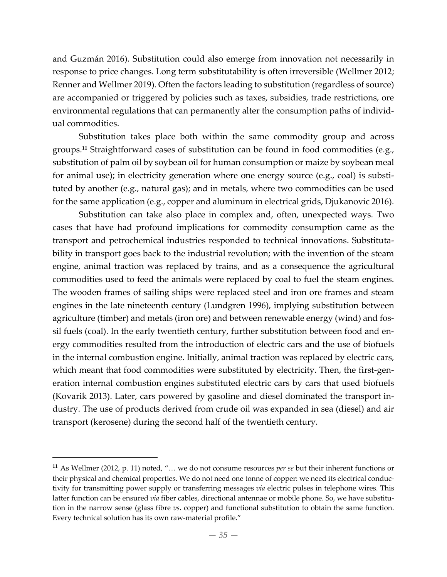and Guzmán 2016). Substitution could also emerge from innovation not necessarily in response to price changes. Long term substitutability is often irreversible (Wellmer 2012; Renner and Wellmer 2019). Often the factors leading to substitution (regardless of source) are accompanied or triggered by policies such as taxes, subsidies, trade restrictions, ore environmental regulations that can permanently alter the consumption paths of individ‐ ual commodities.

Substitution takes place both within the same commodity group and across groups.**<sup>11</sup>** Straightforward cases of substitution can be found in food commodities (e.g., substitution of palm oil by soybean oil for human consumption or maize by soybean meal for animal use); in electricity generation where one energy source (e.g., coal) is substituted by another (e.g., natural gas); and in metals, where two commodities can be used for the same application (e.g., copper and aluminum in electrical grids, Djukanovic 2016).

Substitution can take also place in complex and, often, unexpected ways. Two cases that have had profound implications for commodity consumption came as the transport and petrochemical industries responded to technical innovations. Substituta‐ bility in transport goes back to the industrial revolution; with the invention of the steam engine, animal traction was replaced by trains, and as a consequence the agricultural commodities used to feed the animals were replaced by coal to fuel the steam engines. The wooden frames of sailing ships were replaced steel and iron ore frames and steam engines in the late nineteenth century (Lundgren 1996), implying substitution between agriculture (timber) and metals (iron ore) and between renewable energy (wind) and fos‐ sil fuels (coal). In the early twentieth century, further substitution between food and en‐ ergy commodities resulted from the introduction of electric cars and the use of biofuels in the internal combustion engine. Initially, animal traction was replaced by electric cars, which meant that food commodities were substituted by electricity. Then, the first-generation internal combustion engines substituted electric cars by cars that used biofuels (Kovarik 2013). Later, cars powered by gasoline and diesel dominated the transport in‐ dustry. The use of products derived from crude oil was expanded in sea (diesel) and air transport (kerosene) during the second half of the twentieth century.

 $\overline{a}$ 

**<sup>11</sup>** As Wellmer (2012, p. 11) noted, "… we do not consume resources *per se* but their inherent functions or their physical and chemical properties. We do not need one tonne of copper: we need its electrical conductivity for transmitting power supply or transferring messages *via* electric pulses in telephone wires. This latter function can be ensured *via* fiber cables, directional antennae or mobile phone. So, we have substitution in the narrow sense (glass fibre *vs*. copper) and functional substitution to obtain the same function. Every technical solution has its own raw-material profile."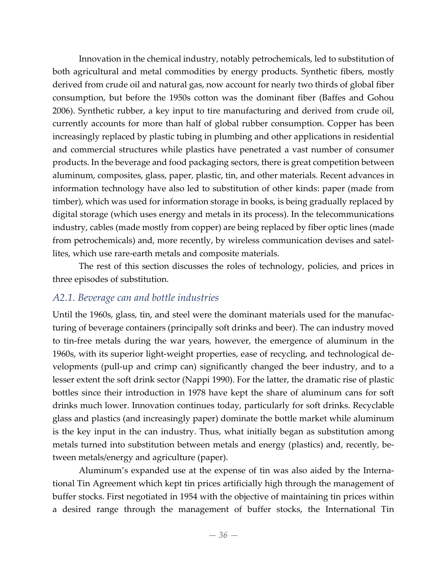Innovation in the chemical industry, notably petrochemicals, led to substitution of both agricultural and metal commodities by energy products. Synthetic fibers, mostly derived from crude oil and natural gas, now account for nearly two thirds of global fiber consumption, but before the 1950s cotton was the dominant fiber (Baffes and Gohou 2006). Synthetic rubber, a key input to tire manufacturing and derived from crude oil, currently accounts for more than half of global rubber consumption. Copper has been increasingly replaced by plastic tubing in plumbing and other applications in residential and commercial structures while plastics have penetrated a vast number of consumer products. In the beverage and food packaging sectors, there is great competition between aluminum, composites, glass, paper, plastic, tin, and other materials. Recent advances in information technology have also led to substitution of other kinds: paper (made from timber), which was used for information storage in books, is being gradually replaced by digital storage (which uses energy and metals in its process). In the telecommunications industry, cables (made mostly from copper) are being replaced by fiber optic lines (made from petrochemicals) and, more recently, by wireless communication devises and satellites, which use rare‐earth metals and composite materials.

The rest of this section discusses the roles of technology, policies, and prices in three episodes of substitution.

## *A2.1. Beverage can and bottle industries*

Until the 1960s, glass, tin, and steel were the dominant materials used for the manufacturing of beverage containers (principally soft drinks and beer). The can industry moved to tin‐free metals during the war years, however, the emergence of aluminum in the 1960s, with its superior light‐weight properties, ease of recycling, and technological de‐ velopments (pull‐up and crimp can) significantly changed the beer industry, and to a lesser extent the soft drink sector (Nappi 1990). For the latter, the dramatic rise of plastic bottles since their introduction in 1978 have kept the share of aluminum cans for soft drinks much lower. Innovation continues today, particularly for soft drinks. Recyclable glass and plastics (and increasingly paper) dominate the bottle market while aluminum is the key input in the can industry. Thus, what initially began as substitution among metals turned into substitution between metals and energy (plastics) and, recently, be‐ tween metals/energy and agriculture (paper).

Aluminum's expanded use at the expense of tin was also aided by the Interna‐ tional Tin Agreement which kept tin prices artificially high through the management of buffer stocks. First negotiated in 1954 with the objective of maintaining tin prices within a desired range through the management of buffer stocks, the International Tin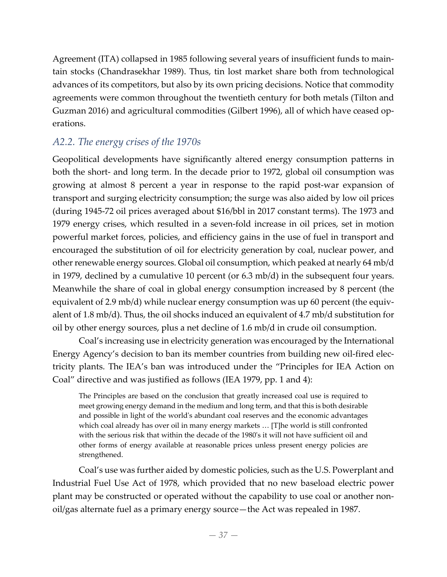Agreement (ITA) collapsed in 1985 following several years of insufficient funds to main‐ tain stocks (Chandrasekhar 1989). Thus, tin lost market share both from technological advances of its competitors, but also by its own pricing decisions. Notice that commodity agreements were common throughout the twentieth century for both metals (Tilton and Guzman 2016) and agricultural commodities (Gilbert 1996), all of which have ceased op‐ erations.

## *A2.2. The energy crises of the 1970s*

Geopolitical developments have significantly altered energy consumption patterns in both the short- and long term. In the decade prior to 1972, global oil consumption was growing at almost 8 percent a year in response to the rapid post‐war expansion of transport and surging electricity consumption; the surge was also aided by low oil prices (during 1945‐72 oil prices averaged about \$16/bbl in 2017 constant terms). The 1973 and 1979 energy crises, which resulted in a seven-fold increase in oil prices, set in motion powerful market forces, policies, and efficiency gains in the use of fuel in transport and encouraged the substitution of oil for electricity generation by coal, nuclear power, and other renewable energy sources. Global oil consumption, which peaked at nearly 64 mb/d in 1979, declined by a cumulative 10 percent (or 6.3 mb/d) in the subsequent four years. Meanwhile the share of coal in global energy consumption increased by 8 percent (the equivalent of 2.9 mb/d) while nuclear energy consumption was up 60 percent (the equivalent of 1.8 mb/d). Thus, the oil shocks induced an equivalent of 4.7 mb/d substitution for oil by other energy sources, plus a net decline of 1.6 mb/d in crude oil consumption.

Coal's increasing use in electricity generation was encouraged by the International Energy Agency's decision to ban its member countries from building new oil‐fired elec‐ tricity plants. The IEA's ban was introduced under the "Principles for IEA Action on Coal" directive and was justified as follows (IEA 1979, pp. 1 and 4):

The Principles are based on the conclusion that greatly increased coal use is required to meet growing energy demand in the medium and long term, and that this is both desirable and possible in light of the worldʹs abundant coal reserves and the economic advantages which coal already has over oil in many energy markets … [T]he world is still confronted with the serious risk that within the decade of the 1980ʹs it will not have sufficient oil and other forms of energy available at reasonable prices unless present energy policies are strengthened.

Coal's use was further aided by domestic policies, such as the U.S. Powerplant and Industrial Fuel Use Act of 1978, which provided that no new baseload electric power plant may be constructed or operated without the capability to use coal or another non‐ oil/gas alternate fuel as a primary energy source—the Act was repealed in 1987.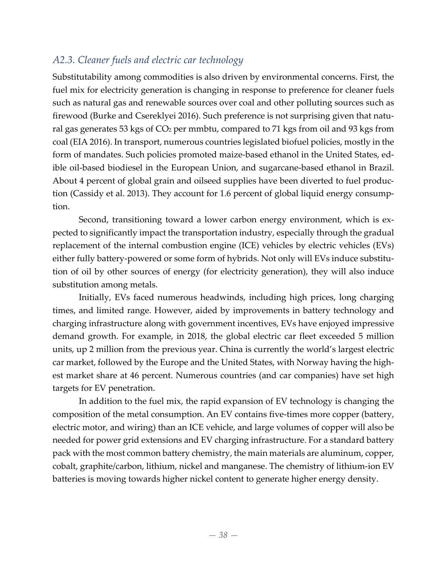# *A2.3. Cleaner fuels and electric car technology*

Substitutability among commodities is also driven by environmental concerns. First, the fuel mix for electricity generation is changing in response to preference for cleaner fuels such as natural gas and renewable sources over coal and other polluting sources such as firewood (Burke and Csereklyei 2016). Such preference is not surprising given that natural gas generates 53 kgs of CO<sub>2</sub> per mmbtu, compared to 71 kgs from oil and 93 kgs from coal (EIA 2016). In transport, numerous countries legislated biofuel policies, mostly in the form of mandates. Such policies promoted maize-based ethanol in the United States, edible oil‐based biodiesel in the European Union, and sugarcane‐based ethanol in Brazil. About 4 percent of global grain and oilseed supplies have been diverted to fuel produc‐ tion (Cassidy et al. 2013). They account for 1.6 percent of global liquid energy consump‐ tion.

Second, transitioning toward a lower carbon energy environment, which is expected to significantly impact the transportation industry, especially through the gradual replacement of the internal combustion engine (ICE) vehicles by electric vehicles (EVs) either fully battery-powered or some form of hybrids. Not only will EVs induce substitution of oil by other sources of energy (for electricity generation), they will also induce substitution among metals.

Initially, EVs faced numerous headwinds, including high prices, long charging times, and limited range. However, aided by improvements in battery technology and charging infrastructure along with government incentives, EVs have enjoyed impressive demand growth. For example, in 2018, the global electric car fleet exceeded 5 million units, up 2 million from the previous year. China is currently the world's largest electric car market, followed by the Europe and the United States, with Norway having the highest market share at 46 percent. Numerous countries (and car companies) have set high targets for EV penetration.

In addition to the fuel mix, the rapid expansion of EV technology is changing the composition of the metal consumption. An EV contains five-times more copper (battery, electric motor, and wiring) than an ICE vehicle, and large volumes of copper will also be needed for power grid extensions and EV charging infrastructure. For a standard battery pack with the most common battery chemistry, the main materials are aluminum, copper, cobalt, graphite/carbon, lithium, nickel and manganese. The chemistry of lithium‐ion EV batteries is moving towards higher nickel content to generate higher energy density.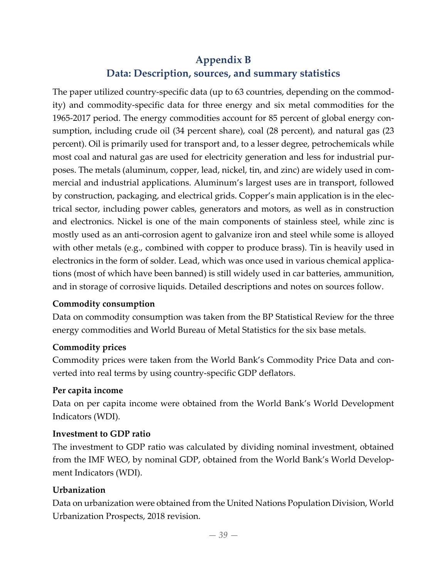# **Appendix B**

## **Data: Description, sources, and summary statistics**

The paper utilized country-specific data (up to 63 countries, depending on the commodity) and commodity‐specific data for three energy and six metal commodities for the 1965‐2017 period. The energy commodities account for 85 percent of global energy con‐ sumption, including crude oil (34 percent share), coal (28 percent), and natural gas (23 percent). Oil is primarily used for transport and, to a lesser degree, petrochemicals while most coal and natural gas are used for electricity generation and less for industrial pur‐ poses. The metals (aluminum, copper, lead, nickel, tin, and zinc) are widely used in com‐ mercial and industrial applications. Aluminum's largest uses are in transport, followed by construction, packaging, and electrical grids. Copper's main application is in the elec‐ trical sector, including power cables, generators and motors, as well as in construction and electronics. Nickel is one of the main components of stainless steel, while zinc is mostly used as an anti‐corrosion agent to galvanize iron and steel while some is alloyed with other metals (e.g., combined with copper to produce brass). Tin is heavily used in electronics in the form of solder. Lead, which was once used in various chemical applications (most of which have been banned) is still widely used in car batteries, ammunition, and in storage of corrosive liquids. Detailed descriptions and notes on sources follow.

#### **Commodity consumption**

Data on commodity consumption was taken from the BP Statistical Review for the three energy commodities and World Bureau of Metal Statistics for the six base metals.

#### **Commodity prices**

Commodity prices were taken from the World Bank's Commodity Price Data and con‐ verted into real terms by using country‐specific GDP deflators.

## **Per capita income**

Data on per capita income were obtained from the World Bank's World Development Indicators (WDI).

#### **Investment to GDP ratio**

The investment to GDP ratio was calculated by dividing nominal investment, obtained from the IMF WEO, by nominal GDP, obtained from the World Bank's World Develop‐ ment Indicators (WDI).

## **Urbanization**

Data on urbanization were obtained from the United Nations Population Division, World Urbanization Prospects, 2018 revision.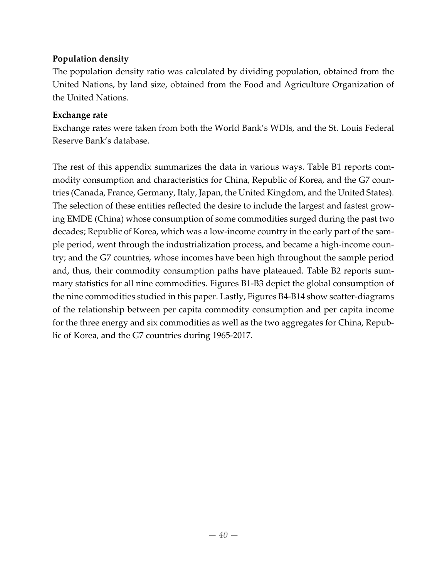### **Population density**

The population density ratio was calculated by dividing population, obtained from the United Nations, by land size, obtained from the Food and Agriculture Organization of the United Nations.

#### **Exchange rate**

Exchange rates were taken from both the World Bank's WDIs, and the St. Louis Federal Reserve Bank's database.

The rest of this appendix summarizes the data in various ways. Table B1 reports com‐ modity consumption and characteristics for China, Republic of Korea, and the G7 countries (Canada, France, Germany, Italy, Japan, the United Kingdom, and the United States). The selection of these entities reflected the desire to include the largest and fastest grow‐ ing EMDE (China) whose consumption of some commodities surged during the past two decades; Republic of Korea, which was a low-income country in the early part of the sample period, went through the industrialization process, and became a high‐income coun‐ try; and the G7 countries, whose incomes have been high throughout the sample period and, thus, their commodity consumption paths have plateaued. Table B2 reports sum‐ mary statistics for all nine commodities. Figures B1‐B3 depict the global consumption of the nine commodities studied in this paper. Lastly, Figures B4‐B14 show scatter‐diagrams of the relationship between per capita commodity consumption and per capita income for the three energy and six commodities as well as the two aggregates for China, Repub‐ lic of Korea, and the G7 countries during 1965‐2017.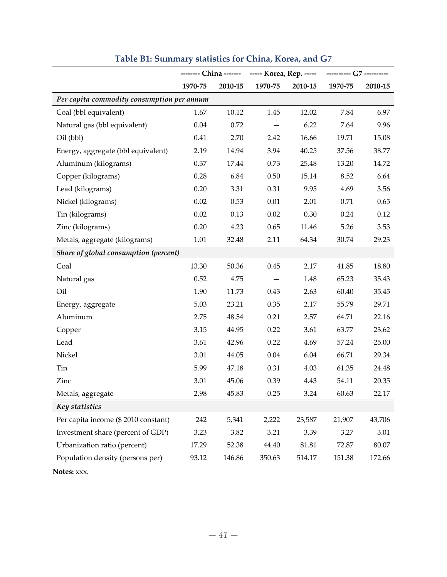|                                            | -------- China ------- ----- Korea, Rep. ----- |         |         |         | ---------- G7 ---------- |         |  |
|--------------------------------------------|------------------------------------------------|---------|---------|---------|--------------------------|---------|--|
|                                            | 1970-75                                        | 2010-15 | 1970-75 | 2010-15 | 1970-75                  | 2010-15 |  |
| Per capita commodity consumption per annum |                                                |         |         |         |                          |         |  |
| Coal (bbl equivalent)                      | 1.67                                           | 10.12   | 1.45    | 12.02   | 7.84                     | 6.97    |  |
| Natural gas (bbl equivalent)               | $0.04\,$                                       | 0.72    |         | 6.22    | 7.64                     | 9.96    |  |
| Oil (bbl)                                  | 0.41                                           | 2.70    | 2.42    | 16.66   | 19.71                    | 15.08   |  |
| Energy, aggregate (bbl equivalent)         | 2.19                                           | 14.94   | 3.94    | 40.25   | 37.56                    | 38.77   |  |
| Aluminum (kilograms)                       | 0.37                                           | 17.44   | 0.73    | 25.48   | 13.20                    | 14.72   |  |
| Copper (kilograms)                         | 0.28                                           | 6.84    | 0.50    | 15.14   | 8.52                     | 6.64    |  |
| Lead (kilograms)                           | 0.20                                           | 3.31    | 0.31    | 9.95    | 4.69                     | 3.56    |  |
| Nickel (kilograms)                         | 0.02                                           | 0.53    | 0.01    | 2.01    | 0.71                     | 0.65    |  |
| Tin (kilograms)                            | 0.02                                           | 0.13    | 0.02    | 0.30    | 0.24                     | 0.12    |  |
| Zinc (kilograms)                           | 0.20                                           | 4.23    | 0.65    | 11.46   | 5.26                     | 3.53    |  |
| Metals, aggregate (kilograms)              | 1.01                                           | 32.48   | 2.11    | 64.34   | 30.74                    | 29.23   |  |
| Share of global consumption (percent)      |                                                |         |         |         |                          |         |  |
| Coal                                       | 13.30                                          | 50.36   | 0.45    | 2.17    | 41.85                    | 18.80   |  |
| Natural gas                                | 0.52                                           | 4.75    |         | 1.48    | 65.23                    | 35.43   |  |
| Oil                                        | 1.90                                           | 11.73   | 0.43    | 2.63    | 60.40                    | 35.45   |  |
| Energy, aggregate                          | 5.03                                           | 23.21   | 0.35    | 2.17    | 55.79                    | 29.71   |  |
| Aluminum                                   | 2.75                                           | 48.54   | 0.21    | 2.57    | 64.71                    | 22.16   |  |
| Copper                                     | 3.15                                           | 44.95   | 0.22    | 3.61    | 63.77                    | 23.62   |  |
| Lead                                       | 3.61                                           | 42.96   | 0.22    | 4.69    | 57.24                    | 25.00   |  |
| Nickel                                     | 3.01                                           | 44.05   | 0.04    | 6.04    | 66.71                    | 29.34   |  |
| Tin                                        | 5.99                                           | 47.18   | 0.31    | 4.03    | 61.35                    | 24.48   |  |
| Zinc                                       | 3.01                                           | 45.06   | 0.39    | 4.43    | 54.11                    | 20.35   |  |
| Metals, aggregate                          | 2.98                                           | 45.83   | 0.25    | 3.24    | 60.63                    | 22.17   |  |
| Key statistics                             |                                                |         |         |         |                          |         |  |
| Per capita income (\$ 2010 constant)       | 242                                            | 5,341   | 2,222   | 23,587  | 21,907                   | 43,706  |  |
| Investment share (percent of GDP)          | 3.23                                           | 3.82    | 3.21    | 3.39    | 3.27                     | 3.01    |  |
| Urbanization ratio (percent)               | 17.29                                          | 52.38   | 44.40   | 81.81   | 72.87                    | 80.07   |  |
| Population density (persons per)           | 93.12                                          | 146.86  | 350.63  | 514.17  | 151.38                   | 172.66  |  |

# **Table B1: Summary statistics for China, Korea, and G7**

**Notes:** xxx.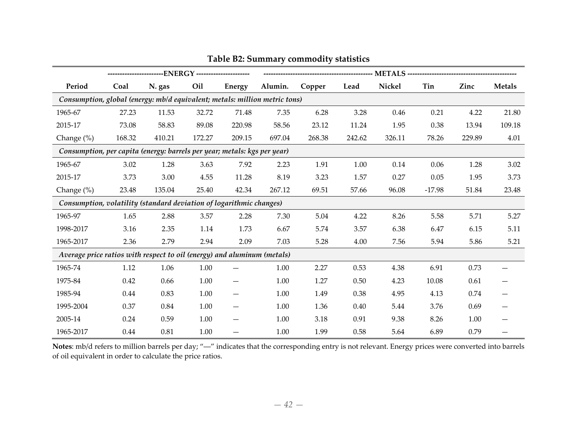|                                                                            |        | ------------------------ENERGY ---------------------- |        |               |         |        |        |        |          |        |               |
|----------------------------------------------------------------------------|--------|-------------------------------------------------------|--------|---------------|---------|--------|--------|--------|----------|--------|---------------|
| Period                                                                     | Coal   | N. gas                                                | Oil    | <b>Energy</b> | Alumin. | Copper | Lead   | Nickel | Tin      | Zinc   | <b>Metals</b> |
| Consumption, global (energy: mb/d equivalent; metals: million metric tons) |        |                                                       |        |               |         |        |        |        |          |        |               |
| 1965-67                                                                    | 27.23  | 11.53                                                 | 32.72  | 71.48         | 7.35    | 6.28   | 3.28   | 0.46   | 0.21     | 4.22   | 21.80         |
| 2015-17                                                                    | 73.08  | 58.83                                                 | 89.08  | 220.98        | 58.56   | 23.12  | 11.24  | 1.95   | 0.38     | 13.94  | 109.18        |
| Change (%)                                                                 | 168.32 | 410.21                                                | 172.27 | 209.15        | 697.04  | 268.38 | 242.62 | 326.11 | 78.26    | 229.89 | 4.01          |
| Consumption, per capita (energy: barrels per year; metals: kgs per year)   |        |                                                       |        |               |         |        |        |        |          |        |               |
| 1965-67                                                                    | 3.02   | 1.28                                                  | 3.63   | 7.92          | 2.23    | 1.91   | 1.00   | 0.14   | 0.06     | 1.28   | 3.02          |
| 2015-17                                                                    | 3.73   | 3.00                                                  | 4.55   | 11.28         | 8.19    | 3.23   | 1.57   | 0.27   | 0.05     | 1.95   | 3.73          |
| Change $(\%)$                                                              | 23.48  | 135.04                                                | 25.40  | 42.34         | 267.12  | 69.51  | 57.66  | 96.08  | $-17.98$ | 51.84  | 23.48         |
| Consumption, volatility (standard deviation of logarithmic changes)        |        |                                                       |        |               |         |        |        |        |          |        |               |
| 1965-97                                                                    | 1.65   | 2.88                                                  | 3.57   | 2.28          | 7.30    | 5.04   | 4.22   | 8.26   | 5.58     | 5.71   | 5.27          |
| 1998-2017                                                                  | 3.16   | 2.35                                                  | 1.14   | 1.73          | 6.67    | 5.74   | 3.57   | 6.38   | 6.47     | 6.15   | 5.11          |
| 1965-2017                                                                  | 2.36   | 2.79                                                  | 2.94   | 2.09          | 7.03    | 5.28   | 4.00   | 7.56   | 5.94     | 5.86   | 5.21          |
| Average price ratios with respect to oil (energy) and aluminum (metals)    |        |                                                       |        |               |         |        |        |        |          |        |               |
| 1965-74                                                                    | 1.12   | 1.06                                                  | 1.00   |               | 1.00    | 2.27   | 0.53   | 4.38   | 6.91     | 0.73   |               |
| 1975-84                                                                    | 0.42   | 0.66                                                  | 1.00   | —             | 1.00    | 1.27   | 0.50   | 4.23   | 10.08    | 0.61   |               |
| 1985-94                                                                    | 0.44   | 0.83                                                  | 1.00   |               | 1.00    | 1.49   | 0.38   | 4.95   | 4.13     | 0.74   |               |
| 1995-2004                                                                  | 0.37   | 0.84                                                  | 1.00   |               | 1.00    | 1.36   | 0.40   | 5.44   | 3.76     | 0.69   |               |
| 2005-14                                                                    | 0.24   | 0.59                                                  | 1.00   |               | 1.00    | 3.18   | 0.91   | 9.38   | 8.26     | 1.00   |               |
| 1965-2017                                                                  | 0.44   | 0.81                                                  | 1.00   |               | 1.00    | 1.99   | 0.58   | 5.64   | 6.89     | 0.79   |               |

**Table B2: Summary commodity statistics**

**Notes**: mb/d refers to million barrels per day; "―" indicates that the corresponding entry is not relevant. Energy prices were converted into barrels of oil equivalent in order to calculate the price ratios.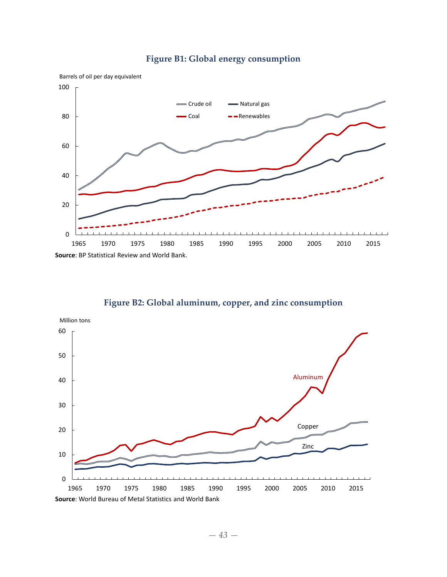

### **Figure B1: Global energy consumption**

**Figure B2: Global aluminum, copper, and zinc consumption**

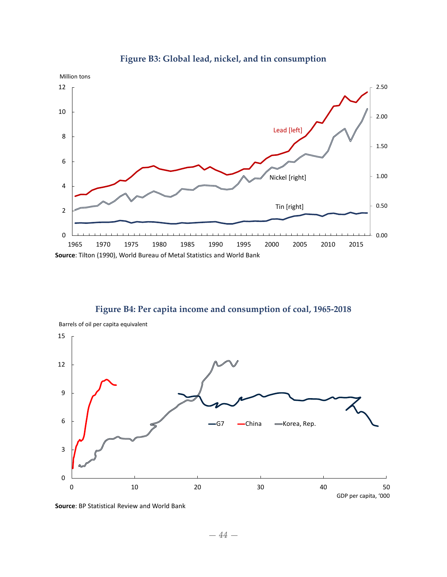

### **Figure B3: Global lead, nickel, and tin consumption**

**Figure B4: Per capita income and consumption of coal, 1965‐2018**



**Source**: BP Statistical Review and World Bank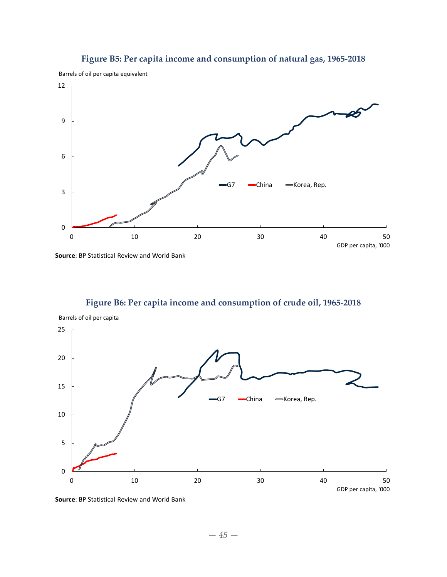

### **Figure B5: Per capita income and consumption of natural gas, 1965‐2018**

Barrels of oil per capita equivalent



## **Figure B6: Per capita income and consumption of crude oil, 1965‐2018**



**Source**: BP Statistical Review and World Bank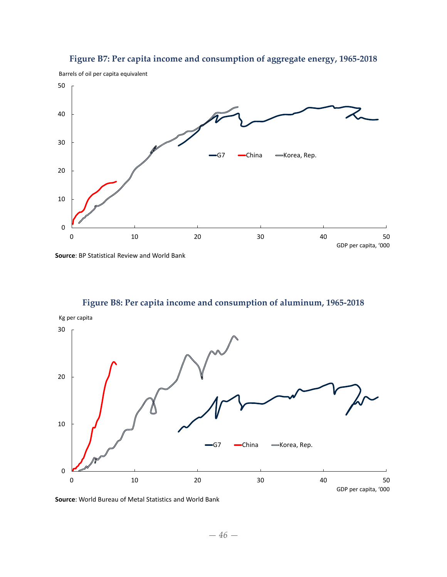

**Figure B7: Per capita income and consumption of aggregate energy, 1965‐2018**

**Source**: BP Statistical Review and World Bank



**Figure B8: Per capita income and consumption of aluminum, 1965‐2018**

**Source**: World Bureau of Metal Statistics and World Bank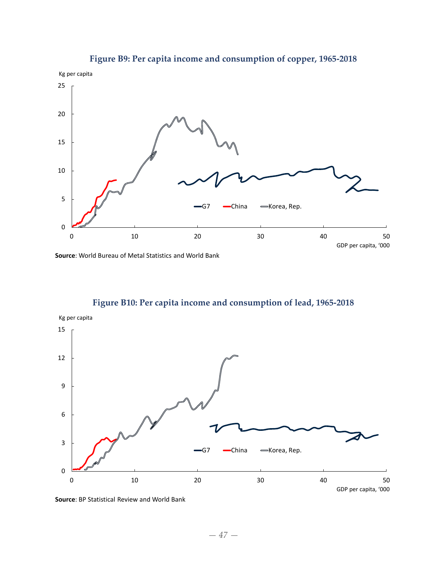

### **Figure B9: Per capita income and consumption of copper, 1965‐2018**

**Source**: World Bureau of Metal Statistics and World Bank

**Figure B10: Per capita income and consumption of lead, 1965‐2018**



**Source**: BP Statistical Review and World Bank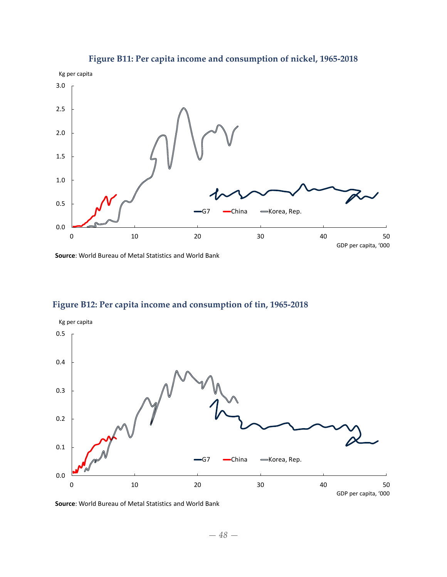

### **Figure B11: Per capita income and consumption of nickel, 1965‐2018**

**Source**: World Bureau of Metal Statistics and World Bank





**Source**: World Bureau of Metal Statistics and World Bank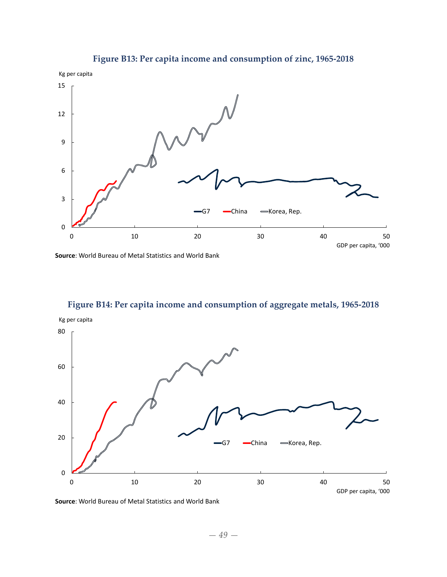

### **Figure B13: Per capita income and consumption of zinc, 1965‐2018**





**Figure B14: Per capita income and consumption of aggregate metals, 1965‐2018**

**Source**: World Bureau of Metal Statistics and World Bank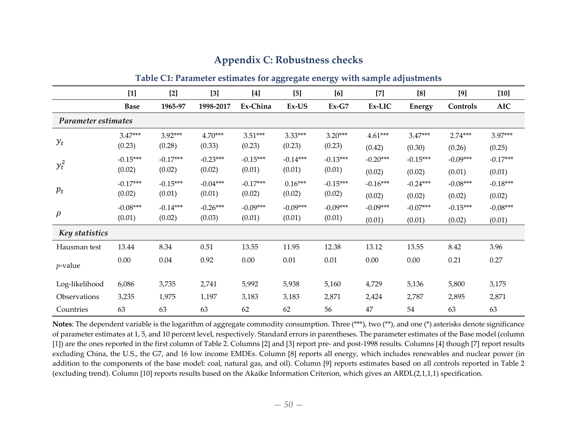|                     |             |            | Table C1: Farameter estimates for aggregate energy with sample adjustments |            |            |            |            |               |            |            |
|---------------------|-------------|------------|----------------------------------------------------------------------------|------------|------------|------------|------------|---------------|------------|------------|
|                     | $[1]$       | $[2]$      | $[3]$                                                                      | [4]        | [5]        | [6]        | $[7]$      | [8]           | [9]        | $[10]$     |
|                     | <b>Base</b> | 1965-97    | 1998-2017                                                                  | Ex-China   | Ex-US      | $Ex-G7$    | Ex-LIC     | <b>Energy</b> | Controls   | <b>AIC</b> |
| Parameter estimates |             |            |                                                                            |            |            |            |            |               |            |            |
|                     | $3.47***$   | $3.92***$  | $4.70***$                                                                  | $3.51***$  | $3.33***$  | $3.20***$  | $4.61***$  | $3.47***$     | $2.74***$  | 3.97***    |
| $y_t$               | (0.23)      | (0.28)     | (0.33)                                                                     | (0.23)     | (0.23)     | (0.23)     | (0.42)     | (0.30)        | (0.26)     | (0.25)     |
| $y_t^2$             | $-0.15***$  | $-0.17***$ | $-0.23***$                                                                 | $-0.15***$ | $-0.14***$ | $-0.13***$ | $-0.20***$ | $-0.15***$    | $-0.09***$ | $-0.17***$ |
|                     | (0.02)      | (0.02)     | (0.02)                                                                     | (0.01)     | (0.01)     | (0.01)     | (0.02)     | (0.02)        | (0.01)     | (0.01)     |
|                     | $-0.17***$  | $-0.15***$ | $-0.04***$                                                                 | $-0.17***$ | $0.16***$  | $-0.15***$ | $-0.16***$ | $-0.24***$    | $-0.08***$ | $-0.18***$ |
| $p_t$               | (0.02)      | (0.01)     | (0.01)                                                                     | (0.02)     | (0.02)     | (0.02)     | (0.02)     | (0.02)        | (0.02)     | (0.02)     |
|                     | $-0.08***$  | $-0.14***$ | $-0.26***$                                                                 | $-0.09***$ | $-0.09***$ | $-0.09***$ | $-0.09***$ | $-0.07***$    | $-0.15***$ | $-0.08***$ |
| $\rho$              | (0.01)      | (0.02)     | (0.03)                                                                     | (0.01)     | (0.01)     | (0.01)     | (0.01)     | (0.01)        | (0.02)     | (0.01)     |
| Key statistics      |             |            |                                                                            |            |            |            |            |               |            |            |
| Hausman test        | 13.44       | 8.34       | 0.51                                                                       | 13.55      | 11.95      | 12.38      | 13.12      | 13.55         | 8.42       | 3.96       |
| $p$ -value          | 0.00        | $0.04\,$   | 0.92                                                                       | 0.00       | $0.01\,$   | 0.01       | 0.00       | 0.00          | 0.21       | 0.27       |
| Log-likelihood      | 6,086       | 3,735      | 2,741                                                                      | 5,992      | 5,938      | 5,160      | 4,729      | 5,136         | 5,800      | 3,175      |
| Observations        | 3,235       | 1,975      | 1,197                                                                      | 3,183      | 3,183      | 2,871      | 2,424      | 2,787         | 2,895      | 2,871      |
| Countries           | 63          | 63         | 63                                                                         | 62         | 62         | 56         | 47         | 54            | 63         | 63         |

### **Appendix C: Robustness checks**

**Table C1: Parameter estimates for aggregate energy with sample adjustments**

**Notes**: The dependent variable is the logarithm of aggregate commodity consumption. Three (\*\*\*), two (\*\*), and one (\*) asterisks denote significance of parameter estimates at 1, 5, and 10 percen<sup>t</sup> level, respectively. Standard errors in parentheses. The parameter estimates of the Base model (column [1]) are the ones reported in the first column of Table 2. Columns [2] and [3] repor<sup>t</sup> pre‐ and post‐1998 results. Columns [4] though [7] repor<sup>t</sup> results excluding China, the U.S., the G7, and 16 low income EMDEs. Column [8] reports all energy, which includes renewables and nuclear power (in addition to the components of the base model: coal, natural gas, and oil). Column [9] reports estimates based on all controls reported in Table <sup>2</sup> (excluding trend). Column [10] reports results based on the Akaike Information Criterion, which gives an ARDL(2,1,1,1) specification.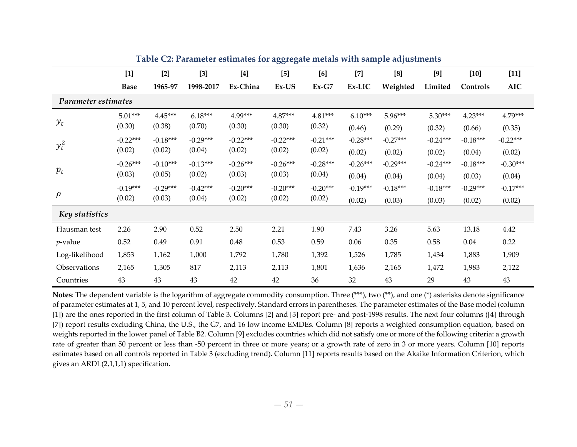|                     | $[1]$       | $[2]$      | $[3]$      | $[4]$      | $[5]$      | [6]        | $[7]$      | [8]        | [9]        | $[10]$     | $[11]$     |
|---------------------|-------------|------------|------------|------------|------------|------------|------------|------------|------------|------------|------------|
|                     | <b>Base</b> | 1965-97    | 1998-2017  | Ex-China   | Ex-US      | $Ex-G7$    | Ex-LIC     | Weighted   | Limited    | Controls   | <b>AIC</b> |
| Parameter estimates |             |            |            |            |            |            |            |            |            |            |            |
|                     | $5.01***$   | $4.45***$  | $6.18***$  | 4.99***    | $4.87***$  | $4.81***$  | $6.10***$  | 5.96***    | $5.30***$  | $4.23***$  | 4.79***    |
| $y_t$               | (0.30)      | (0.38)     | (0.70)     | (0.30)     | (0.30)     | (0.32)     | (0.46)     | (0.29)     | (0.32)     | (0.66)     | (0.35)     |
| $y_t^2$             | $-0.22***$  | $-0.18***$ | $-0.29***$ | $-0.22***$ | $-0.22***$ | $-0.21***$ | $-0.28***$ | $-0.27***$ | $-0.24***$ | $-0.18***$ | $-0.22***$ |
|                     | (0.02)      | (0.02)     | (0.04)     | (0.02)     | (0.02)     | (0.02)     | (0.02)     | (0.02)     | (0.02)     | (0.04)     | (0.02)     |
|                     | $-0.26***$  | $-0.10***$ | $-0.13***$ | $-0.26***$ | $-0.26***$ | $-0.28***$ | $-0.26***$ | $-0.29***$ | $-0.24***$ | $-0.18***$ | $-0.30***$ |
| $p_t$               | (0.03)      | (0.05)     | (0.02)     | (0.03)     | (0.03)     | (0.04)     | (0.04)     | (0.04)     | (0.04)     | (0.03)     | (0.04)     |
|                     | $-0.19***$  | $-0.29***$ | $-0.42***$ | $-0.20***$ | $-0.20***$ | $-0.20***$ | $-0.19***$ | $-0.18***$ | $-0.18***$ | $-0.29***$ | $-0.17***$ |
| $\rho$              | (0.02)      | (0.03)     | (0.04)     | (0.02)     | (0.02)     | (0.02)     | (0.02)     | (0.03)     | (0.03)     | (0.02)     | (0.02)     |
| Key statistics      |             |            |            |            |            |            |            |            |            |            |            |
| Hausman test        | 2.26        | 2.90       | 0.52       | 2.50       | 2.21       | 1.90       | 7.43       | 3.26       | 5.63       | 13.18      | 4.42       |
| $p$ -value          | 0.52        | 0.49       | 0.91       | 0.48       | 0.53       | 0.59       | 0.06       | 0.35       | 0.58       | 0.04       | 0.22       |
| Log-likelihood      | 1,853       | 1,162      | 1,000      | 1,792      | 1,780      | 1,392      | 1,526      | 1,785      | 1,434      | 1,883      | 1,909      |
| Observations        | 2,165       | 1,305      | 817        | 2,113      | 2,113      | 1,801      | 1,636      | 2,165      | 1,472      | 1,983      | 2,122      |
| Countries           | 43          | 43         | 43         | 42         | 42         | 36         | 32         | 43         | 29         | 43         | 43         |

**Table C2: Parameter estimates for aggregate metals with sample adjustments**

**Notes**: The dependent variable is the logarithm of aggregate commodity consumption. Three (\*\*\*), two (\*\*), and one (\*) asterisks denote significance of parameter estimates at 1, 5, and 10 percen<sup>t</sup> level, respectively. Standard errors in parentheses. The parameter estimates of the Base model (column [1]) are the ones reported in the first column of Table 3. Columns [2] and [3] report pre- and post-1998 results. The next four columns ([4] through [7]) report results excluding China, the U.S., the G7, and 16 low income EMDEs. Column [8] reports a weighted consumption equation, based on weights reported in the lower panel of Table B2. Column [9] excludes countries which did not satisfy one or more of the following criteria: <sup>a</sup> growth rate of greater than 50 percen<sup>t</sup> or less than ‐50 percen<sup>t</sup> in three or more years; or <sup>a</sup> growth rate of zero in 3 or more years. Column [10] reports estimates based on all controls reported in Table 3 (excluding trend). Column [11] reports results based on the Akaike Information Criterion, which gives an ARDL(2,1,1,1) specification.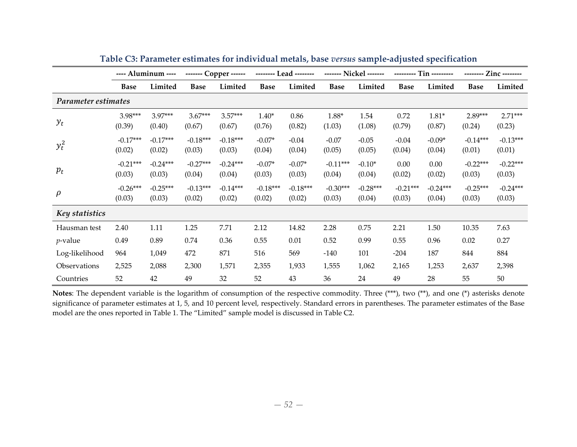|                     |                      | ---- Aluminum ----   | ------ Copper ------ |                      |                      | -------- Lead -------- |                      |                      | ----------           | $Tin$ ---------      |                      | Zinc --------        |
|---------------------|----------------------|----------------------|----------------------|----------------------|----------------------|------------------------|----------------------|----------------------|----------------------|----------------------|----------------------|----------------------|
|                     | <b>Base</b>          | Limited              | <b>Base</b>          | Limited              | <b>Base</b>          | Limited                | <b>Base</b>          | Limited              | <b>Base</b>          | Limited              | <b>Base</b>          | Limited              |
| Parameter estimates |                      |                      |                      |                      |                      |                        |                      |                      |                      |                      |                      |                      |
| $y_t$               | 3.98***<br>(0.39)    | 3.97***<br>(0.40)    | $3.67***$<br>(0.67)  | $3.57***$<br>(0.67)  | $1.40*$<br>(0.76)    | 0.86<br>(0.82)         | 1.88*<br>(1.03)      | 1.54<br>(1.08)       | 0.72<br>(0.79)       | $1.81*$<br>(0.87)    | 2.89***<br>(0.24)    | $2.71***$<br>(0.23)  |
| $y_t^2$             | $-0.17***$<br>(0.02) | $-0.17***$<br>(0.02) | $-0.18***$<br>(0.03) | $-0.18***$<br>(0.03) | $-0.07*$<br>(0.04)   | $-0.04$<br>(0.04)      | $-0.07$<br>(0.05)    | $-0.05$<br>(0.05)    | $-0.04$<br>(0.04)    | $-0.09*$<br>(0.04)   | $-0.14***$<br>(0.01) | $-0.13***$<br>(0.01) |
| $p_t$               | $-0.21***$<br>(0.03) | $-0.24***$<br>(0.03) | $-0.27***$<br>(0.04) | $-0.24***$<br>(0.04) | $-0.07*$<br>(0.03)   | $-0.07*$<br>(0.03)     | $-0.11***$<br>(0.04) | $-0.10*$<br>(0.04)   | 0.00<br>(0.02)       | 0.00<br>(0.02)       | $-0.22***$<br>(0.03) | $-0.22***$<br>(0.03) |
| $\rho$              | $-0.26***$<br>(0.03) | $-0.25***$<br>(0.03) | $-0.13***$<br>(0.02) | $-0.14***$<br>(0.02) | $-0.18***$<br>(0.02) | $-0.18***$<br>(0.02)   | $-0.30***$<br>(0.03) | $-0.28***$<br>(0.04) | $-0.21***$<br>(0.03) | $-0.24***$<br>(0.04) | $-0.25***$<br>(0.03) | $-0.24***$<br>(0.03) |
| Key statistics      |                      |                      |                      |                      |                      |                        |                      |                      |                      |                      |                      |                      |
| Hausman test        | 2.40                 | 1.11                 | 1.25                 | 7.71                 | 2.12                 | 14.82                  | 2.28                 | 0.75                 | 2.21                 | 1.50                 | 10.35                | 7.63                 |
| $p$ -value          | 0.49                 | 0.89                 | 0.74                 | 0.36                 | 0.55                 | 0.01                   | 0.52                 | 0.99                 | 0.55                 | 0.96                 | 0.02                 | 0.27                 |
| Log-likelihood      | 964                  | 1,049                | 472                  | 871                  | 516                  | 569                    | $-140$               | 101                  | $-204$               | 187                  | 844                  | 884                  |
| Observations        | 2,525                | 2,088                | 2,300                | 1,571                | 2,355                | 1,933                  | 1,555                | 1,062                | 2,165                | 1,253                | 2,637                | 2,398                |
| Countries           | 52                   | 42                   | 49                   | 32                   | 52                   | 43                     | 36                   | 24                   | 49                   | 28                   | 55                   | 50                   |

**Table C3: Parameter estimates for individual metals, base** *versus* **sample‐adjusted specification**

**Notes**: The dependent variable is the logarithm of consumption of the respective commodity. Three (\*\*\*), two (\*\*), and one (\*) asterisks denote significance of parameter estimates at 1, 5, and 10 percen<sup>t</sup> level, respectively. Standard errors in parentheses. The parameter estimates of the Base model are the ones reported in Table 1. The "Limited" sample model is discussed in Table C2.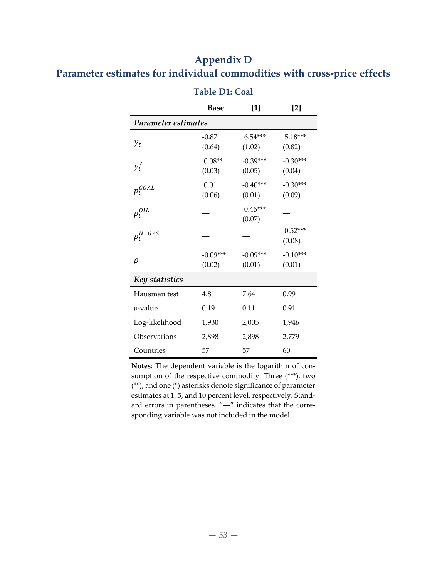# **Appendix D Parameter estimates for individual commodities with cross‐price effects**

|                     | Table DT: Coal       |                      |                      |  |  |  |  |  |  |  |  |
|---------------------|----------------------|----------------------|----------------------|--|--|--|--|--|--|--|--|
|                     | <b>Base</b>          | $[1]$                | $[2]$                |  |  |  |  |  |  |  |  |
| Parameter estimates |                      |                      |                      |  |  |  |  |  |  |  |  |
| $y_t$               | $-0.87$<br>(0.64)    | 6.54***<br>(1.02)    | $5.18***$<br>(0.82)  |  |  |  |  |  |  |  |  |
| $y_t^2$             | $0.08**$<br>(0.03)   | $-0.39***$<br>(0.05) | $-0.30***$<br>(0.04) |  |  |  |  |  |  |  |  |
| $p_t^{\text{COL}}$  | 0.01<br>(0.06)       | $-0.40***$<br>(0.01) | $-0.30***$<br>(0.09) |  |  |  |  |  |  |  |  |
| $p_t^{OIL}$         |                      | $0.46***$<br>(0.07)  |                      |  |  |  |  |  |  |  |  |
| $p_t^{N. \; GAS}$   |                      |                      | $0.52***$<br>(0.08)  |  |  |  |  |  |  |  |  |
| $\rho$              | $-0.09***$<br>(0.02) | $-0.09***$<br>(0.01) | $-0.10***$<br>(0.01) |  |  |  |  |  |  |  |  |
| Key statistics      |                      |                      |                      |  |  |  |  |  |  |  |  |
| Hausman test        | 4.81                 | 7.64                 | 0.99                 |  |  |  |  |  |  |  |  |
| <i>p</i> -value     | 0.19                 | 0.11                 | 0.91                 |  |  |  |  |  |  |  |  |
| Log-likelihood      | 1,930                | 2,005                | 1,946                |  |  |  |  |  |  |  |  |
| Observations        | 2,898                | 2,898                | 2,779                |  |  |  |  |  |  |  |  |
| Countries           | 57                   | 57                   | 60                   |  |  |  |  |  |  |  |  |

**Table D1: Coal**

**Notes**: The dependent variable is the logarithm of con‐ sumption of the respective commodity. Three (\*\*\*), two (\*\*), and one (\*) asterisks denote significance of parameter estimates at 1, 5, and 10 percent level, respectively. Stand‐ ard errors in parentheses. "-" indicates that the corresponding variable was not included in the model.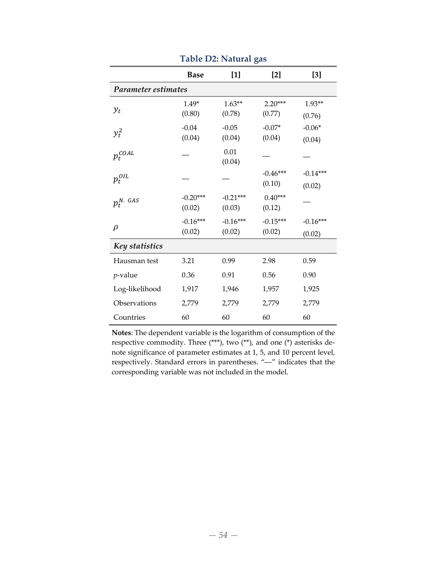|                     | <b>Base</b>          | $[1] % \includegraphics[width=0.9\columnwidth]{figures/fig_1a} \caption{The figure shows the number of times on the right, and the number of times on the right, respectively.} \label{fig:1} %$ | $[2]$                | $[3]$                |
|---------------------|----------------------|--------------------------------------------------------------------------------------------------------------------------------------------------------------------------------------------------|----------------------|----------------------|
| Parameter estimates |                      |                                                                                                                                                                                                  |                      |                      |
| $y_t$               | $1.49*$<br>(0.80)    | $1.63**$<br>(0.78)                                                                                                                                                                               | $2.20***$<br>(0.77)  | $1.93**$<br>(0.76)   |
| $y_t^2$             | $-0.04$<br>(0.04)    | $-0.05$<br>(0.04)                                                                                                                                                                                | $-0.07*$<br>(0.04)   | $-0.06*$<br>(0.04)   |
| $p_t^{\text{COL}}$  |                      | 0.01<br>(0.04)                                                                                                                                                                                   |                      |                      |
| $p_t^{OIL}$         |                      |                                                                                                                                                                                                  | $-0.46***$<br>(0.10) | $-0.14***$<br>(0.02) |
| $p_t^{N. \; GAS}$   | $-0.20***$<br>(0.02) | $-0.21***$<br>(0.03)                                                                                                                                                                             | $0.40***$<br>(0.12)  |                      |
| $\rho$              | $-0.16***$<br>(0.02) | $-0.16***$<br>(0.02)                                                                                                                                                                             | $-0.15***$<br>(0.02) | $-0.16***$<br>(0.02) |
| Key statistics      |                      |                                                                                                                                                                                                  |                      |                      |
| Hausman test        | 3.21                 | 0.99                                                                                                                                                                                             | 2.98                 | 0.59                 |
| <i>p</i> -value     | 0.36                 | 0.91                                                                                                                                                                                             | 0.56                 | 0.90                 |
| Log-likelihood      | 1,917                | 1,946                                                                                                                                                                                            | 1,957                | 1,925                |
| Observations        | 2,779                | 2,779                                                                                                                                                                                            | 2,779                | 2,779                |
| Countries           | 60                   | 60                                                                                                                                                                                               | 60                   | 60                   |

**Table D2: Natural gas**

**Notes**: The dependent variable is the logarithm of consumption of the respective commodity. Three (\*\*\*), two (\*\*), and one (\*) asterisks de‐ note significance of parameter estimates at 1, 5, and 10 percent level, respectively. Standard errors in parentheses. "―" indicates that the corresponding variable was not included in the model.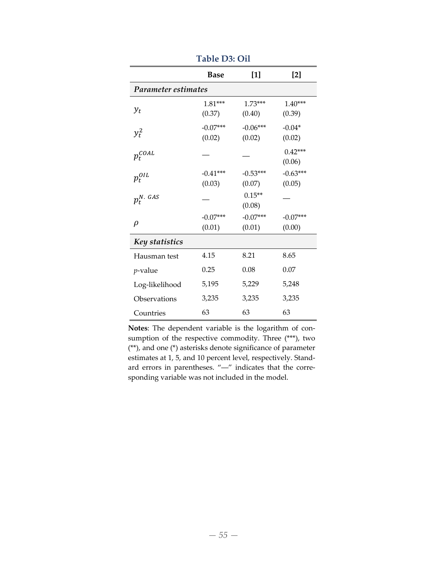|                       | <b>Base</b>          | $[1]$                | [2]                  |
|-----------------------|----------------------|----------------------|----------------------|
| Parameter estimates   |                      |                      |                      |
| $y_t$                 | $1.81***$<br>(0.37)  | $1.73***$<br>(0.40)  | $1.40***$<br>(0.39)  |
| $y_t^2$               | $-0.07***$<br>(0.02) | $-0.06***$<br>(0.02) | $-0.04*$<br>(0.02)   |
| $p_t^{\textit{COAL}}$ |                      |                      | $0.42***$<br>(0.06)  |
| $p_t^{OIL}$           | $-0.41***$<br>(0.03) | $-0.53***$<br>(0.07) | $-0.63***$<br>(0.05) |
| $p_t^{N. \; GAS}$     |                      | $0.15**$<br>(0.08)   |                      |
| ρ                     | $-0.07***$<br>(0.01) | $-0.07***$<br>(0.01) | $-0.07***$<br>(0.00) |
| Key statistics        |                      |                      |                      |
| Hausman test          | 4.15                 | 8.21                 | 8.65                 |
| <i>p</i> -value       | 0.25                 | 0.08                 | 0.07                 |
| Log-likelihood        | 5,195                | 5,229                | 5,248                |
| Observations          | 3,235                | 3,235                | 3,235                |
| Countries             | 63                   | 63                   | 63                   |

**Table D3: Oil**

**Notes**: The dependent variable is the logarithm of con‐ sumption of the respective commodity. Three (\*\*\*), two (\*\*), and one (\*) asterisks denote significance of parameter estimates at 1, 5, and 10 percent level, respectively. Stand‐ ard errors in parentheses. "-" indicates that the corresponding variable was not included in the model.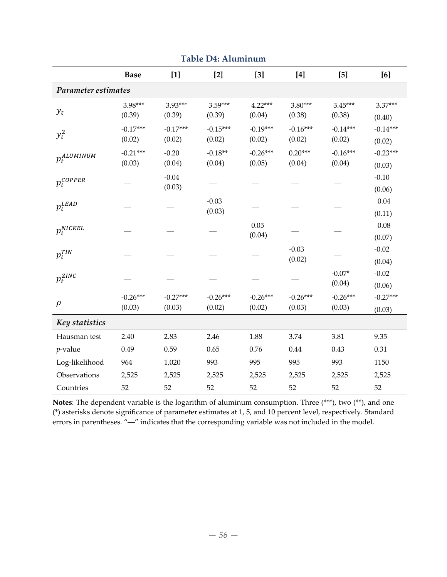|                         | <b>Base</b> | $[1]$      | $[2]$      | $[3]$      | [4]        | $[5]$      | [6]        |
|-------------------------|-------------|------------|------------|------------|------------|------------|------------|
| Parameter estimates     |             |            |            |            |            |            |            |
|                         | 3.98***     | 3.93***    | 3.59***    | $4.22***$  | 3.80***    | $3.45***$  | 3.37***    |
| $y_t$                   | (0.39)      | (0.39)     | (0.39)     | (0.04)     | (0.38)     | (0.38)     | (0.40)     |
| $y_t^2$                 | $-0.17***$  | $-0.17***$ | $-0.15***$ | $-0.19***$ | $-0.16***$ | $-0.14***$ | $-0.14***$ |
|                         | (0.02)      | (0.02)     | (0.02)     | (0.02)     | (0.02)     | (0.02)     | (0.02)     |
| $p_t^{ALUMINUM}$        | $-0.21***$  | $-0.20$    | $-0.18**$  | $-0.26***$ | $0.20***$  | $-0.16***$ | $-0.23***$ |
|                         | (0.03)      | (0.04)     | (0.04)     | (0.05)     | (0.04)     | (0.04)     | (0.03)     |
| $p_t^{\mathit{COPPER}}$ |             | $-0.04$    |            |            |            |            | $-0.10$    |
|                         |             | (0.03)     |            |            |            |            | (0.06)     |
| $p_t^{\text{\it LEAD}}$ |             |            | $-0.03$    |            |            |            | $0.04\,$   |
|                         |             |            | (0.03)     |            |            |            | (0.11)     |
| $p_t^{NICKEL}$          |             |            |            | 0.05       |            |            | 0.08       |
|                         |             |            |            | (0.04)     |            |            | (0.07)     |
| $p_t^{TIN}$             |             |            |            |            | $-0.03$    |            | $-0.02$    |
|                         |             |            |            |            | (0.02)     |            | (0.04)     |
| $p_t^{\mathit{ZINC}}$   |             |            |            |            |            | $-0.07*$   | $-0.02$    |
|                         |             |            |            |            |            | (0.04)     | (0.06)     |
| $\rho$                  | $-0.26***$  | $-0.27***$ | $-0.26***$ | $-0.26***$ | $-0.26***$ | $-0.26***$ | $-0.27***$ |
|                         | (0.03)      | (0.03)     | (0.02)     | (0.02)     | (0.03)     | (0.03)     | (0.03)     |
| Key statistics          |             |            |            |            |            |            |            |
| Hausman test            | 2.40        | 2.83       | 2.46       | 1.88       | 3.74       | 3.81       | 9.35       |
| $p$ -value              | 0.49        | 0.59       | 0.65       | 0.76       | 0.44       | 0.43       | 0.31       |
| Log-likelihood          | 964         | 1,020      | 993        | 995        | 995        | 993        | 1150       |
| Observations            | 2,525       | 2,525      | 2,525      | 2,525      | 2,525      | 2,525      | 2,525      |
| Countries               | 52          | 52         | 52         | 52         | 52         | 52         | 52         |

**Table D4: Aluminum**

**Notes**: The dependent variable is the logarithm of aluminum consumption. Three (\*\*\*), two (\*\*), and one (\*) asterisks denote significance of parameter estimates at 1, 5, and 10 percent level, respectively. Standard errors in parentheses. "―" indicates that the corresponding variable was not included in the model.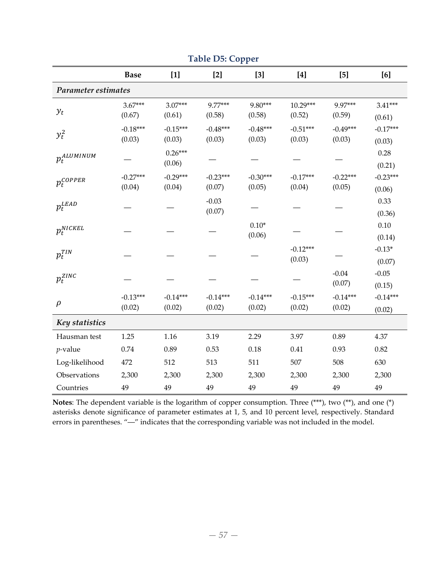|                         |             |            | racie Do. Copper |            |            |            |            |
|-------------------------|-------------|------------|------------------|------------|------------|------------|------------|
|                         | <b>Base</b> | $[1]$      | $[2]$            | $[3]$      | $[4]$      | $[5]$      | [6]        |
| Parameter estimates     |             |            |                  |            |            |            |            |
|                         | $3.67***$   | $3.07***$  | 9.77***          | 9.80***    | 10.29***   | 9.97***    | $3.41***$  |
| $y_t$                   | (0.67)      | (0.61)     | (0.58)           | (0.58)     | (0.52)     | (0.59)     | (0.61)     |
| $y_t^2$                 | $-0.18***$  | $-0.15***$ | $-0.48***$       | $-0.48***$ | $-0.51***$ | $-0.49***$ | $-0.17***$ |
|                         | (0.03)      | (0.03)     | (0.03)           | (0.03)     | (0.03)     | (0.03)     | (0.03)     |
| $p_t^{ALUMINUM}$        |             | $0.26***$  |                  |            |            |            | 0.28       |
|                         |             | (0.06)     |                  |            |            |            | (0.21)     |
| $p_t^{\mathit{COPPER}}$ | $-0.27***$  | $-0.29***$ | $-0.23***$       | $-0.30***$ | $-0.17***$ | $-0.22***$ | $-0.23***$ |
|                         | (0.04)      | (0.04)     | (0.07)           | (0.05)     | (0.04)     | (0.05)     | (0.06)     |
| $p_t^{LEAD}$            |             |            | $-0.03$          |            |            |            | 0.33       |
|                         |             |            | (0.07)           |            |            |            | (0.36)     |
| $p_t^{NICKEL}$          |             |            |                  | $0.10*$    |            |            | $0.10\,$   |
|                         |             |            |                  | (0.06)     |            |            | (0.14)     |
| $p_t^{TIN}$             |             |            |                  |            | $-0.12***$ |            | $-0.13*$   |
|                         |             |            |                  |            | (0.03)     |            | (0.07)     |
| $p_t^{\mathit{ZINC}}$   |             |            |                  |            |            | $-0.04$    | $-0.05$    |
|                         |             |            |                  |            |            | (0.07)     | (0.15)     |
| $\rho$                  | $-0.13***$  | $-0.14***$ | $-0.14***$       | $-0.14***$ | $-0.15***$ | $-0.14***$ | $-0.14***$ |
|                         | (0.02)      | (0.02)     | (0.02)           | (0.02)     | (0.02)     | (0.02)     | (0.02)     |
| Key statistics          |             |            |                  |            |            |            |            |
| Hausman test            | 1.25        | 1.16       | 3.19             | 2.29       | 3.97       | 0.89       | 4.37       |
| $p$ -value              | 0.74        | 0.89       | 0.53             | 0.18       | 0.41       | 0.93       | 0.82       |
| Log-likelihood          | 472         | 512        | 513              | 511        | 507        | 508        | 630        |
| Observations            | 2,300       | 2,300      | 2,300            | 2,300      | 2,300      | 2,300      | 2,300      |
| Countries               | 49          | 49         | 49               | 49         | 49         | 49         | 49         |

**Table D5: Copper**

**Notes**: The dependent variable is the logarithm of copper consumption. Three (\*\*\*), two (\*\*), and one (\*) asterisks denote significance of parameter estimates at 1, 5, and 10 percent level, respectively. Standard errors in parentheses. "―" indicates that the corresponding variable was not included in the model.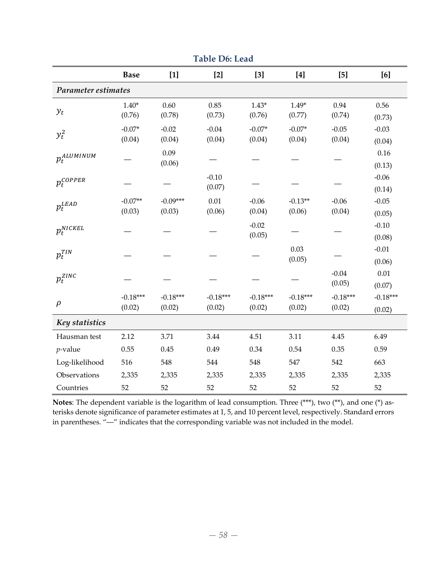|                     | Tabit Du. Ltau |            |            |            |                                                                                                                                                                                                                                                                                                                                                                                                                                                                                                                   |            |            |  |  |  |
|---------------------|----------------|------------|------------|------------|-------------------------------------------------------------------------------------------------------------------------------------------------------------------------------------------------------------------------------------------------------------------------------------------------------------------------------------------------------------------------------------------------------------------------------------------------------------------------------------------------------------------|------------|------------|--|--|--|
|                     | <b>Base</b>    | $[1]$      | $[2]$      | $[3]$      | $[4] \centering% \includegraphics[width=1\textwidth]{images/TransY.pdf} \caption{The first two different values of $d=3$ and $d=4$ (left) and the second term (right) of $d=4$ (right) and $d=4$ (right) and $d=4$ (right) and $d=4$ (right) and $d=4$ (right) and $d=4$ (right) and $d=4$ (right) and $d=4$ (right) and $d=4$ (right) and $d=4$ (right) and $d=4$ (right) and $d=4$ (right) and $d=4$ (right) and $d=4$ (right) and $d=4$ (right) and $d=4$ (right) and $d=4$ (right) and $d=4$ (right) and $d=$ | $[5]$      | [6]        |  |  |  |
| Parameter estimates |                |            |            |            |                                                                                                                                                                                                                                                                                                                                                                                                                                                                                                                   |            |            |  |  |  |
|                     | $1.40*$        | 0.60       | 0.85       | $1.43*$    | $1.49*$                                                                                                                                                                                                                                                                                                                                                                                                                                                                                                           | 0.94       | 0.56       |  |  |  |
| $y_t$               | (0.76)         | (0.78)     | (0.73)     | (0.76)     | (0.77)                                                                                                                                                                                                                                                                                                                                                                                                                                                                                                            | (0.74)     | (0.73)     |  |  |  |
| $y_t^2$             | $-0.07*$       | $-0.02$    | $-0.04$    | $-0.07*$   | $-0.07*$                                                                                                                                                                                                                                                                                                                                                                                                                                                                                                          | $-0.05$    | $-0.03$    |  |  |  |
|                     | (0.04)         | (0.04)     | (0.04)     | (0.04)     | (0.04)                                                                                                                                                                                                                                                                                                                                                                                                                                                                                                            | (0.04)     | (0.04)     |  |  |  |
| $p_t^{ALUMINUM}$    |                | 0.09       |            |            |                                                                                                                                                                                                                                                                                                                                                                                                                                                                                                                   |            | 0.16       |  |  |  |
|                     |                | (0.06)     |            |            |                                                                                                                                                                                                                                                                                                                                                                                                                                                                                                                   |            | (0.13)     |  |  |  |
| $p_t^{COPPER}$      |                |            | $-0.10$    |            |                                                                                                                                                                                                                                                                                                                                                                                                                                                                                                                   |            | $-0.06$    |  |  |  |
|                     |                |            | (0.07)     |            |                                                                                                                                                                                                                                                                                                                                                                                                                                                                                                                   |            | (0.14)     |  |  |  |
| $p_t^{LEAD}$        | $-0.07**$      | $-0.09***$ | 0.01       | $-0.06$    | $-0.13**$                                                                                                                                                                                                                                                                                                                                                                                                                                                                                                         | $-0.06$    | $-0.05$    |  |  |  |
|                     | (0.03)         | (0.03)     | (0.06)     | (0.04)     | (0.06)                                                                                                                                                                                                                                                                                                                                                                                                                                                                                                            | (0.04)     | (0.05)     |  |  |  |
| $p_t^{NICKEL}$      |                |            |            | $-0.02$    |                                                                                                                                                                                                                                                                                                                                                                                                                                                                                                                   |            | $-0.10$    |  |  |  |
|                     |                |            |            | (0.05)     |                                                                                                                                                                                                                                                                                                                                                                                                                                                                                                                   |            | (0.08)     |  |  |  |
| $p_t^{TIN}$         |                |            |            |            | 0.03                                                                                                                                                                                                                                                                                                                                                                                                                                                                                                              |            | $-0.01$    |  |  |  |
|                     |                |            |            |            | (0.05)                                                                                                                                                                                                                                                                                                                                                                                                                                                                                                            |            | (0.06)     |  |  |  |
| $p_t^{ZINC}$        |                |            |            |            |                                                                                                                                                                                                                                                                                                                                                                                                                                                                                                                   | $-0.04$    | 0.01       |  |  |  |
|                     |                |            |            |            |                                                                                                                                                                                                                                                                                                                                                                                                                                                                                                                   | (0.05)     | (0.07)     |  |  |  |
| $\rho$              | $-0.18***$     | $-0.18***$ | $-0.18***$ | $-0.18***$ | $-0.18***$                                                                                                                                                                                                                                                                                                                                                                                                                                                                                                        | $-0.18***$ | $-0.18***$ |  |  |  |
|                     | (0.02)         | (0.02)     | (0.02)     | (0.02)     | (0.02)                                                                                                                                                                                                                                                                                                                                                                                                                                                                                                            | (0.02)     | (0.02)     |  |  |  |
| Key statistics      |                |            |            |            |                                                                                                                                                                                                                                                                                                                                                                                                                                                                                                                   |            |            |  |  |  |
| Hausman test        | 2.12           | 3.71       | 3.44       | 4.51       | 3.11                                                                                                                                                                                                                                                                                                                                                                                                                                                                                                              | 4.45       | 6.49       |  |  |  |
| $p$ -value          | 0.55           | 0.45       | 0.49       | 0.34       | 0.54                                                                                                                                                                                                                                                                                                                                                                                                                                                                                                              | 0.35       | 0.59       |  |  |  |
| Log-likelihood      | 516            | 548        | 544        | 548        | 547                                                                                                                                                                                                                                                                                                                                                                                                                                                                                                               | 542        | 663        |  |  |  |
| Observations        | 2,335          | 2,335      | 2,335      | 2,335      | 2,335                                                                                                                                                                                                                                                                                                                                                                                                                                                                                                             | 2,335      | 2,335      |  |  |  |
| Countries           | 52             | 52         | 52         | 52         | 52                                                                                                                                                                                                                                                                                                                                                                                                                                                                                                                | 52         | 52         |  |  |  |

**Table D6: Lead**

Notes: The dependent variable is the logarithm of lead consumption. Three (\*\*\*), two (\*\*), and one (\*) asterisks denote significance of parameter estimates at 1, 5, and 10 percent level, respectively. Standard errors in parentheses. "―" indicates that the corresponding variable was not included in the model.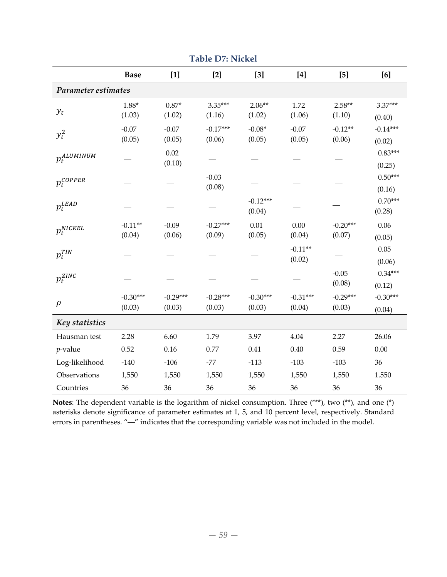|                         |             |            | $1001C$ D $1.11$ CKC |            |            |            |            |
|-------------------------|-------------|------------|----------------------|------------|------------|------------|------------|
|                         | <b>Base</b> | $[1]$      | $[2]$                | $[3]$      | $[4]$      | $[5]$      | [6]        |
| Parameter estimates     |             |            |                      |            |            |            |            |
|                         | $1.88*$     | $0.87*$    | 3.35***              | $2.06**$   | 1.72       | $2.58**$   | 3.37***    |
| $y_t$                   | (1.03)      | (1.02)     | (1.16)               | (1.02)     | (1.06)     | (1.10)     | (0.40)     |
| $y_t^2$                 | $-0.07$     | $-0.07$    | $-0.17***$           | $-0.08*$   | $-0.07$    | $-0.12**$  | $-0.14***$ |
|                         | (0.05)      | (0.05)     | (0.06)               | (0.05)     | (0.05)     | (0.06)     | (0.02)     |
| $p_t^{ALUMINUM}$        |             | 0.02       |                      |            |            |            | $0.83***$  |
|                         |             | (0.10)     |                      |            |            |            | (0.25)     |
| $p_t^{COPPER}$          |             |            | $-0.03$              |            |            |            | $0.50***$  |
|                         |             |            | (0.08)               |            |            |            | (0.16)     |
| $p_t^{\text{\it LEAD}}$ |             |            |                      | $-0.12***$ |            |            | $0.70***$  |
|                         |             |            |                      | (0.04)     |            |            | (0.28)     |
| $p_t^{NICKEL}$          | $-0.11**$   | $-0.09$    | $-0.27***$           | 0.01       | 0.00       | $-0.20***$ | 0.06       |
|                         | (0.04)      | (0.06)     | (0.09)               | (0.05)     | (0.04)     | (0.07)     | (0.05)     |
| $p_t^{TIN}$             |             |            |                      |            | $-0.11**$  |            | $0.05\,$   |
|                         |             |            |                      |            | (0.02)     |            | (0.06)     |
| $p_t^{\mathit{ZINC}}$   |             |            |                      |            |            | $-0.05$    | $0.34***$  |
|                         |             |            |                      |            |            | (0.08)     | (0.12)     |
| $\rho$                  | $-0.30***$  | $-0.29***$ | $-0.28***$           | $-0.30***$ | $-0.31***$ | $-0.29***$ | $-0.30***$ |
|                         | (0.03)      | (0.03)     | (0.03)               | (0.03)     | (0.04)     | (0.03)     | (0.04)     |
| Key statistics          |             |            |                      |            |            |            |            |
| Hausman test            | 2.28        | 6.60       | 1.79                 | 3.97       | 4.04       | 2.27       | 26.06      |
| $p$ -value              | 0.52        | 0.16       | 0.77                 | 0.41       | 0.40       | 0.59       | 0.00       |
| Log-likelihood          | $-140$      | $-106$     | $-77$                | $-113$     | $-103$     | $-103$     | 36         |
| Observations            | 1,550       | 1,550      | 1,550                | 1,550      | 1,550      | 1,550      | 1.550      |
| Countries               | 36          | 36         | 36                   | 36         | 36         | 36         | 36         |

**Table D7: Nickel**

**Notes**: The dependent variable is the logarithm of nickel consumption. Three (\*\*\*), two (\*\*), and one (\*) asterisks denote significance of parameter estimates at 1, 5, and 10 percent level, respectively. Standard errors in parentheses. "―" indicates that the corresponding variable was not included in the model.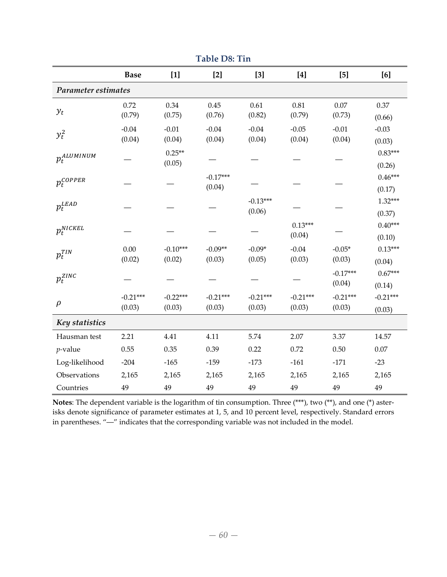|                         | <b>Base</b> | $[1]$      | $[2]$      | $[3]$      | $[4]$      | $[5]$      | [6]        |
|-------------------------|-------------|------------|------------|------------|------------|------------|------------|
| Parameter estimates     |             |            |            |            |            |            |            |
|                         | 0.72        | 0.34       | $0.45\,$   | 0.61       | 0.81       | $0.07\,$   | 0.37       |
| $y_t$                   | (0.79)      | (0.75)     | (0.76)     | (0.82)     | (0.79)     | (0.73)     | (0.66)     |
| $y_t^2$                 | $-0.04$     | $-0.01$    | $-0.04$    | $-0.04$    | $-0.05$    | $-0.01$    | $-0.03$    |
|                         | (0.04)      | (0.04)     | (0.04)     | (0.04)     | (0.04)     | (0.04)     | (0.03)     |
| $p_t^{ALUMINUM}$        |             | $0.25**$   |            |            |            |            | $0.83***$  |
|                         |             | (0.05)     |            |            |            |            | (0.26)     |
| $p_t^{\mathit{COPPER}}$ |             |            | $-0.17***$ |            |            |            | $0.46***$  |
|                         |             |            | (0.04)     |            |            |            | (0.17)     |
| $p_t^{\text{\it LEAD}}$ |             |            |            | $-0.13***$ |            |            | $1.32***$  |
|                         |             |            |            | (0.06)     |            |            | (0.37)     |
| $p_t^{NICKEL}$          |             |            |            |            | $0.13***$  |            | $0.40***$  |
|                         |             |            |            |            | (0.04)     |            | (0.10)     |
| $p_t^{TIN}$             | 0.00        | $-0.10***$ | $-0.09**$  | $-0.09*$   | $-0.04$    | $-0.05*$   | $0.13***$  |
|                         | (0.02)      | (0.02)     | (0.03)     | (0.05)     | (0.03)     | (0.03)     | (0.04)     |
| $p_t^{\mathit{ZINC}}$   |             |            |            |            |            | $-0.17***$ | $0.67***$  |
|                         |             |            |            |            |            | (0.04)     | (0.14)     |
| $\rho$                  | $-0.21***$  | $-0.22***$ | $-0.21***$ | $-0.21***$ | $-0.21***$ | $-0.21***$ | $-0.21***$ |
|                         | (0.03)      | (0.03)     | (0.03)     | (0.03)     | (0.03)     | (0.03)     | (0.03)     |
| Key statistics          |             |            |            |            |            |            |            |
| Hausman test            | 2.21        | 4.41       | 4.11       | 5.74       | 2.07       | 3.37       | 14.57      |
| $p$ -value              | 0.55        | 0.35       | 0.39       | 0.22       | 0.72       | 0.50       | $0.07\,$   |
| Log-likelihood          | $-204$      | $-165$     | $-159$     | $-173$     | $-161$     | $-171$     | $-23$      |
| Observations            | 2,165       | 2,165      | 2,165      | 2,165      | 2,165      | 2,165      | 2,165      |
| Countries               | 49          | 49         | 49         | 49         | 49         | 49         | 49         |

**Table D8: Tin**

**Notes**: The dependent variable is the logarithm of tin consumption. Three (\*\*\*), two (\*\*), and one (\*) aster‐ isks denote significance of parameter estimates at 1, 5, and 10 percent level, respectively. Standard errors in parentheses. "―" indicates that the corresponding variable was not included in the model.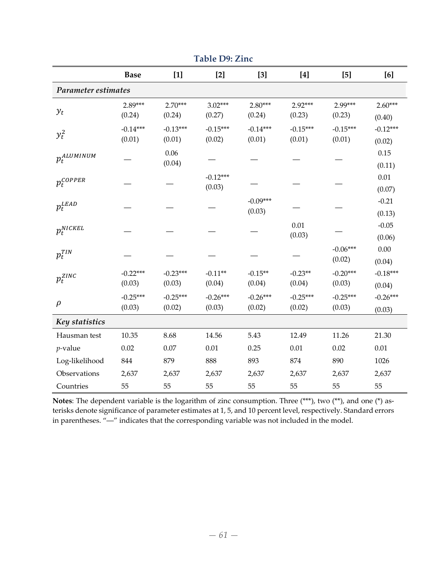|                         | <b>Base</b> | $[1]$      | $[2]$      | $[3]$      | $[4]$      | $[5]$      | [6]        |
|-------------------------|-------------|------------|------------|------------|------------|------------|------------|
| Parameter estimates     |             |            |            |            |            |            |            |
|                         | 2.89***     | $2.70***$  | $3.02***$  | $2.80***$  | 2.92***    | 2.99***    | $2.60***$  |
| $y_t$                   | (0.24)      | (0.24)     | (0.27)     | (0.24)     | (0.23)     | (0.23)     | (0.40)     |
| $y_t^2$                 | $-0.14***$  | $-0.13***$ | $-0.15***$ | $-0.14***$ | $-0.15***$ | $-0.15***$ | $-0.12***$ |
|                         | (0.01)      | (0.01)     | (0.02)     | (0.01)     | (0.01)     | (0.01)     | (0.02)     |
| $p_t^{ALUMINUM}$        |             | $0.06\,$   |            |            |            |            | 0.15       |
|                         |             | (0.04)     |            |            |            |            | (0.11)     |
| $p_t^{COPPER}$          |             |            | $-0.12***$ |            |            |            | 0.01       |
|                         |             |            | (0.03)     |            |            |            | (0.07)     |
| $p_t^{\text{\it LEAD}}$ |             |            |            | $-0.09***$ |            |            | $-0.21$    |
|                         |             |            |            | (0.03)     |            |            | (0.13)     |
| $p_t^{NICKEL}$          |             |            |            |            | 0.01       |            | $-0.05$    |
|                         |             |            |            |            | (0.03)     |            | (0.06)     |
| $p_t^{TIN}$             |             |            |            |            |            | $-0.06***$ | 0.00       |
|                         |             |            |            |            |            | (0.02)     | (0.04)     |
| $p_t^{\mathit{ZINC}}$   | $-0.22***$  | $-0.23***$ | $-0.11**$  | $-0.15**$  | $-0.23**$  | $-0.20***$ | $-0.18***$ |
|                         | (0.03)      | (0.03)     | (0.04)     | (0.04)     | (0.04)     | (0.03)     | (0.04)     |
| $\rho$                  | $-0.25***$  | $-0.25***$ | $-0.26***$ | $-0.26***$ | $-0.25***$ | $-0.25***$ | $-0.26***$ |
|                         | (0.03)      | (0.02)     | (0.03)     | (0.02)     | (0.02)     | (0.03)     | (0.03)     |
| Key statistics          |             |            |            |            |            |            |            |
| Hausman test            | 10.35       | 8.68       | 14.56      | 5.43       | 12.49      | 11.26      | 21.30      |
| $p$ -value              | 0.02        | 0.07       | 0.01       | 0.25       | 0.01       | 0.02       | 0.01       |
| Log-likelihood          | 844         | 879        | 888        | 893        | 874        | 890        | 1026       |
| Observations            | 2,637       | 2,637      | 2,637      | 2,637      | 2,637      | 2,637      | 2,637      |
| Countries               | 55          | 55         | 55         | 55         | 55         | 55         | 55         |

**Table D9: Zinc**

Notes: The dependent variable is the logarithm of zinc consumption. Three (\*\*\*), two (\*\*), and one (\*) asterisks denote significance of parameter estimates at 1, 5, and 10 percent level, respectively. Standard errors in parentheses. "―" indicates that the corresponding variable was not included in the model.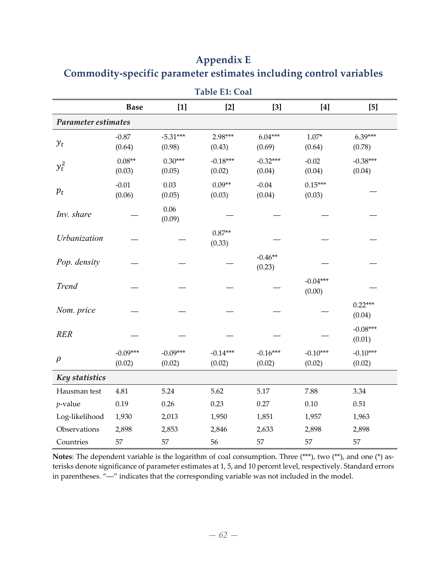|                     |                      |                      | <b>Table E1: Coal</b> |                      |                                                                                                                                                                                                                                                                                                                                                                                                                                                                                                                                                                                                                                                                                                                                                                      |                      |
|---------------------|----------------------|----------------------|-----------------------|----------------------|----------------------------------------------------------------------------------------------------------------------------------------------------------------------------------------------------------------------------------------------------------------------------------------------------------------------------------------------------------------------------------------------------------------------------------------------------------------------------------------------------------------------------------------------------------------------------------------------------------------------------------------------------------------------------------------------------------------------------------------------------------------------|----------------------|
|                     | <b>Base</b>          | $[1]$                | $[2]$                 | $[3]$                | $[4] \centering% \includegraphics[width=1\textwidth]{images/TransY.pdf} \caption{The first two different values of $d$ and $d$ are the same as in Figure \ref{fig:map}(a) and the second two different values of $d$ are the same as in Figure \ref{fig:map}(b) and the third two different values of $d$ are the same as in Figure \ref{fig:map}(c) and the third two different values of $d$ are the same as in Figure \ref{fig:map}(d) and the third two different values of $d$ are the same as in Figure \ref{fig:map}(e) and the third two different values of $d$ are the same as inFigure \ref{fig:map}(d) and the third two different values of $d$ are the same as inFigure \ref{fig:map}(e) and the third two different values of $d$ are the same as in$ | $[5]$                |
| Parameter estimates |                      |                      |                       |                      |                                                                                                                                                                                                                                                                                                                                                                                                                                                                                                                                                                                                                                                                                                                                                                      |                      |
| $y_t$               | $-0.87$<br>(0.64)    | $-5.31***$<br>(0.98) | 2.98***<br>(0.43)     | $6.04***$<br>(0.69)  | $1.07*$<br>(0.64)                                                                                                                                                                                                                                                                                                                                                                                                                                                                                                                                                                                                                                                                                                                                                    | 6.39***<br>(0.78)    |
| $y_t^2$             | $0.08**$<br>(0.03)   | $0.30***$<br>(0.05)  | $-0.18***$<br>(0.02)  | $-0.32***$<br>(0.04) | $-0.02$<br>(0.04)                                                                                                                                                                                                                                                                                                                                                                                                                                                                                                                                                                                                                                                                                                                                                    | $-0.38***$<br>(0.04) |
| $p_t$               | $-0.01$<br>(0.06)    | 0.03<br>(0.05)       | $0.09**$<br>(0.03)    | $-0.04$<br>(0.04)    | $0.15***$<br>(0.03)                                                                                                                                                                                                                                                                                                                                                                                                                                                                                                                                                                                                                                                                                                                                                  |                      |
| Inv. share          |                      | 0.06<br>(0.09)       |                       |                      |                                                                                                                                                                                                                                                                                                                                                                                                                                                                                                                                                                                                                                                                                                                                                                      |                      |
| Urbanization        |                      |                      | $0.87**$<br>(0.33)    |                      |                                                                                                                                                                                                                                                                                                                                                                                                                                                                                                                                                                                                                                                                                                                                                                      |                      |
| Pop. density        |                      |                      |                       | $-0.46**$<br>(0.23)  |                                                                                                                                                                                                                                                                                                                                                                                                                                                                                                                                                                                                                                                                                                                                                                      |                      |
| <b>Trend</b>        |                      |                      |                       |                      | $-0.04***$<br>(0.00)                                                                                                                                                                                                                                                                                                                                                                                                                                                                                                                                                                                                                                                                                                                                                 |                      |
| Nom. price          |                      |                      |                       |                      |                                                                                                                                                                                                                                                                                                                                                                                                                                                                                                                                                                                                                                                                                                                                                                      | $0.22***$<br>(0.04)  |
| <b>RER</b>          |                      |                      |                       |                      |                                                                                                                                                                                                                                                                                                                                                                                                                                                                                                                                                                                                                                                                                                                                                                      | $-0.08***$<br>(0.01) |
| $\rho$              | $-0.09***$<br>(0.02) | $-0.09***$<br>(0.02) | $-0.14***$<br>(0.02)  | $-0.16***$<br>(0.02) | $-0.10***$<br>(0.02)                                                                                                                                                                                                                                                                                                                                                                                                                                                                                                                                                                                                                                                                                                                                                 | $-0.10***$<br>(0.02) |
| Key statistics      |                      |                      |                       |                      |                                                                                                                                                                                                                                                                                                                                                                                                                                                                                                                                                                                                                                                                                                                                                                      |                      |
| Hausman test        | 4.81                 | 5.24                 | 5.62                  | 5.17                 | 7.88                                                                                                                                                                                                                                                                                                                                                                                                                                                                                                                                                                                                                                                                                                                                                                 | 3.34                 |
| $p$ -value          | 0.19                 | 0.26                 | 0.23                  | 0.27                 | $0.10\,$                                                                                                                                                                                                                                                                                                                                                                                                                                                                                                                                                                                                                                                                                                                                                             | 0.51                 |
| Log-likelihood      | 1,930                | 2,013                | 1,950                 | 1,851                | 1,957                                                                                                                                                                                                                                                                                                                                                                                                                                                                                                                                                                                                                                                                                                                                                                | 1,963                |
| Observations        | 2,898                | 2,853                | 2,846                 | 2,633                | 2,898                                                                                                                                                                                                                                                                                                                                                                                                                                                                                                                                                                                                                                                                                                                                                                | 2,898                |
| Countries           | 57                   | 57                   | 56                    | 57                   | 57                                                                                                                                                                                                                                                                                                                                                                                                                                                                                                                                                                                                                                                                                                                                                                   | 57                   |

# **Appendix E Commodity‐specific parameter estimates including control variables**

Notes: The dependent variable is the logarithm of coal consumption. Three (\*\*\*), two (\*\*), and one (\*) asterisks denote significance of parameter estimates at 1, 5, and 10 percent level, respectively. Standard errors in parentheses. "―" indicates that the corresponding variable was not included in the model.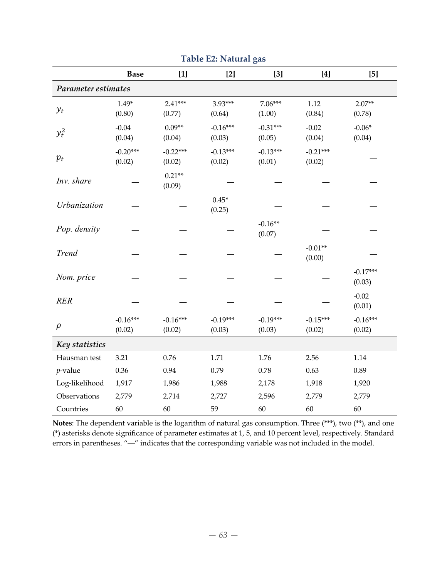|                     |                      |                      |                      | O                    |                      |                      |
|---------------------|----------------------|----------------------|----------------------|----------------------|----------------------|----------------------|
|                     | <b>Base</b>          | $[1]$                | $[2]$                | $[3]$                | $[4]$                | [5]                  |
| Parameter estimates |                      |                      |                      |                      |                      |                      |
| $y_t$               | $1.49*$<br>(0.80)    | $2.41***$<br>(0.77)  | 3.93***<br>(0.64)    | $7.06***$<br>(1.00)  | 1.12<br>(0.84)       | $2.07**$<br>(0.78)   |
| $y_t^2$             | $-0.04$<br>(0.04)    | $0.09**$<br>(0.04)   | $-0.16***$<br>(0.03) | $-0.31***$<br>(0.05) | $-0.02$<br>(0.04)    | $-0.06*$<br>(0.04)   |
| $p_t$               | $-0.20***$<br>(0.02) | $-0.22***$<br>(0.02) | $-0.13***$<br>(0.02) | $-0.13***$<br>(0.01) | $-0.21***$<br>(0.02) |                      |
| Inv. share          |                      | $0.21**$<br>(0.09)   |                      |                      |                      |                      |
| Urbanization        |                      |                      | $0.45*$<br>(0.25)    |                      |                      |                      |
| Pop. density        |                      |                      |                      | $-0.16**$<br>(0.07)  |                      |                      |
| <b>Trend</b>        |                      |                      |                      |                      | $-0.01**$<br>(0.00)  |                      |
| Nom. price          |                      |                      |                      |                      |                      | $-0.17***$<br>(0.03) |
| <b>RER</b>          |                      |                      |                      |                      |                      | $-0.02$<br>(0.01)    |
| $\rho$              | $-0.16***$<br>(0.02) | $-0.16***$<br>(0.02) | $-0.19***$<br>(0.03) | $-0.19***$<br>(0.03) | $-0.15***$<br>(0.02) | $-0.16***$<br>(0.02) |
| Key statistics      |                      |                      |                      |                      |                      |                      |
| Hausman test        | 3.21                 | 0.76                 | 1.71                 | 1.76                 | 2.56                 | 1.14                 |
| $p$ -value          | 0.36                 | 0.94                 | 0.79                 | 0.78                 | 0.63                 | 0.89                 |
| Log-likelihood      | 1,917                | 1,986                | 1,988                | 2,178                | 1,918                | 1,920                |
| Observations        | 2,779                | 2,714                | 2,727                | 2,596                | 2,779                | 2,779                |
| Countries           | 60                   | 60                   | 59                   | 60                   | 60                   | 60                   |

**Table E2: Natural gas**

**Notes**: The dependent variable is the logarithm of natural gas consumption. Three (\*\*\*), two (\*\*), and one (\*) asterisks denote significance of parameter estimates at 1, 5, and 10 percent level, respectively. Standard errors in parentheses. "―" indicates that the corresponding variable was not included in the model.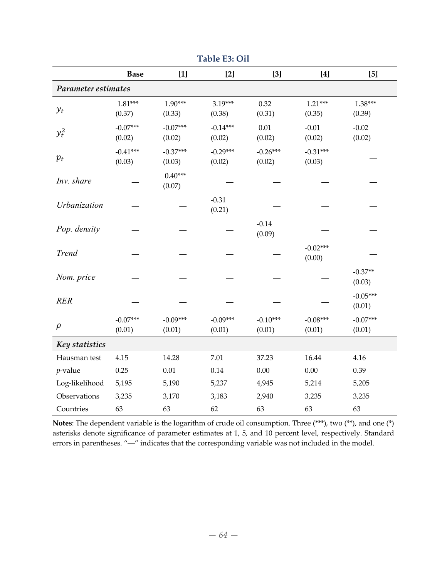|                     | <b>Base</b>          | $[1]$                | $[2]$                | $[3]$                | $[4]$                | $[5]$                |
|---------------------|----------------------|----------------------|----------------------|----------------------|----------------------|----------------------|
| Parameter estimates |                      |                      |                      |                      |                      |                      |
| $y_t$               | $1.81***$<br>(0.37)  | $1.90***$<br>(0.33)  | $3.19***$<br>(0.38)  | 0.32<br>(0.31)       | $1.21***$<br>(0.35)  | $1.38***$<br>(0.39)  |
| $y_t^2$             | $-0.07***$<br>(0.02) | $-0.07***$<br>(0.02) | $-0.14***$<br>(0.02) | $0.01\,$<br>(0.02)   | $-0.01$<br>(0.02)    | $-0.02$<br>(0.02)    |
| $p_t$               | $-0.41***$<br>(0.03) | $-0.37***$<br>(0.03) | $-0.29***$<br>(0.02) | $-0.26***$<br>(0.02) | $-0.31***$<br>(0.03) |                      |
| Inv. share          |                      | $0.40***$<br>(0.07)  |                      |                      |                      |                      |
| Urbanization        |                      |                      | $-0.31$<br>(0.21)    |                      |                      |                      |
| Pop. density        |                      |                      |                      | $-0.14$<br>(0.09)    |                      |                      |
| <b>Trend</b>        |                      |                      |                      |                      | $-0.02***$<br>(0.00) |                      |
| Nom. price          |                      |                      |                      |                      |                      | $-0.37**$<br>(0.03)  |
| <b>RER</b>          |                      |                      |                      |                      |                      | $-0.05***$<br>(0.01) |
| $\rho$              | $-0.07***$<br>(0.01) | $-0.09***$<br>(0.01) | $-0.09***$<br>(0.01) | $-0.10***$<br>(0.01) | $-0.08***$<br>(0.01) | $-0.07***$<br>(0.01) |
| Key statistics      |                      |                      |                      |                      |                      |                      |
| Hausman test        | 4.15                 | 14.28                | 7.01                 | 37.23                | 16.44                | 4.16                 |
| $p$ -value          | 0.25                 | $0.01\,$             | 0.14                 | 0.00                 | 0.00                 | 0.39                 |
| Log-likelihood      | 5,195                | 5,190                | 5,237                | 4,945                | 5,214                | 5,205                |
| Observations        | 3,235                | 3,170                | 3,183                | 2,940                | 3,235                | 3,235                |
| Countries           | 63                   | 63                   | 62                   | 63                   | 63                   | 63                   |

**Table E3: Oil**

**Notes**: The dependent variable is the logarithm of crude oil consumption. Three (\*\*\*), two (\*\*), and one (\*) asterisks denote significance of parameter estimates at 1, 5, and 10 percent level, respectively. Standard errors in parentheses. "―" indicates that the corresponding variable was not included in the model.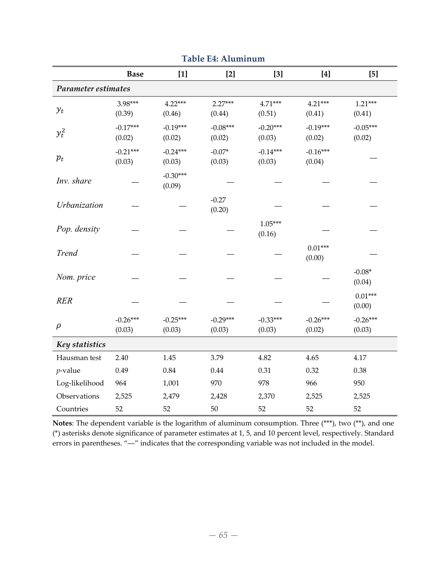|                | <b>Base</b>          | $[1]$                | $[2]$                | $[3]$                | [4]                  | [5]                  |  |  |  |
|----------------|----------------------|----------------------|----------------------|----------------------|----------------------|----------------------|--|--|--|
|                | Parameter estimates  |                      |                      |                      |                      |                      |  |  |  |
| $y_t$          | 3.98***<br>(0.39)    | $4.22***$<br>(0.46)  | $2.27***$<br>(0.44)  | 4.71***<br>(0.51)    | $4.21***$<br>(0.41)  | $1.21***$<br>(0.41)  |  |  |  |
| $y_t^2$        | $-0.17***$<br>(0.02) | $-0.19***$<br>(0.02) | $-0.08***$<br>(0.02) | $-0.20***$<br>(0.03) | $-0.19***$<br>(0.02) | $-0.05***$<br>(0.02) |  |  |  |
| $p_t$          | $-0.21***$<br>(0.03) | $-0.24***$<br>(0.03) | $-0.07*$<br>(0.03)   | $-0.14***$<br>(0.03) | $-0.16***$<br>(0.04) |                      |  |  |  |
| Inv. share     |                      | $-0.30***$<br>(0.09) |                      |                      |                      |                      |  |  |  |
| Urbanization   |                      |                      | $-0.27$<br>(0.20)    |                      |                      |                      |  |  |  |
| Pop. density   |                      |                      |                      | $1.05***$<br>(0.16)  |                      |                      |  |  |  |
| <b>Trend</b>   |                      |                      |                      |                      | $0.01***$<br>(0.00)  |                      |  |  |  |
| Nom. price     |                      |                      |                      |                      |                      | $-0.08*$<br>(0.04)   |  |  |  |
| <b>RER</b>     |                      |                      |                      |                      |                      | $0.01***$<br>(0.00)  |  |  |  |
| $\rho$         | $-0.26***$<br>(0.03) | $-0.25***$<br>(0.03) | $-0.29***$<br>(0.03) | $-0.33***$<br>(0.03) | $-0.26***$<br>(0.02) | $-0.26***$<br>(0.03) |  |  |  |
| Key statistics |                      |                      |                      |                      |                      |                      |  |  |  |
| Hausman test   | 2.40                 | 1.45                 | 3.79                 | 4.82                 | 4.65                 | 4.17                 |  |  |  |
| $p$ -value     | 0.49                 | $0.84\,$             | 0.44                 | 0.31                 | 0.32                 | 0.38                 |  |  |  |
| Log-likelihood | 964                  | 1,001                | 970                  | 978                  | 966                  | 950                  |  |  |  |
| Observations   | 2,525                | 2,479                | 2,428                | 2,370                | 2,525                | 2,525                |  |  |  |
| Countries      | 52                   | 52                   | 50                   | 52                   | 52                   | 52                   |  |  |  |

**Table E4: Aluminum**

Notes: The dependent variable is the logarithm of aluminum consumption. Three (\*\*\*), two (\*\*), and one (\*) asterisks denote significance of parameter estimates at 1, 5, and 10 percent level, respectively. Standard errors in parentheses. "―" indicates that the corresponding variable was not included in the model.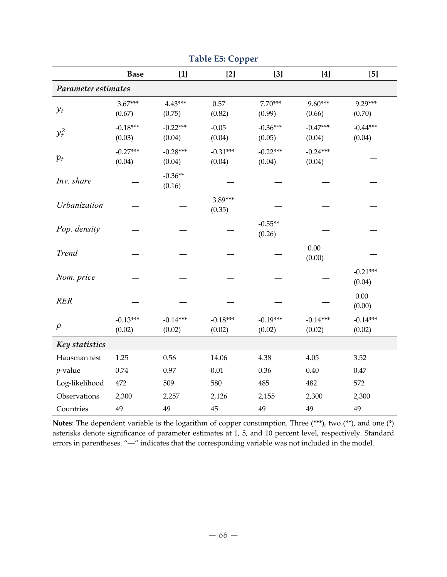|                     |                      |                      | rг                   |                      |                      |                      |  |  |
|---------------------|----------------------|----------------------|----------------------|----------------------|----------------------|----------------------|--|--|
|                     | <b>Base</b>          | $[1]$                | $[2]$                | $[3]$                | $[4]$                | $[5]$                |  |  |
| Parameter estimates |                      |                      |                      |                      |                      |                      |  |  |
| $y_t$               | $3.67***$<br>(0.67)  | $4.43***$<br>(0.75)  | 0.57<br>(0.82)       | $7.70***$<br>(0.99)  | 9.60***<br>(0.66)    | 9.29***<br>(0.70)    |  |  |
| $y_t^2$             | $-0.18***$<br>(0.03) | $-0.22***$<br>(0.04) | $-0.05$<br>(0.04)    | $-0.36***$<br>(0.05) | $-0.47***$<br>(0.04) | $-0.44***$<br>(0.04) |  |  |
| $p_t$               | $-0.27***$<br>(0.04) | $-0.28***$<br>(0.04) | $-0.31***$<br>(0.04) | $-0.22***$<br>(0.04) | $-0.24***$<br>(0.04) |                      |  |  |
| Inv. share          |                      | $-0.36**$<br>(0.16)  |                      |                      |                      |                      |  |  |
| Urbanization        |                      |                      | 3.89***<br>(0.35)    |                      |                      |                      |  |  |
| Pop. density        |                      |                      |                      | $-0.55**$<br>(0.26)  |                      |                      |  |  |
| <b>Trend</b>        |                      |                      |                      |                      | 0.00<br>(0.00)       |                      |  |  |
| Nom. price          |                      |                      |                      |                      |                      | $-0.21***$<br>(0.04) |  |  |
| <b>RER</b>          |                      |                      |                      |                      |                      | $0.00\,$<br>(0.00)   |  |  |
| $\rho$              | $-0.13***$<br>(0.02) | $-0.14***$<br>(0.02) | $-0.18***$<br>(0.02) | $-0.19***$<br>(0.02) | $-0.14***$<br>(0.02) | $-0.14***$<br>(0.02) |  |  |
| Key statistics      |                      |                      |                      |                      |                      |                      |  |  |
| Hausman test        | 1.25                 | 0.56                 | 14.06                | 4.38                 | 4.05                 | 3.52                 |  |  |
| $p$ -value          | 0.74                 | 0.97                 | 0.01                 | 0.36                 | 0.40                 | $0.47\,$             |  |  |
| Log-likelihood      | 472                  | 509                  | 580                  | 485                  | 482                  | 572                  |  |  |
| Observations        | 2,300                | 2,257                | 2,126                | 2,155                | 2,300                | 2,300                |  |  |
| Countries           | 49                   | 49                   | 45                   | 49                   | 49                   | 49                   |  |  |

**Table E5: Copper**

Notes: The dependent variable is the logarithm of copper consumption. Three (\*\*\*), two (\*\*), and one (\*) asterisks denote significance of parameter estimates at 1, 5, and 10 percent level, respectively. Standard errors in parentheses. "―" indicates that the corresponding variable was not included in the model.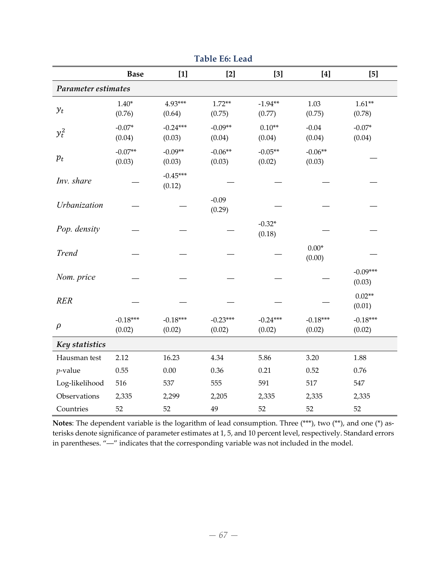|                     | <b>Base</b>          | $[1]$                | $[2]$                | $[3]$                | $[4]$                | $[5]$                |
|---------------------|----------------------|----------------------|----------------------|----------------------|----------------------|----------------------|
| Parameter estimates |                      |                      |                      |                      |                      |                      |
| $y_t$               | $1.40*$<br>(0.76)    | 4.93***<br>(0.64)    | $1.72**$<br>(0.75)   | $-1.94**$<br>(0.77)  | 1.03<br>(0.75)       | $1.61**$<br>(0.78)   |
| $y_t^2$             | $-0.07*$<br>(0.04)   | $-0.24***$<br>(0.03) | $-0.09**$<br>(0.04)  | $0.10**$<br>(0.04)   | $-0.04$<br>(0.04)    | $-0.07*$<br>(0.04)   |
| $p_t$               | $-0.07**$<br>(0.03)  | $-0.09**$<br>(0.03)  | $-0.06**$<br>(0.03)  | $-0.05**$<br>(0.02)  | $-0.06**$<br>(0.03)  |                      |
| Inv. share          |                      | $-0.45***$<br>(0.12) |                      |                      |                      |                      |
| Urbanization        |                      |                      | $-0.09$<br>(0.29)    |                      |                      |                      |
| Pop. density        |                      |                      |                      | $-0.32*$<br>(0.18)   |                      |                      |
| <b>Trend</b>        |                      |                      |                      |                      | $0.00*$<br>(0.00)    |                      |
| Nom. price          |                      |                      |                      |                      |                      | $-0.09***$<br>(0.03) |
| <b>RER</b>          |                      |                      |                      |                      |                      | $0.02**$<br>(0.01)   |
| $\rho$              | $-0.18***$<br>(0.02) | $-0.18***$<br>(0.02) | $-0.23***$<br>(0.02) | $-0.24***$<br>(0.02) | $-0.18***$<br>(0.02) | $-0.18***$<br>(0.02) |
| Key statistics      |                      |                      |                      |                      |                      |                      |
| Hausman test        | 2.12                 | 16.23                | 4.34                 | 5.86                 | 3.20                 | 1.88                 |
| $p$ -value          | 0.55                 | 0.00                 | 0.36                 | 0.21                 | 0.52                 | 0.76                 |
| Log-likelihood      | 516                  | 537                  | 555                  | 591                  | 517                  | 547                  |
| Observations        | 2,335                | 2,299                | 2,205                | 2,335                | 2,335                | 2,335                |
| Countries           | 52                   | 52                   | 49                   | 52                   | 52                   | 52                   |

**Table E6: Lead**

Notes: The dependent variable is the logarithm of lead consumption. Three (\*\*\*), two (\*\*), and one (\*) asterisks denote significance of parameter estimates at 1, 5, and 10 percent level, respectively. Standard errors in parentheses. "―" indicates that the corresponding variable was not included in the model.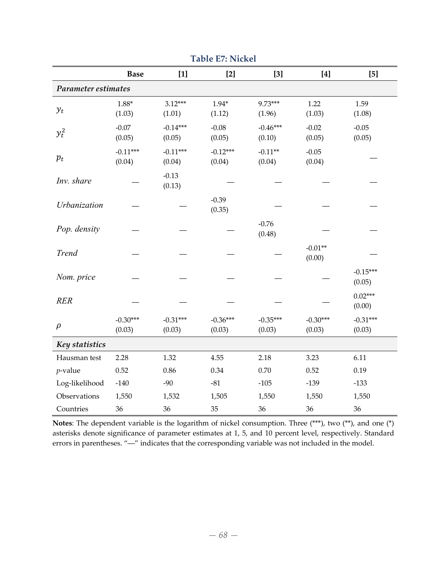|                     | <b>Base</b>          | $[1]$                | $[2]$                | $[3]$                | $[4]$                | $[5]$                |
|---------------------|----------------------|----------------------|----------------------|----------------------|----------------------|----------------------|
| Parameter estimates |                      |                      |                      |                      |                      |                      |
| $y_t$               | $1.88*$<br>(1.03)    | $3.12***$<br>(1.01)  | $1.94*$<br>(1.12)    | 9.73***<br>(1.96)    | 1.22<br>(1.03)       | 1.59<br>(1.08)       |
| $y_t^2$             | $-0.07$<br>(0.05)    | $-0.14***$<br>(0.05) | $-0.08$<br>(0.05)    | $-0.46***$<br>(0.10) | $-0.02$<br>(0.05)    | $-0.05$<br>(0.05)    |
| $p_t$               | $-0.11***$<br>(0.04) | $-0.11***$<br>(0.04) | $-0.12***$<br>(0.04) | $-0.11**$<br>(0.04)  | $-0.05$<br>(0.04)    |                      |
| Inv. share          |                      | $-0.13$<br>(0.13)    |                      |                      |                      |                      |
| Urbanization        |                      |                      | $-0.39$<br>(0.35)    |                      |                      |                      |
| Pop. density        |                      |                      |                      | $-0.76$<br>(0.48)    |                      |                      |
| <b>Trend</b>        |                      |                      |                      |                      | $-0.01**$<br>(0.00)  |                      |
| Nom. price          |                      |                      |                      |                      |                      | $-0.15***$<br>(0.05) |
| <b>RER</b>          |                      |                      |                      |                      |                      | $0.02***$<br>(0.00)  |
| $\rho$              | $-0.30***$<br>(0.03) | $-0.31***$<br>(0.03) | $-0.36***$<br>(0.03) | $-0.35***$<br>(0.03) | $-0.30***$<br>(0.03) | $-0.31***$<br>(0.03) |
| Key statistics      |                      |                      |                      |                      |                      |                      |
| Hausman test        | 2.28                 | 1.32                 | 4.55                 | 2.18                 | 3.23                 | 6.11                 |
| $p$ -value          | 0.52                 | 0.86                 | 0.34                 | 0.70                 | 0.52                 | 0.19                 |
| Log-likelihood      | $-140$               | $-90$                | $-81$                | $-105$               | $-139$               | $-133$               |
| Observations        | 1,550                | 1,532                | 1,505                | 1,550                | 1,550                | 1,550                |
| Countries           | 36                   | 36                   | 35                   | 36                   | 36                   | 36                   |

**Table E7: Nickel**

**Notes**: The dependent variable is the logarithm of nickel consumption. Three (\*\*\*), two (\*\*), and one (\*) asterisks denote significance of parameter estimates at 1, 5, and 10 percent level, respectively. Standard errors in parentheses. "―" indicates that the corresponding variable was not included in the model.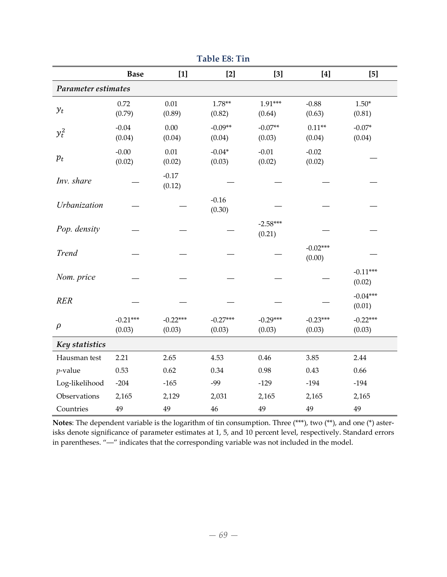|                     | <b>Base</b>          | $[1]$                | $[2]$                | $[3]$                | $[4]$                | $[5]$                |
|---------------------|----------------------|----------------------|----------------------|----------------------|----------------------|----------------------|
| Parameter estimates |                      |                      |                      |                      |                      |                      |
| $y_t$               | 0.72<br>(0.79)       | 0.01<br>(0.89)       | $1.78**$<br>(0.82)   | $1.91***$<br>(0.64)  | $-0.88$<br>(0.63)    | $1.50*$<br>(0.81)    |
| $y_t^2$             | $-0.04$<br>(0.04)    | 0.00<br>(0.04)       | $-0.09**$<br>(0.04)  | $-0.07**$<br>(0.03)  | $0.11**$<br>(0.04)   | $-0.07*$<br>(0.04)   |
| $p_t$               | $-0.00$<br>(0.02)    | 0.01<br>(0.02)       | $-0.04*$<br>(0.03)   | $-0.01$<br>(0.02)    | $-0.02$<br>(0.02)    |                      |
| Inv. share          |                      | $-0.17$<br>(0.12)    |                      |                      |                      |                      |
| Urbanization        |                      |                      | $-0.16$<br>(0.30)    |                      |                      |                      |
| Pop. density        |                      |                      |                      | $-2.58***$<br>(0.21) |                      |                      |
| <b>Trend</b>        |                      |                      |                      |                      | $-0.02***$<br>(0.00) |                      |
| Nom. price          |                      |                      |                      |                      |                      | $-0.11***$<br>(0.02) |
| <b>RER</b>          |                      |                      |                      |                      |                      | $-0.04***$<br>(0.01) |
| $\rho$              | $-0.21***$<br>(0.03) | $-0.22***$<br>(0.03) | $-0.27***$<br>(0.03) | $-0.29***$<br>(0.03) | $-0.23***$<br>(0.03) | $-0.22***$<br>(0.03) |
| Key statistics      |                      |                      |                      |                      |                      |                      |
| Hausman test        | 2.21                 | 2.65                 | 4.53                 | 0.46                 | 3.85                 | 2.44                 |
| $p$ -value          | 0.53                 | 0.62                 | 0.34                 | 0.98                 | 0.43                 | 0.66                 |
| Log-likelihood      | $-204$               | $-165$               | $-99$                | $-129$               | $-194$               | $-194$               |
| Observations        | 2,165                | 2,129                | 2,031                | 2,165                | 2,165                | 2,165                |
| Countries           | 49                   | 49                   | 46                   | 49                   | 49                   | 49                   |

**Table E8: Tin**

**Notes**: The dependent variable is the logarithm of tin consumption. Three (\*\*\*), two (\*\*), and one (\*) aster‐ isks denote significance of parameter estimates at 1, 5, and 10 percent level, respectively. Standard errors in parentheses. "―" indicates that the corresponding variable was not included in the model.